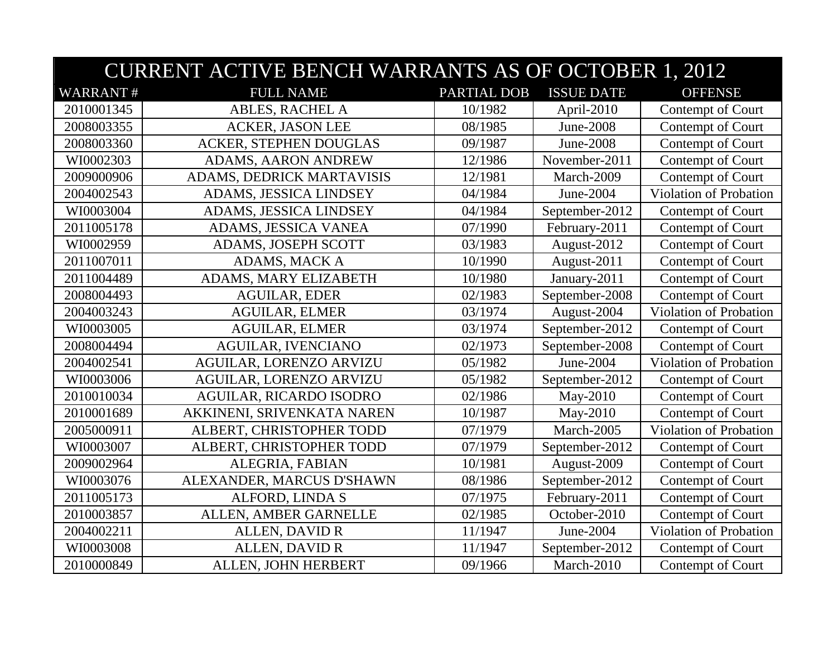|                 | <b>CURRENT ACTIVE BENCH WARRANTS AS OF OCTOBER 1, 2012</b> |             |                   |                        |  |
|-----------------|------------------------------------------------------------|-------------|-------------------|------------------------|--|
| <b>WARRANT#</b> | <b>FULL NAME</b>                                           | PARTIAL DOB | <b>ISSUE DATE</b> | <b>OFFENSE</b>         |  |
| 2010001345      | ABLES, RACHEL A                                            | 10/1982     | April-2010        | Contempt of Court      |  |
| 2008003355      | <b>ACKER, JASON LEE</b>                                    | 08/1985     | June-2008         | Contempt of Court      |  |
| 2008003360      | <b>ACKER, STEPHEN DOUGLAS</b>                              | 09/1987     | June-2008         | Contempt of Court      |  |
| WI0002303       | <b>ADAMS, AARON ANDREW</b>                                 | 12/1986     | November-2011     | Contempt of Court      |  |
| 2009000906      | ADAMS, DEDRICK MARTAVISIS                                  | 12/1981     | March-2009        | Contempt of Court      |  |
| 2004002543      | ADAMS, JESSICA LINDSEY                                     | 04/1984     | June-2004         | Violation of Probation |  |
| WI0003004       | ADAMS, JESSICA LINDSEY                                     | 04/1984     | September-2012    | Contempt of Court      |  |
| 2011005178      | ADAMS, JESSICA VANEA                                       | 07/1990     | February-2011     | Contempt of Court      |  |
| WI0002959       | ADAMS, JOSEPH SCOTT                                        | 03/1983     | August-2012       | Contempt of Court      |  |
| 2011007011      | ADAMS, MACK A                                              | 10/1990     | August-2011       | Contempt of Court      |  |
| 2011004489      | ADAMS, MARY ELIZABETH                                      | 10/1980     | January-2011      | Contempt of Court      |  |
| 2008004493      | <b>AGUILAR, EDER</b>                                       | 02/1983     | September-2008    | Contempt of Court      |  |
| 2004003243      | <b>AGUILAR, ELMER</b>                                      | 03/1974     | August-2004       | Violation of Probation |  |
| WI0003005       | <b>AGUILAR, ELMER</b>                                      | 03/1974     | September-2012    | Contempt of Court      |  |
| 2008004494      | <b>AGUILAR, IVENCIANO</b>                                  | 02/1973     | September-2008    | Contempt of Court      |  |
| 2004002541      | AGUILAR, LORENZO ARVIZU                                    | 05/1982     | June-2004         | Violation of Probation |  |
| WI0003006       | AGUILAR, LORENZO ARVIZU                                    | 05/1982     | September-2012    | Contempt of Court      |  |
| 2010010034      | AGUILAR, RICARDO ISODRO                                    | 02/1986     | May-2010          | Contempt of Court      |  |
| 2010001689      | AKKINENI, SRIVENKATA NAREN                                 | 10/1987     | May-2010          | Contempt of Court      |  |
| 2005000911      | ALBERT, CHRISTOPHER TODD                                   | 07/1979     | March-2005        | Violation of Probation |  |
| WI0003007       | ALBERT, CHRISTOPHER TODD                                   | 07/1979     | September-2012    | Contempt of Court      |  |
| 2009002964      | ALEGRIA, FABIAN                                            | 10/1981     | August-2009       | Contempt of Court      |  |
| WI0003076       | ALEXANDER, MARCUS D'SHAWN                                  | 08/1986     | September-2012    | Contempt of Court      |  |
| 2011005173      | ALFORD, LINDA S                                            | 07/1975     | February-2011     | Contempt of Court      |  |
| 2010003857      | ALLEN, AMBER GARNELLE                                      | 02/1985     | October-2010      | Contempt of Court      |  |
| 2004002211      | <b>ALLEN, DAVID R</b>                                      | 11/1947     | June-2004         | Violation of Probation |  |
| WI0003008       | <b>ALLEN, DAVID R</b>                                      | 11/1947     | September-2012    | Contempt of Court      |  |
| 2010000849      | ALLEN, JOHN HERBERT                                        | 09/1966     | March-2010        | Contempt of Court      |  |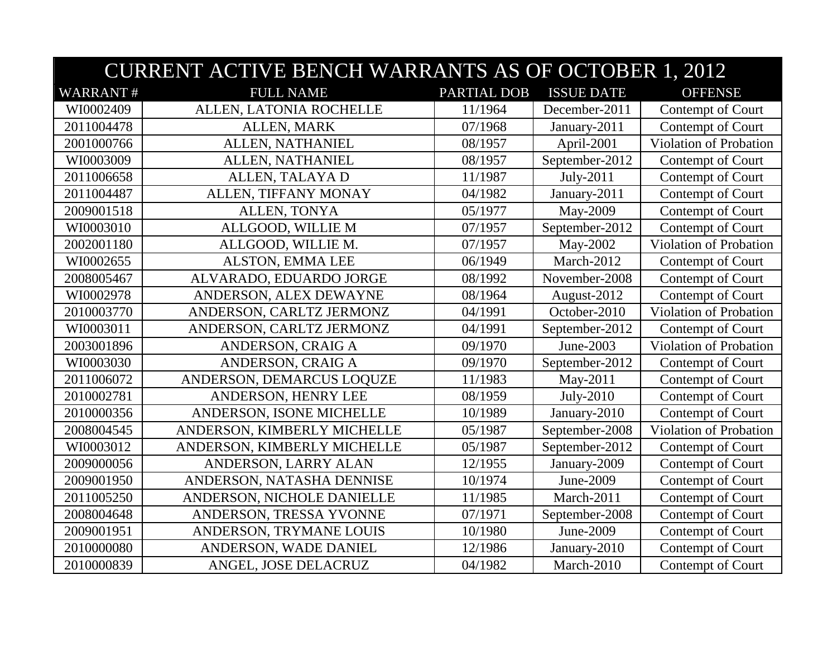|                 | <b>CURRENT ACTIVE BENCH WARRANTS AS OF OCTOBER 1, 2012</b> |             |                   |                        |  |
|-----------------|------------------------------------------------------------|-------------|-------------------|------------------------|--|
| <b>WARRANT#</b> | <b>FULL NAME</b>                                           | PARTIAL DOB | <b>ISSUE DATE</b> | <b>OFFENSE</b>         |  |
| WI0002409       | ALLEN, LATONIA ROCHELLE                                    | 11/1964     | December-2011     | Contempt of Court      |  |
| 2011004478      | ALLEN, MARK                                                | 07/1968     | January-2011      | Contempt of Court      |  |
| 2001000766      | ALLEN, NATHANIEL                                           | 08/1957     | April-2001        | Violation of Probation |  |
| WI0003009       | ALLEN, NATHANIEL                                           | 08/1957     | September-2012    | Contempt of Court      |  |
| 2011006658      | ALLEN, TALAYA D                                            | 11/1987     | July-2011         | Contempt of Court      |  |
| 2011004487      | ALLEN, TIFFANY MONAY                                       | 04/1982     | January-2011      | Contempt of Court      |  |
| 2009001518      | ALLEN, TONYA                                               | 05/1977     | May-2009          | Contempt of Court      |  |
| WI0003010       | ALLGOOD, WILLIE M                                          | 07/1957     | September-2012    | Contempt of Court      |  |
| 2002001180      | ALLGOOD, WILLIE M.                                         | 07/1957     | May-2002          | Violation of Probation |  |
| WI0002655       | ALSTON, EMMA LEE                                           | 06/1949     | March-2012        | Contempt of Court      |  |
| 2008005467      | ALVARADO, EDUARDO JORGE                                    | 08/1992     | November-2008     | Contempt of Court      |  |
| WI0002978       | ANDERSON, ALEX DEWAYNE                                     | 08/1964     | August-2012       | Contempt of Court      |  |
| 2010003770      | ANDERSON, CARLTZ JERMONZ                                   | 04/1991     | October-2010      | Violation of Probation |  |
| WI0003011       | ANDERSON, CARLTZ JERMONZ                                   | 04/1991     | September-2012    | Contempt of Court      |  |
| 2003001896      | ANDERSON, CRAIG A                                          | 09/1970     | June-2003         | Violation of Probation |  |
| WI0003030       | ANDERSON, CRAIG A                                          | 09/1970     | September-2012    | Contempt of Court      |  |
| 2011006072      | ANDERSON, DEMARCUS LOQUZE                                  | 11/1983     | May-2011          | Contempt of Court      |  |
| 2010002781      | ANDERSON, HENRY LEE                                        | 08/1959     | July-2010         | Contempt of Court      |  |
| 2010000356      | ANDERSON, ISONE MICHELLE                                   | 10/1989     | January-2010      | Contempt of Court      |  |
| 2008004545      | ANDERSON, KIMBERLY MICHELLE                                | 05/1987     | September-2008    | Violation of Probation |  |
| WI0003012       | ANDERSON, KIMBERLY MICHELLE                                | 05/1987     | September-2012    | Contempt of Court      |  |
| 2009000056      | ANDERSON, LARRY ALAN                                       | 12/1955     | January-2009      | Contempt of Court      |  |
| 2009001950      | ANDERSON, NATASHA DENNISE                                  | 10/1974     | June-2009         | Contempt of Court      |  |
| 2011005250      | ANDERSON, NICHOLE DANIELLE                                 | 11/1985     | March-2011        | Contempt of Court      |  |
| 2008004648      | ANDERSON, TRESSA YVONNE                                    | 07/1971     | September-2008    | Contempt of Court      |  |
| 2009001951      | ANDERSON, TRYMANE LOUIS                                    | 10/1980     | June-2009         | Contempt of Court      |  |
| 2010000080      | ANDERSON, WADE DANIEL                                      | 12/1986     | January-2010      | Contempt of Court      |  |
| 2010000839      | ANGEL, JOSE DELACRUZ                                       | 04/1982     | March-2010        | Contempt of Court      |  |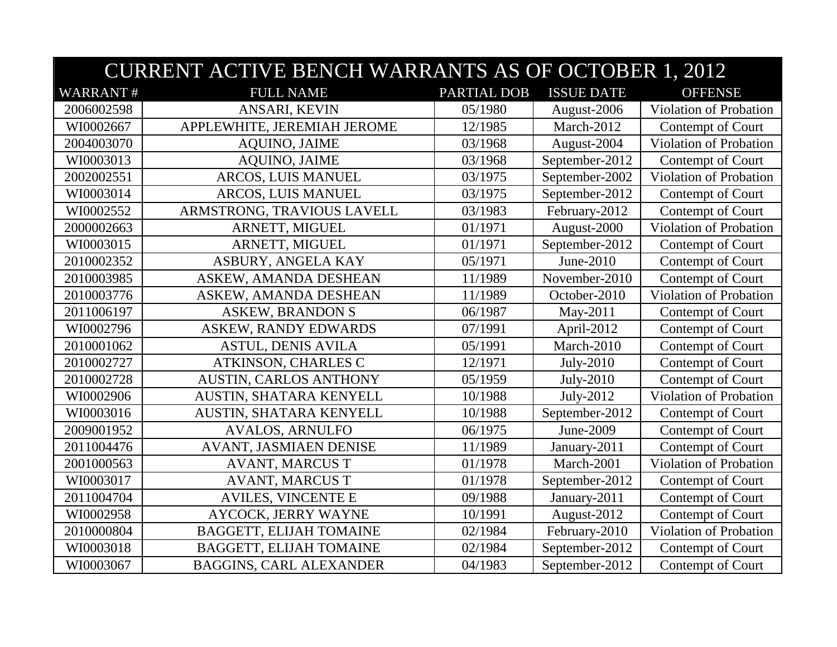|                 | <b>CURRENT ACTIVE BENCH WARRANTS AS OF OCTOBER 1, 2012</b> |             |                   |                               |  |
|-----------------|------------------------------------------------------------|-------------|-------------------|-------------------------------|--|
| <b>WARRANT#</b> | <b>FULL NAME</b>                                           | PARTIAL DOB | <b>ISSUE DATE</b> | <b>OFFENSE</b>                |  |
| 2006002598      | ANSARI, KEVIN                                              | 05/1980     | August-2006       | Violation of Probation        |  |
| WI0002667       | APPLEWHITE, JEREMIAH JEROME                                | 12/1985     | March-2012        | Contempt of Court             |  |
| 2004003070      | <b>AQUINO, JAIME</b>                                       | 03/1968     | August-2004       | Violation of Probation        |  |
| WI0003013       | <b>AQUINO, JAIME</b>                                       | 03/1968     | September-2012    | Contempt of Court             |  |
| 2002002551      | ARCOS, LUIS MANUEL                                         | 03/1975     | September-2002    | Violation of Probation        |  |
| WI0003014       | ARCOS, LUIS MANUEL                                         | 03/1975     | September-2012    | Contempt of Court             |  |
| WI0002552       | ARMSTRONG, TRAVIOUS LAVELL                                 | 03/1983     | February-2012     | Contempt of Court             |  |
| 2000002663      | ARNETT, MIGUEL                                             | 01/1971     | August-2000       | Violation of Probation        |  |
| WI0003015       | ARNETT, MIGUEL                                             | 01/1971     | September-2012    | Contempt of Court             |  |
| 2010002352      | ASBURY, ANGELA KAY                                         | 05/1971     | June-2010         | Contempt of Court             |  |
| 2010003985      | ASKEW, AMANDA DESHEAN                                      | 11/1989     | November-2010     | Contempt of Court             |  |
| 2010003776      | ASKEW, AMANDA DESHEAN                                      | 11/1989     | October-2010      | Violation of Probation        |  |
| 2011006197      | <b>ASKEW, BRANDON S</b>                                    | 06/1987     | May-2011          | Contempt of Court             |  |
| WI0002796       | <b>ASKEW, RANDY EDWARDS</b>                                | 07/1991     | April-2012        | Contempt of Court             |  |
| 2010001062      | <b>ASTUL, DENIS AVILA</b>                                  | 05/1991     | March-2010        | Contempt of Court             |  |
| 2010002727      | ATKINSON, CHARLES C                                        | 12/1971     | July-2010         | Contempt of Court             |  |
| 2010002728      | <b>AUSTIN, CARLOS ANTHONY</b>                              | 05/1959     | July-2010         | Contempt of Court             |  |
| WI0002906       | AUSTIN, SHATARA KENYELL                                    | 10/1988     | July-2012         | <b>Violation of Probation</b> |  |
| WI0003016       | AUSTIN, SHATARA KENYELL                                    | 10/1988     | September-2012    | Contempt of Court             |  |
| 2009001952      | <b>AVALOS, ARNULFO</b>                                     | 06/1975     | June-2009         | Contempt of Court             |  |
| 2011004476      | AVANT, JASMIAEN DENISE                                     | 11/1989     | January-2011      | Contempt of Court             |  |
| 2001000563      | <b>AVANT, MARCUS T</b>                                     | 01/1978     | March-2001        | Violation of Probation        |  |
| WI0003017       | <b>AVANT, MARCUS T</b>                                     | 01/1978     | September-2012    | Contempt of Court             |  |
| 2011004704      | <b>AVILES, VINCENTE E</b>                                  | 09/1988     | January-2011      | Contempt of Court             |  |
| WI0002958       | AYCOCK, JERRY WAYNE                                        | 10/1991     | August-2012       | Contempt of Court             |  |
| 2010000804      | <b>BAGGETT, ELIJAH TOMAINE</b>                             | 02/1984     | February-2010     | Violation of Probation        |  |
| WI0003018       | <b>BAGGETT, ELIJAH TOMAINE</b>                             | 02/1984     | September-2012    | Contempt of Court             |  |
| WI0003067       | <b>BAGGINS, CARL ALEXANDER</b>                             | 04/1983     | September-2012    | Contempt of Court             |  |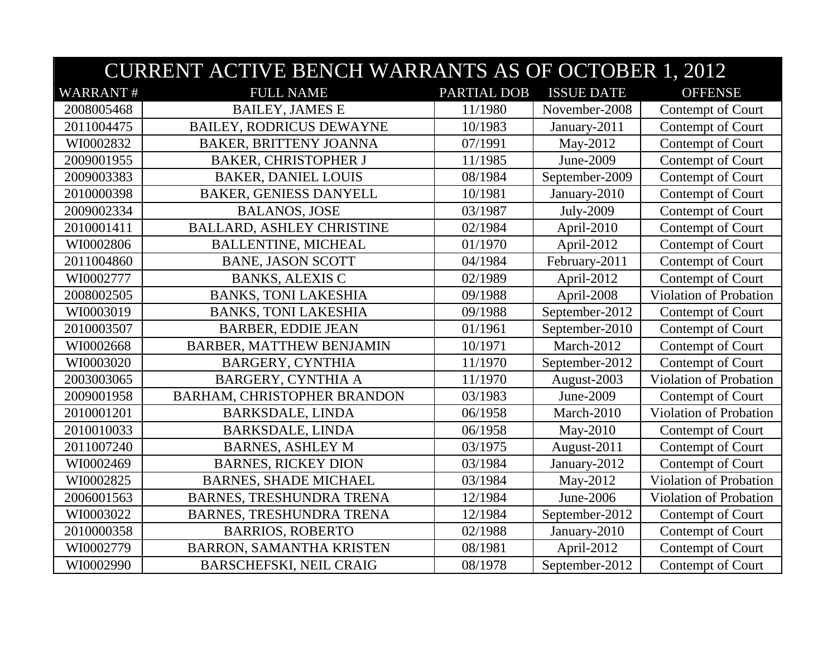|                 | <b>CURRENT ACTIVE BENCH WARRANTS AS OF OCTOBER 1, 2012</b> |             |                   |                        |  |
|-----------------|------------------------------------------------------------|-------------|-------------------|------------------------|--|
| <b>WARRANT#</b> | <b>FULL NAME</b>                                           | PARTIAL DOB | <b>ISSUE DATE</b> | <b>OFFENSE</b>         |  |
| 2008005468      | <b>BAILEY, JAMES E</b>                                     | 11/1980     | November-2008     | Contempt of Court      |  |
| 2011004475      | <b>BAILEY, RODRICUS DEWAYNE</b>                            | 10/1983     | January-2011      | Contempt of Court      |  |
| WI0002832       | <b>BAKER, BRITTENY JOANNA</b>                              | 07/1991     | May-2012          | Contempt of Court      |  |
| 2009001955      | <b>BAKER, CHRISTOPHER J</b>                                | 11/1985     | June-2009         | Contempt of Court      |  |
| 2009003383      | <b>BAKER, DANIEL LOUIS</b>                                 | 08/1984     | September-2009    | Contempt of Court      |  |
| 2010000398      | <b>BAKER, GENIESS DANYELL</b>                              | 10/1981     | January-2010      | Contempt of Court      |  |
| 2009002334      | <b>BALANOS, JOSE</b>                                       | 03/1987     | July-2009         | Contempt of Court      |  |
| 2010001411      | <b>BALLARD, ASHLEY CHRISTINE</b>                           | 02/1984     | April-2010        | Contempt of Court      |  |
| WI0002806       | <b>BALLENTINE, MICHEAL</b>                                 | 01/1970     | April-2012        | Contempt of Court      |  |
| 2011004860      | <b>BANE, JASON SCOTT</b>                                   | 04/1984     | February-2011     | Contempt of Court      |  |
| WI0002777       | <b>BANKS, ALEXIS C</b>                                     | 02/1989     | April-2012        | Contempt of Court      |  |
| 2008002505      | <b>BANKS, TONI LAKESHIA</b>                                | 09/1988     | April-2008        | Violation of Probation |  |
| WI0003019       | <b>BANKS, TONI LAKESHIA</b>                                | 09/1988     | September-2012    | Contempt of Court      |  |
| 2010003507      | <b>BARBER, EDDIE JEAN</b>                                  | 01/1961     | September-2010    | Contempt of Court      |  |
| WI0002668       | <b>BARBER, MATTHEW BENJAMIN</b>                            | 10/1971     | March-2012        | Contempt of Court      |  |
| WI0003020       | <b>BARGERY, CYNTHIA</b>                                    | 11/1970     | September-2012    | Contempt of Court      |  |
| 2003003065      | BARGERY, CYNTHIA A                                         | 11/1970     | August-2003       | Violation of Probation |  |
| 2009001958      | <b>BARHAM, CHRISTOPHER BRANDON</b>                         | 03/1983     | June-2009         | Contempt of Court      |  |
| 2010001201      | <b>BARKSDALE, LINDA</b>                                    | 06/1958     | March-2010        | Violation of Probation |  |
| 2010010033      | <b>BARKSDALE, LINDA</b>                                    | 06/1958     | May-2010          | Contempt of Court      |  |
| 2011007240      | <b>BARNES, ASHLEY M</b>                                    | 03/1975     | August-2011       | Contempt of Court      |  |
| WI0002469       | <b>BARNES, RICKEY DION</b>                                 | 03/1984     | January-2012      | Contempt of Court      |  |
| WI0002825       | <b>BARNES, SHADE MICHAEL</b>                               | 03/1984     | May-2012          | Violation of Probation |  |
| 2006001563      | <b>BARNES, TRESHUNDRA TRENA</b>                            | 12/1984     | June-2006         | Violation of Probation |  |
| WI0003022       | BARNES, TRESHUNDRA TRENA                                   | 12/1984     | September-2012    | Contempt of Court      |  |
| 2010000358      | <b>BARRIOS, ROBERTO</b>                                    | 02/1988     | January-2010      | Contempt of Court      |  |
| WI0002779       | <b>BARRON, SAMANTHA KRISTEN</b>                            | 08/1981     | April-2012        | Contempt of Court      |  |
| WI0002990       | <b>BARSCHEFSKI, NEIL CRAIG</b>                             | 08/1978     | September-2012    | Contempt of Court      |  |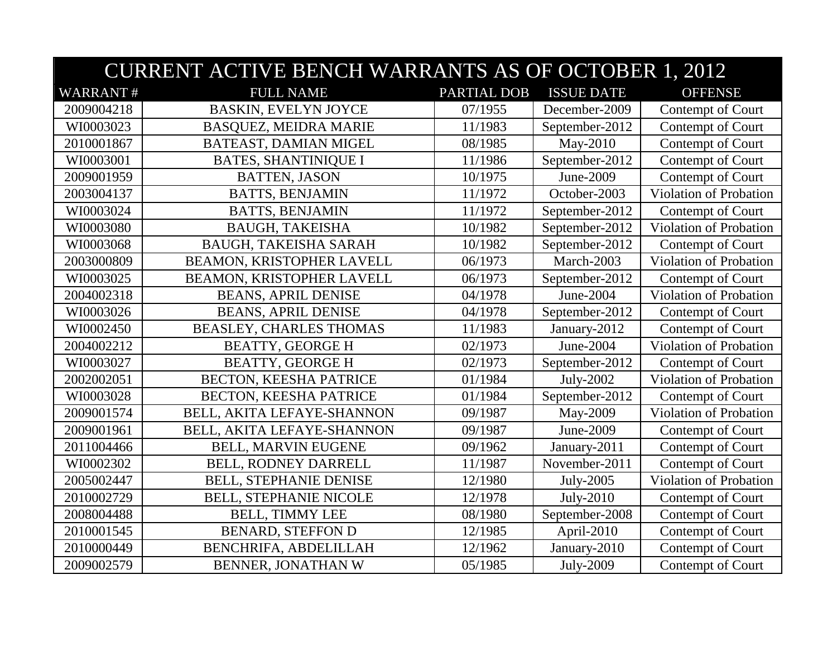|                 | <b>CURRENT ACTIVE BENCH WARRANTS AS OF OCTOBER 1, 2012</b> |             |                   |                               |  |
|-----------------|------------------------------------------------------------|-------------|-------------------|-------------------------------|--|
| <b>WARRANT#</b> | <b>FULL NAME</b>                                           | PARTIAL DOB | <b>ISSUE DATE</b> | <b>OFFENSE</b>                |  |
| 2009004218      | <b>BASKIN, EVELYN JOYCE</b>                                | 07/1955     | December-2009     | Contempt of Court             |  |
| WI0003023       | <b>BASQUEZ, MEIDRA MARIE</b>                               | 11/1983     | September-2012    | Contempt of Court             |  |
| 2010001867      | BATEAST, DAMIAN MIGEL                                      | 08/1985     | May-2010          | Contempt of Court             |  |
| WI0003001       | <b>BATES, SHANTINIQUE I</b>                                | 11/1986     | September-2012    | Contempt of Court             |  |
| 2009001959      | <b>BATTEN, JASON</b>                                       | 10/1975     | June-2009         | Contempt of Court             |  |
| 2003004137      | <b>BATTS, BENJAMIN</b>                                     | 11/1972     | October-2003      | <b>Violation of Probation</b> |  |
| WI0003024       | <b>BATTS, BENJAMIN</b>                                     | 11/1972     | September-2012    | Contempt of Court             |  |
| WI0003080       | <b>BAUGH, TAKEISHA</b>                                     | 10/1982     | September-2012    | Violation of Probation        |  |
| WI0003068       | <b>BAUGH, TAKEISHA SARAH</b>                               | 10/1982     | September-2012    | Contempt of Court             |  |
| 2003000809      | BEAMON, KRISTOPHER LAVELL                                  | 06/1973     | March-2003        | Violation of Probation        |  |
| WI0003025       | BEAMON, KRISTOPHER LAVELL                                  | 06/1973     | September-2012    | Contempt of Court             |  |
| 2004002318      | <b>BEANS, APRIL DENISE</b>                                 | 04/1978     | June-2004         | Violation of Probation        |  |
| WI0003026       | <b>BEANS, APRIL DENISE</b>                                 | 04/1978     | September-2012    | Contempt of Court             |  |
| WI0002450       | <b>BEASLEY, CHARLES THOMAS</b>                             | 11/1983     | January-2012      | Contempt of Court             |  |
| 2004002212      | <b>BEATTY, GEORGE H</b>                                    | 02/1973     | June-2004         | Violation of Probation        |  |
| WI0003027       | <b>BEATTY, GEORGE H</b>                                    | 02/1973     | September-2012    | Contempt of Court             |  |
| 2002002051      | BECTON, KEESHA PATRICE                                     | 01/1984     | July-2002         | Violation of Probation        |  |
| WI0003028       | <b>BECTON, KEESHA PATRICE</b>                              | 01/1984     | September-2012    | Contempt of Court             |  |
| 2009001574      | BELL, AKITA LEFAYE-SHANNON                                 | 09/1987     | May-2009          | Violation of Probation        |  |
| 2009001961      | BELL, AKITA LEFAYE-SHANNON                                 | 09/1987     | June-2009         | Contempt of Court             |  |
| 2011004466      | <b>BELL, MARVIN EUGENE</b>                                 | 09/1962     | January-2011      | Contempt of Court             |  |
| WI0002302       | BELL, RODNEY DARRELL                                       | 11/1987     | November-2011     | Contempt of Court             |  |
| 2005002447      | <b>BELL, STEPHANIE DENISE</b>                              | 12/1980     | July-2005         | <b>Violation of Probation</b> |  |
| 2010002729      | <b>BELL, STEPHANIE NICOLE</b>                              | 12/1978     | July-2010         | Contempt of Court             |  |
| 2008004488      | <b>BELL, TIMMY LEE</b>                                     | 08/1980     | September-2008    | Contempt of Court             |  |
| 2010001545      | <b>BENARD, STEFFON D</b>                                   | 12/1985     | April-2010        | Contempt of Court             |  |
| 2010000449      | BENCHRIFA, ABDELILLAH                                      | 12/1962     | January-2010      | Contempt of Court             |  |
| 2009002579      | BENNER, JONATHAN W                                         | 05/1985     | July-2009         | Contempt of Court             |  |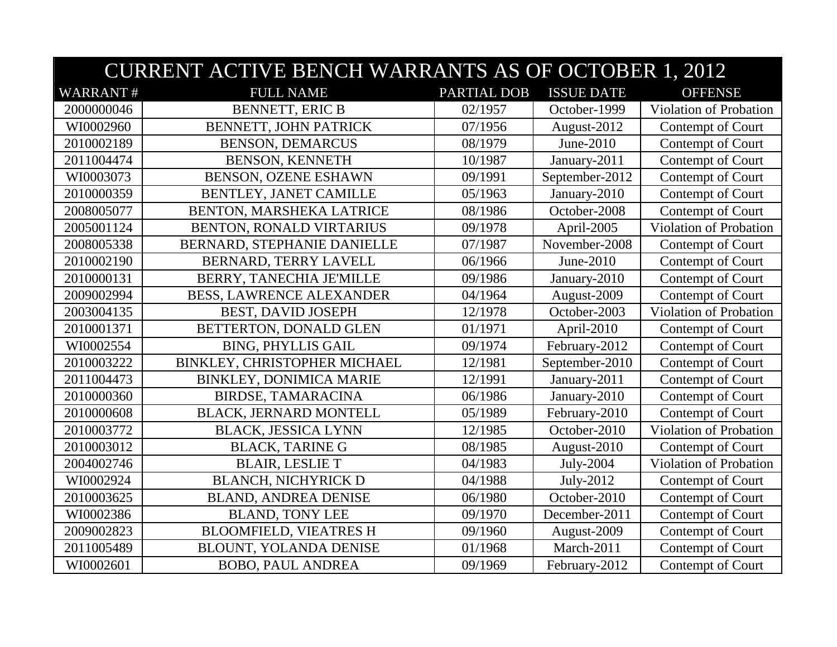|                 | <b>CURRENT ACTIVE BENCH WARRANTS AS OF OCTOBER 1, 2012</b> |             |                   |                        |  |
|-----------------|------------------------------------------------------------|-------------|-------------------|------------------------|--|
| <b>WARRANT#</b> | <b>FULL NAME</b>                                           | PARTIAL DOB | <b>ISSUE DATE</b> | <b>OFFENSE</b>         |  |
| 2000000046      | <b>BENNETT, ERIC B</b>                                     | 02/1957     | October-1999      | Violation of Probation |  |
| WI0002960       | BENNETT, JOHN PATRICK                                      | 07/1956     | August-2012       | Contempt of Court      |  |
| 2010002189      | <b>BENSON, DEMARCUS</b>                                    | 08/1979     | June-2010         | Contempt of Court      |  |
| 2011004474      | <b>BENSON, KENNETH</b>                                     | 10/1987     | January-2011      | Contempt of Court      |  |
| WI0003073       | <b>BENSON, OZENE ESHAWN</b>                                | 09/1991     | September-2012    | Contempt of Court      |  |
| 2010000359      | <b>BENTLEY, JANET CAMILLE</b>                              | 05/1963     | January-2010      | Contempt of Court      |  |
| 2008005077      | BENTON, MARSHEKA LATRICE                                   | 08/1986     | October-2008      | Contempt of Court      |  |
| 2005001124      | BENTON, RONALD VIRTARIUS                                   | 09/1978     | April-2005        | Violation of Probation |  |
| 2008005338      | BERNARD, STEPHANIE DANIELLE                                | 07/1987     | November-2008     | Contempt of Court      |  |
| 2010002190      | BERNARD, TERRY LAVELL                                      | 06/1966     | June-2010         | Contempt of Court      |  |
| 2010000131      | BERRY, TANECHIA JE'MILLE                                   | 09/1986     | January-2010      | Contempt of Court      |  |
| 2009002994      | <b>BESS, LAWRENCE ALEXANDER</b>                            | 04/1964     | August-2009       | Contempt of Court      |  |
| 2003004135      | <b>BEST, DAVID JOSEPH</b>                                  | 12/1978     | October-2003      | Violation of Probation |  |
| 2010001371      | BETTERTON, DONALD GLEN                                     | 01/1971     | April-2010        | Contempt of Court      |  |
| WI0002554       | <b>BING, PHYLLIS GAIL</b>                                  | 09/1974     | February-2012     | Contempt of Court      |  |
| 2010003222      | BINKLEY, CHRISTOPHER MICHAEL                               | 12/1981     | September-2010    | Contempt of Court      |  |
| 2011004473      | <b>BINKLEY, DONIMICA MARIE</b>                             | 12/1991     | January-2011      | Contempt of Court      |  |
| 2010000360      | <b>BIRDSE, TAMARACINA</b>                                  | 06/1986     | January-2010      | Contempt of Court      |  |
| 2010000608      | <b>BLACK, JERNARD MONTELL</b>                              | 05/1989     | February-2010     | Contempt of Court      |  |
| 2010003772      | <b>BLACK, JESSICA LYNN</b>                                 | 12/1985     | October-2010      | Violation of Probation |  |
| 2010003012      | <b>BLACK, TARINE G</b>                                     | 08/1985     | August-2010       | Contempt of Court      |  |
| 2004002746      | <b>BLAIR, LESLIE T</b>                                     | 04/1983     | July-2004         | Violation of Probation |  |
| WI0002924       | <b>BLANCH, NICHYRICK D</b>                                 | 04/1988     | July-2012         | Contempt of Court      |  |
| 2010003625      | <b>BLAND, ANDREA DENISE</b>                                | 06/1980     | October-2010      | Contempt of Court      |  |
| WI0002386       | <b>BLAND, TONY LEE</b>                                     | 09/1970     | December-2011     | Contempt of Court      |  |
| 2009002823      | <b>BLOOMFIELD, VIEATRES H</b>                              | 09/1960     | August-2009       | Contempt of Court      |  |
| 2011005489      | BLOUNT, YOLANDA DENISE                                     | 01/1968     | March-2011        | Contempt of Court      |  |
| WI0002601       | <b>BOBO, PAUL ANDREA</b>                                   | 09/1969     | February-2012     | Contempt of Court      |  |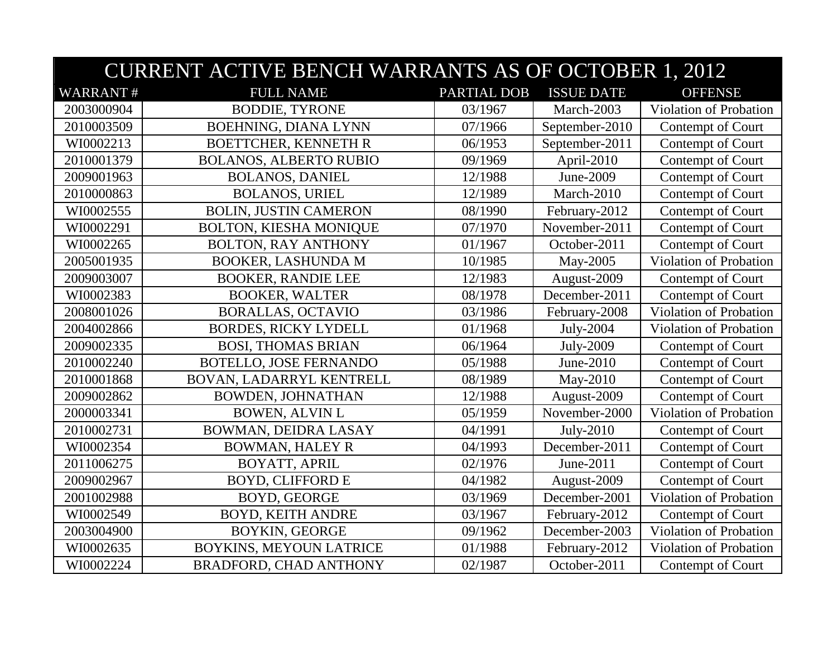|                 | <b>CURRENT ACTIVE BENCH WARRANTS AS OF OCTOBER 1, 2012</b> |             |                   |                        |  |  |
|-----------------|------------------------------------------------------------|-------------|-------------------|------------------------|--|--|
| <b>WARRANT#</b> | <b>FULL NAME</b>                                           | PARTIAL DOB | <b>ISSUE DATE</b> | <b>OFFENSE</b>         |  |  |
| 2003000904      | <b>BODDIE, TYRONE</b>                                      | 03/1967     | March-2003        | Violation of Probation |  |  |
| 2010003509      | <b>BOEHNING, DIANA LYNN</b>                                | 07/1966     | September-2010    | Contempt of Court      |  |  |
| WI0002213       | <b>BOETTCHER, KENNETH R</b>                                | 06/1953     | September-2011    | Contempt of Court      |  |  |
| 2010001379      | <b>BOLANOS, ALBERTO RUBIO</b>                              | 09/1969     | April-2010        | Contempt of Court      |  |  |
| 2009001963      | <b>BOLANOS, DANIEL</b>                                     | 12/1988     | June-2009         | Contempt of Court      |  |  |
| 2010000863      | <b>BOLANOS, URIEL</b>                                      | 12/1989     | March-2010        | Contempt of Court      |  |  |
| WI0002555       | <b>BOLIN, JUSTIN CAMERON</b>                               | 08/1990     | February-2012     | Contempt of Court      |  |  |
| WI0002291       | <b>BOLTON, KIESHA MONIQUE</b>                              | 07/1970     | November-2011     | Contempt of Court      |  |  |
| WI0002265       | <b>BOLTON, RAY ANTHONY</b>                                 | 01/1967     | October-2011      | Contempt of Court      |  |  |
| 2005001935      | <b>BOOKER, LASHUNDA M</b>                                  | 10/1985     | May-2005          | Violation of Probation |  |  |
| 2009003007      | <b>BOOKER, RANDIE LEE</b>                                  | 12/1983     | August-2009       | Contempt of Court      |  |  |
| WI0002383       | <b>BOOKER, WALTER</b>                                      | 08/1978     | December-2011     | Contempt of Court      |  |  |
| 2008001026      | <b>BORALLAS, OCTAVIO</b>                                   | 03/1986     | February-2008     | Violation of Probation |  |  |
| 2004002866      | <b>BORDES, RICKY LYDELL</b>                                | 01/1968     | July-2004         | Violation of Probation |  |  |
| 2009002335      | <b>BOSI, THOMAS BRIAN</b>                                  | 06/1964     | July-2009         | Contempt of Court      |  |  |
| 2010002240      | <b>BOTELLO, JOSE FERNANDO</b>                              | 05/1988     | June-2010         | Contempt of Court      |  |  |
| 2010001868      | BOVAN, LADARRYL KENTRELL                                   | 08/1989     | May-2010          | Contempt of Court      |  |  |
| 2009002862      | <b>BOWDEN, JOHNATHAN</b>                                   | 12/1988     | August-2009       | Contempt of Court      |  |  |
| 2000003341      | <b>BOWEN, ALVIN L</b>                                      | 05/1959     | November-2000     | Violation of Probation |  |  |
| 2010002731      | BOWMAN, DEIDRA LASAY                                       | 04/1991     | July-2010         | Contempt of Court      |  |  |
| WI0002354       | <b>BOWMAN, HALEY R</b>                                     | 04/1993     | December-2011     | Contempt of Court      |  |  |
| 2011006275      | <b>BOYATT, APRIL</b>                                       | 02/1976     | June-2011         | Contempt of Court      |  |  |
| 2009002967      | <b>BOYD, CLIFFORD E</b>                                    | 04/1982     | August-2009       | Contempt of Court      |  |  |
| 2001002988      | <b>BOYD, GEORGE</b>                                        | 03/1969     | December-2001     | Violation of Probation |  |  |
| WI0002549       | <b>BOYD, KEITH ANDRE</b>                                   | 03/1967     | February-2012     | Contempt of Court      |  |  |
| 2003004900      | <b>BOYKIN, GEORGE</b>                                      | 09/1962     | December-2003     | Violation of Probation |  |  |
| WI0002635       | BOYKINS, MEYOUN LATRICE                                    | 01/1988     | February-2012     | Violation of Probation |  |  |
| WI0002224       | <b>BRADFORD, CHAD ANTHONY</b>                              | 02/1987     | October-2011      | Contempt of Court      |  |  |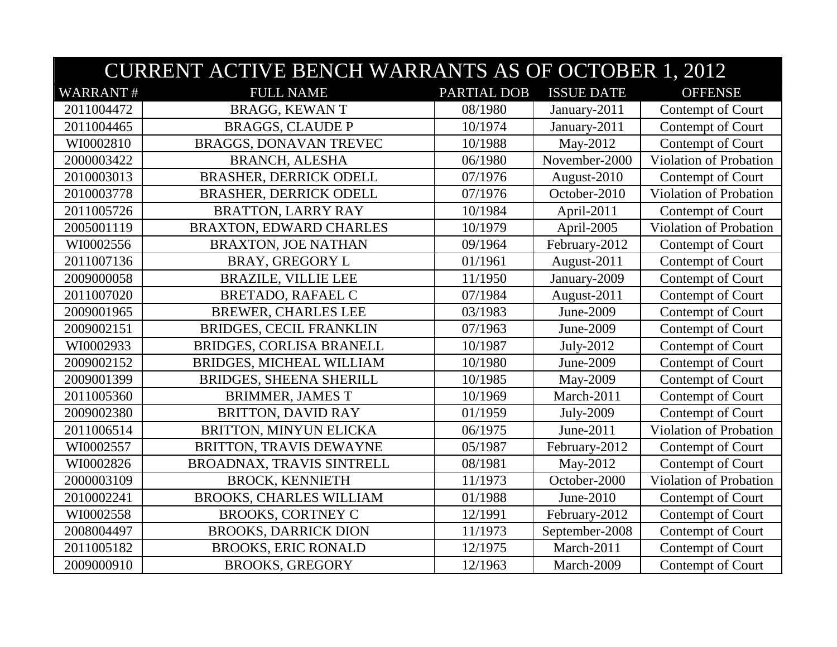|                 | <b>CURRENT ACTIVE BENCH WARRANTS AS OF OCTOBER 1, 2012</b> |             |                   |                               |  |
|-----------------|------------------------------------------------------------|-------------|-------------------|-------------------------------|--|
| <b>WARRANT#</b> | <b>FULL NAME</b>                                           | PARTIAL DOB | <b>ISSUE DATE</b> | <b>OFFENSE</b>                |  |
| 2011004472      | <b>BRAGG, KEWANT</b>                                       | 08/1980     | January-2011      | Contempt of Court             |  |
| 2011004465      | <b>BRAGGS, CLAUDE P</b>                                    | 10/1974     | January-2011      | Contempt of Court             |  |
| WI0002810       | <b>BRAGGS, DONAVAN TREVEC</b>                              | 10/1988     | May-2012          | Contempt of Court             |  |
| 2000003422      | <b>BRANCH, ALESHA</b>                                      | 06/1980     | November-2000     | Violation of Probation        |  |
| 2010003013      | <b>BRASHER, DERRICK ODELL</b>                              | 07/1976     | August-2010       | Contempt of Court             |  |
| 2010003778      | <b>BRASHER, DERRICK ODELL</b>                              | 07/1976     | October-2010      | Violation of Probation        |  |
| 2011005726      | <b>BRATTON, LARRY RAY</b>                                  | 10/1984     | April-2011        | Contempt of Court             |  |
| 2005001119      | <b>BRAXTON, EDWARD CHARLES</b>                             | 10/1979     | April-2005        | Violation of Probation        |  |
| WI0002556       | <b>BRAXTON, JOE NATHAN</b>                                 | 09/1964     | February-2012     | Contempt of Court             |  |
| 2011007136      | <b>BRAY, GREGORY L</b>                                     | 01/1961     | August-2011       | Contempt of Court             |  |
| 2009000058      | <b>BRAZILE, VILLIE LEE</b>                                 | 11/1950     | January-2009      | Contempt of Court             |  |
| 2011007020      | <b>BRETADO, RAFAEL C</b>                                   | 07/1984     | August-2011       | Contempt of Court             |  |
| 2009001965      | <b>BREWER, CHARLES LEE</b>                                 | 03/1983     | June-2009         | Contempt of Court             |  |
| 2009002151      | <b>BRIDGES, CECIL FRANKLIN</b>                             | 07/1963     | June-2009         | Contempt of Court             |  |
| WI0002933       | BRIDGES, CORLISA BRANELL                                   | 10/1987     | July-2012         | Contempt of Court             |  |
| 2009002152      | BRIDGES, MICHEAL WILLIAM                                   | 10/1980     | June-2009         | Contempt of Court             |  |
| 2009001399      | <b>BRIDGES, SHEENA SHERILL</b>                             | 10/1985     | May-2009          | Contempt of Court             |  |
| 2011005360      | <b>BRIMMER, JAMES T</b>                                    | 10/1969     | March-2011        | Contempt of Court             |  |
| 2009002380      | <b>BRITTON, DAVID RAY</b>                                  | 01/1959     | July-2009         | Contempt of Court             |  |
| 2011006514      | BRITTON, MINYUN ELICKA                                     | 06/1975     | June-2011         | Violation of Probation        |  |
| WI0002557       | BRITTON, TRAVIS DEWAYNE                                    | 05/1987     | February-2012     | Contempt of Court             |  |
| WI0002826       | BROADNAX, TRAVIS SINTRELL                                  | 08/1981     | May-2012          | Contempt of Court             |  |
| 2000003109      | <b>BROCK, KENNIETH</b>                                     | 11/1973     | October-2000      | <b>Violation of Probation</b> |  |
| 2010002241      | <b>BROOKS, CHARLES WILLIAM</b>                             | 01/1988     | June-2010         | Contempt of Court             |  |
| WI0002558       | <b>BROOKS, CORTNEY C</b>                                   | 12/1991     | February-2012     | Contempt of Court             |  |
| 2008004497      | <b>BROOKS, DARRICK DION</b>                                | 11/1973     | September-2008    | Contempt of Court             |  |
| 2011005182      | <b>BROOKS, ERIC RONALD</b>                                 | 12/1975     | March-2011        | Contempt of Court             |  |
| 2009000910      | <b>BROOKS, GREGORY</b>                                     | 12/1963     | March-2009        | Contempt of Court             |  |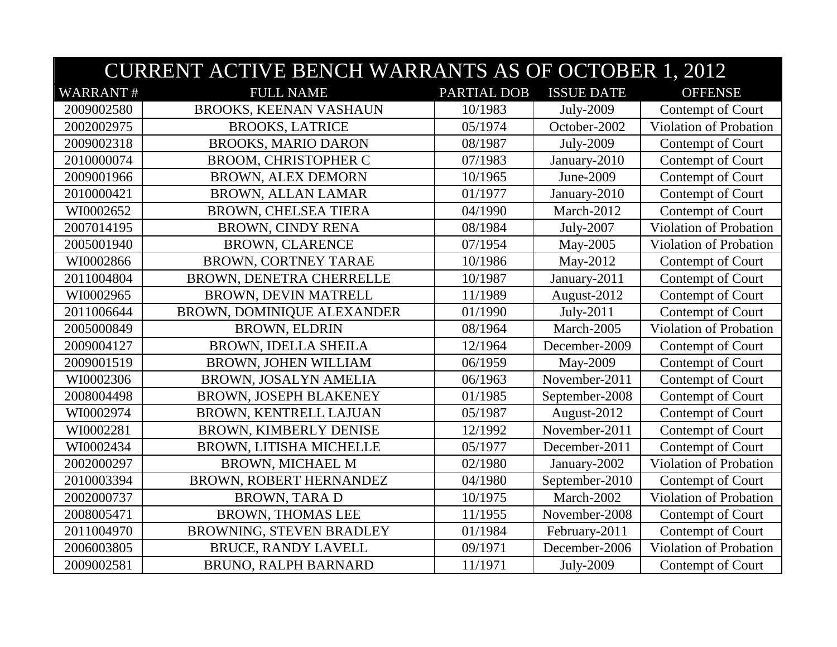|                 | <b>CURRENT ACTIVE BENCH WARRANTS AS OF OCTOBER 1, 2012</b> |                    |                   |                        |  |
|-----------------|------------------------------------------------------------|--------------------|-------------------|------------------------|--|
| <b>WARRANT#</b> | <b>FULL NAME</b>                                           | <b>PARTIAL DOB</b> | <b>ISSUE DATE</b> | <b>OFFENSE</b>         |  |
| 2009002580      | <b>BROOKS, KEENAN VASHAUN</b>                              | 10/1983            | July-2009         | Contempt of Court      |  |
| 2002002975      | <b>BROOKS, LATRICE</b>                                     | 05/1974            | October-2002      | Violation of Probation |  |
| 2009002318      | <b>BROOKS, MARIO DARON</b>                                 | 08/1987            | July-2009         | Contempt of Court      |  |
| 2010000074      | <b>BROOM, CHRISTOPHER C</b>                                | 07/1983            | January-2010      | Contempt of Court      |  |
| 2009001966      | <b>BROWN, ALEX DEMORN</b>                                  | 10/1965            | June-2009         | Contempt of Court      |  |
| 2010000421      | <b>BROWN, ALLAN LAMAR</b>                                  | 01/1977            | January-2010      | Contempt of Court      |  |
| WI0002652       | <b>BROWN, CHELSEA TIERA</b>                                | 04/1990            | March-2012        | Contempt of Court      |  |
| 2007014195      | <b>BROWN, CINDY RENA</b>                                   | 08/1984            | July-2007         | Violation of Probation |  |
| 2005001940      | <b>BROWN, CLARENCE</b>                                     | 07/1954            | May-2005          | Violation of Probation |  |
| WI0002866       | BROWN, CORTNEY TARAE                                       | 10/1986            | May-2012          | Contempt of Court      |  |
| 2011004804      | BROWN, DENETRA CHERRELLE                                   | 10/1987            | January-2011      | Contempt of Court      |  |
| WI0002965       | BROWN, DEVIN MATRELL                                       | 11/1989            | August-2012       | Contempt of Court      |  |
| 2011006644      | BROWN, DOMINIQUE ALEXANDER                                 | 01/1990            | July-2011         | Contempt of Court      |  |
| 2005000849      | <b>BROWN, ELDRIN</b>                                       | 08/1964            | March-2005        | Violation of Probation |  |
| 2009004127      | BROWN, IDELLA SHEILA                                       | 12/1964            | December-2009     | Contempt of Court      |  |
| 2009001519      | BROWN, JOHEN WILLIAM                                       | 06/1959            | May-2009          | Contempt of Court      |  |
| WI0002306       | BROWN, JOSALYN AMELIA                                      | 06/1963            | November-2011     | Contempt of Court      |  |
| 2008004498      | <b>BROWN, JOSEPH BLAKENEY</b>                              | 01/1985            | September-2008    | Contempt of Court      |  |
| WI0002974       | BROWN, KENTRELL LAJUAN                                     | 05/1987            | August-2012       | Contempt of Court      |  |
| WI0002281       | <b>BROWN, KIMBERLY DENISE</b>                              | 12/1992            | November-2011     | Contempt of Court      |  |
| WI0002434       | BROWN, LITISHA MICHELLE                                    | 05/1977            | December-2011     | Contempt of Court      |  |
| 2002000297      | <b>BROWN, MICHAEL M</b>                                    | 02/1980            | January-2002      | Violation of Probation |  |
| 2010003394      | BROWN, ROBERT HERNANDEZ                                    | 04/1980            | September-2010    | Contempt of Court      |  |
| 2002000737      | <b>BROWN, TARAD</b>                                        | 10/1975            | March-2002        | Violation of Probation |  |
| 2008005471      | <b>BROWN, THOMAS LEE</b>                                   | 11/1955            | November-2008     | Contempt of Court      |  |
| 2011004970      | BROWNING, STEVEN BRADLEY                                   | 01/1984            | February-2011     | Contempt of Court      |  |
| 2006003805      | <b>BRUCE, RANDY LAVELL</b>                                 | 09/1971            | December-2006     | Violation of Probation |  |
| 2009002581      | <b>BRUNO, RALPH BARNARD</b>                                | 11/1971            | July-2009         | Contempt of Court      |  |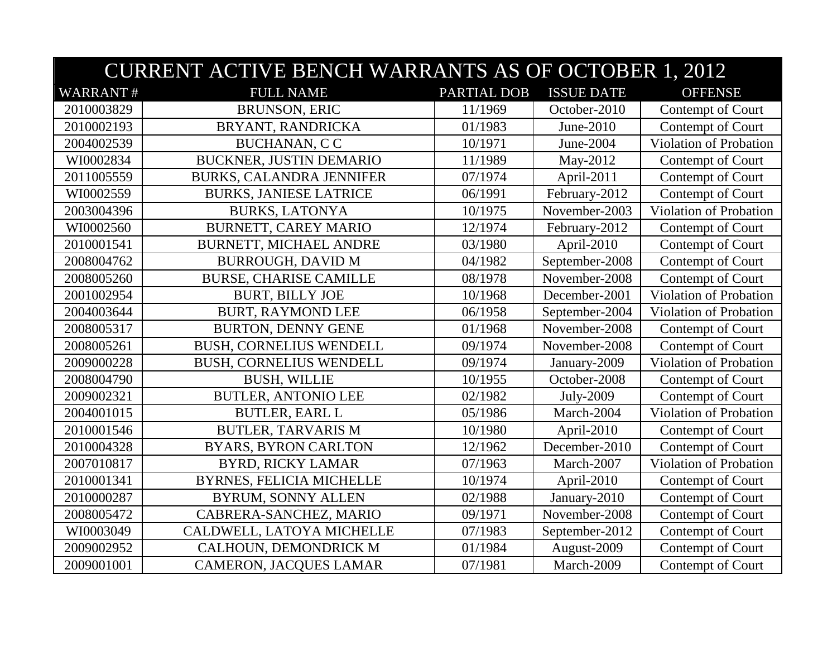|                 | <b>CURRENT ACTIVE BENCH WARRANTS AS OF OCTOBER 1, 2012</b> |                    |                   |                        |  |
|-----------------|------------------------------------------------------------|--------------------|-------------------|------------------------|--|
| <b>WARRANT#</b> | <b>FULL NAME</b>                                           | <b>PARTIAL DOB</b> | <b>ISSUE DATE</b> | <b>OFFENSE</b>         |  |
| 2010003829      | <b>BRUNSON, ERIC</b>                                       | 11/1969            | October-2010      | Contempt of Court      |  |
| 2010002193      | BRYANT, RANDRICKA                                          | 01/1983            | June-2010         | Contempt of Court      |  |
| 2004002539      | <b>BUCHANAN, CC</b>                                        | 10/1971            | June-2004         | Violation of Probation |  |
| WI0002834       | BUCKNER, JUSTIN DEMARIO                                    | 11/1989            | May-2012          | Contempt of Court      |  |
| 2011005559      | <b>BURKS, CALANDRA JENNIFER</b>                            | 07/1974            | April-2011        | Contempt of Court      |  |
| WI0002559       | <b>BURKS, JANIESE LATRICE</b>                              | 06/1991            | February-2012     | Contempt of Court      |  |
| 2003004396      | <b>BURKS, LATONYA</b>                                      | 10/1975            | November-2003     | Violation of Probation |  |
| WI0002560       | BURNETT, CAREY MARIO                                       | 12/1974            | February-2012     | Contempt of Court      |  |
| 2010001541      | <b>BURNETT, MICHAEL ANDRE</b>                              | 03/1980            | April-2010        | Contempt of Court      |  |
| 2008004762      | <b>BURROUGH, DAVID M</b>                                   | 04/1982            | September-2008    | Contempt of Court      |  |
| 2008005260      | <b>BURSE, CHARISE CAMILLE</b>                              | 08/1978            | November-2008     | Contempt of Court      |  |
| 2001002954      | <b>BURT, BILLY JOE</b>                                     | 10/1968            | December-2001     | Violation of Probation |  |
| 2004003644      | <b>BURT, RAYMOND LEE</b>                                   | 06/1958            | September-2004    | Violation of Probation |  |
| 2008005317      | <b>BURTON, DENNY GENE</b>                                  | 01/1968            | November-2008     | Contempt of Court      |  |
| 2008005261      | <b>BUSH, CORNELIUS WENDELL</b>                             | 09/1974            | November-2008     | Contempt of Court      |  |
| 2009000228      | <b>BUSH, CORNELIUS WENDELL</b>                             | 09/1974            | January-2009      | Violation of Probation |  |
| 2008004790      | <b>BUSH, WILLIE</b>                                        | 10/1955            | October-2008      | Contempt of Court      |  |
| 2009002321      | <b>BUTLER, ANTONIO LEE</b>                                 | 02/1982            | July-2009         | Contempt of Court      |  |
| 2004001015      | <b>BUTLER, EARL L</b>                                      | 05/1986            | March-2004        | Violation of Probation |  |
| 2010001546      | <b>BUTLER, TARVARIS M</b>                                  | 10/1980            | April-2010        | Contempt of Court      |  |
| 2010004328      | <b>BYARS, BYRON CARLTON</b>                                | 12/1962            | December-2010     | Contempt of Court      |  |
| 2007010817      | <b>BYRD, RICKY LAMAR</b>                                   | 07/1963            | March-2007        | Violation of Probation |  |
| 2010001341      | <b>BYRNES, FELICIA MICHELLE</b>                            | 10/1974            | April-2010        | Contempt of Court      |  |
| 2010000287      | <b>BYRUM, SONNY ALLEN</b>                                  | 02/1988            | January-2010      | Contempt of Court      |  |
| 2008005472      | CABRERA-SANCHEZ, MARIO                                     | 09/1971            | November-2008     | Contempt of Court      |  |
| WI0003049       | CALDWELL, LATOYA MICHELLE                                  | 07/1983            | September-2012    | Contempt of Court      |  |
| 2009002952      | CALHOUN, DEMONDRICK M                                      | 01/1984            | August-2009       | Contempt of Court      |  |
| 2009001001      | <b>CAMERON, JACQUES LAMAR</b>                              | 07/1981            | March-2009        | Contempt of Court      |  |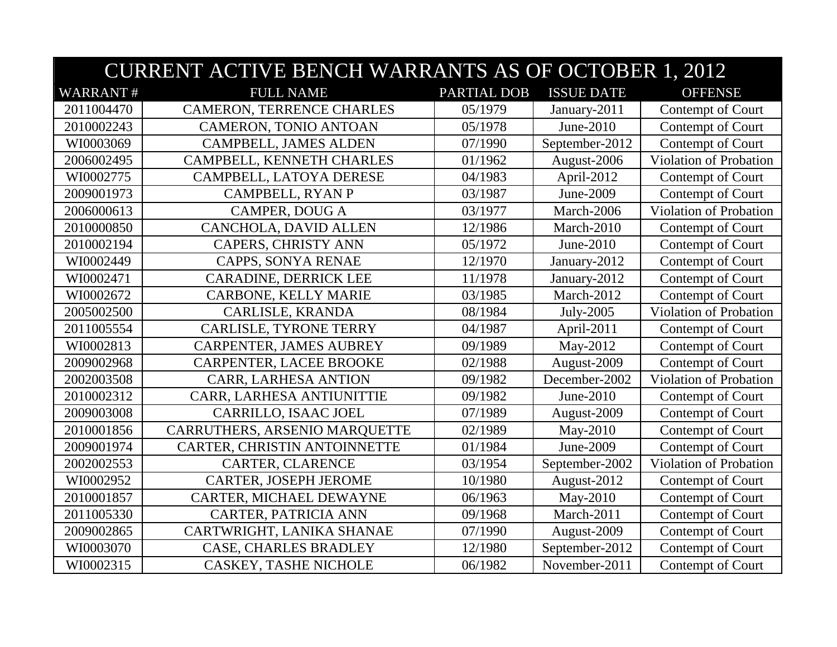|                 | <b>CURRENT ACTIVE BENCH WARRANTS AS OF OCTOBER 1, 2012</b> |             |                   |                        |  |  |
|-----------------|------------------------------------------------------------|-------------|-------------------|------------------------|--|--|
| <b>WARRANT#</b> | <b>FULL NAME</b>                                           | PARTIAL DOB | <b>ISSUE DATE</b> | <b>OFFENSE</b>         |  |  |
| 2011004470      | <b>CAMERON, TERRENCE CHARLES</b>                           | 05/1979     | January-2011      | Contempt of Court      |  |  |
| 2010002243      | <b>CAMERON, TONIO ANTOAN</b>                               | 05/1978     | June-2010         | Contempt of Court      |  |  |
| WI0003069       | <b>CAMPBELL, JAMES ALDEN</b>                               | 07/1990     | September-2012    | Contempt of Court      |  |  |
| 2006002495      | CAMPBELL, KENNETH CHARLES                                  | 01/1962     | August-2006       | Violation of Probation |  |  |
| WI0002775       | CAMPBELL, LATOYA DERESE                                    | 04/1983     | April-2012        | Contempt of Court      |  |  |
| 2009001973      | CAMPBELL, RYAN P                                           | 03/1987     | June-2009         | Contempt of Court      |  |  |
| 2006000613      | <b>CAMPER, DOUG A</b>                                      | 03/1977     | March-2006        | Violation of Probation |  |  |
| 2010000850      | CANCHOLA, DAVID ALLEN                                      | 12/1986     | March-2010        | Contempt of Court      |  |  |
| 2010002194      | <b>CAPERS, CHRISTY ANN</b>                                 | 05/1972     | June-2010         | Contempt of Court      |  |  |
| WI0002449       | CAPPS, SONYA RENAE                                         | 12/1970     | January-2012      | Contempt of Court      |  |  |
| WI0002471       | CARADINE, DERRICK LEE                                      | 11/1978     | January-2012      | Contempt of Court      |  |  |
| WI0002672       | CARBONE, KELLY MARIE                                       | 03/1985     | March-2012        | Contempt of Court      |  |  |
| 2005002500      | CARLISLE, KRANDA                                           | 08/1984     | July-2005         | Violation of Probation |  |  |
| 2011005554      | <b>CARLISLE, TYRONE TERRY</b>                              | 04/1987     | April-2011        | Contempt of Court      |  |  |
| WI0002813       | <b>CARPENTER, JAMES AUBREY</b>                             | 09/1989     | May-2012          | Contempt of Court      |  |  |
| 2009002968      | CARPENTER, LACEE BROOKE                                    | 02/1988     | August-2009       | Contempt of Court      |  |  |
| 2002003508      | CARR, LARHESA ANTION                                       | 09/1982     | December-2002     | Violation of Probation |  |  |
| 2010002312      | CARR, LARHESA ANTIUNITTIE                                  | 09/1982     | June-2010         | Contempt of Court      |  |  |
| 2009003008      | CARRILLO, ISAAC JOEL                                       | 07/1989     | August-2009       | Contempt of Court      |  |  |
| 2010001856      | CARRUTHERS, ARSENIO MARQUETTE                              | 02/1989     | May-2010          | Contempt of Court      |  |  |
| 2009001974      | CARTER, CHRISTIN ANTOINNETTE                               | 01/1984     | June-2009         | Contempt of Court      |  |  |
| 2002002553      | CARTER, CLARENCE                                           | 03/1954     | September-2002    | Violation of Probation |  |  |
| WI0002952       | <b>CARTER, JOSEPH JEROME</b>                               | 10/1980     | August-2012       | Contempt of Court      |  |  |
| 2010001857      | CARTER, MICHAEL DEWAYNE                                    | 06/1963     | May-2010          | Contempt of Court      |  |  |
| 2011005330      | <b>CARTER, PATRICIA ANN</b>                                | 09/1968     | March-2011        | Contempt of Court      |  |  |
| 2009002865      | CARTWRIGHT, LANIKA SHANAE                                  | 07/1990     | August-2009       | Contempt of Court      |  |  |
| WI0003070       | CASE, CHARLES BRADLEY                                      | 12/1980     | September-2012    | Contempt of Court      |  |  |
| WI0002315       | <b>CASKEY, TASHE NICHOLE</b>                               | 06/1982     | November-2011     | Contempt of Court      |  |  |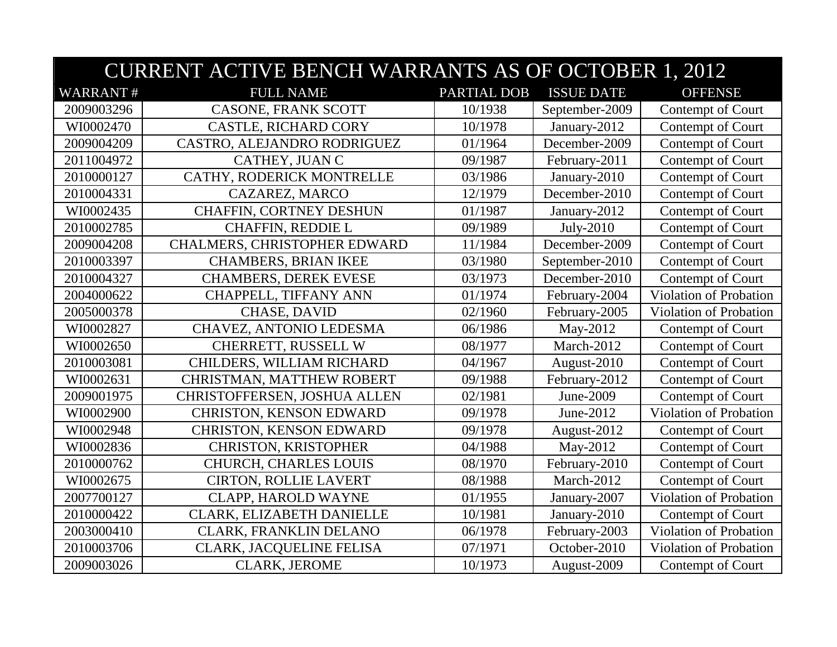|                 | <b>CURRENT ACTIVE BENCH WARRANTS AS OF OCTOBER 1, 2012</b> |             |                   |                        |  |
|-----------------|------------------------------------------------------------|-------------|-------------------|------------------------|--|
| <b>WARRANT#</b> | <b>FULL NAME</b>                                           | PARTIAL DOB | <b>ISSUE DATE</b> | <b>OFFENSE</b>         |  |
| 2009003296      | CASONE, FRANK SCOTT                                        | 10/1938     | September-2009    | Contempt of Court      |  |
| WI0002470       | <b>CASTLE, RICHARD CORY</b>                                | 10/1978     | January-2012      | Contempt of Court      |  |
| 2009004209      | CASTRO, ALEJANDRO RODRIGUEZ                                | 01/1964     | December-2009     | Contempt of Court      |  |
| 2011004972      | CATHEY, JUAN C                                             | 09/1987     | February-2011     | Contempt of Court      |  |
| 2010000127      | CATHY, RODERICK MONTRELLE                                  | 03/1986     | January-2010      | Contempt of Court      |  |
| 2010004331      | CAZAREZ, MARCO                                             | 12/1979     | December-2010     | Contempt of Court      |  |
| WI0002435       | CHAFFIN, CORTNEY DESHUN                                    | 01/1987     | January-2012      | Contempt of Court      |  |
| 2010002785      | CHAFFIN, REDDIE L                                          | 09/1989     | July-2010         | Contempt of Court      |  |
| 2009004208      | CHALMERS, CHRISTOPHER EDWARD                               | 11/1984     | December-2009     | Contempt of Court      |  |
| 2010003397      | <b>CHAMBERS, BRIAN IKEE</b>                                | 03/1980     | September-2010    | Contempt of Court      |  |
| 2010004327      | <b>CHAMBERS, DEREK EVESE</b>                               | 03/1973     | December-2010     | Contempt of Court      |  |
| 2004000622      | CHAPPELL, TIFFANY ANN                                      | 01/1974     | February-2004     | Violation of Probation |  |
| 2005000378      | <b>CHASE, DAVID</b>                                        | 02/1960     | February-2005     | Violation of Probation |  |
| WI0002827       | CHAVEZ, ANTONIO LEDESMA                                    | 06/1986     | May-2012          | Contempt of Court      |  |
| WI0002650       | CHERRETT, RUSSELL W                                        | 08/1977     | March-2012        | Contempt of Court      |  |
| 2010003081      | CHILDERS, WILLIAM RICHARD                                  | 04/1967     | August-2010       | Contempt of Court      |  |
| WI0002631       | CHRISTMAN, MATTHEW ROBERT                                  | 09/1988     | February-2012     | Contempt of Court      |  |
| 2009001975      | CHRISTOFFERSEN, JOSHUA ALLEN                               | 02/1981     | June-2009         | Contempt of Court      |  |
| WI0002900       | CHRISTON, KENSON EDWARD                                    | 09/1978     | June-2012         | Violation of Probation |  |
| WI0002948       | CHRISTON, KENSON EDWARD                                    | 09/1978     | August-2012       | Contempt of Court      |  |
| WI0002836       | CHRISTON, KRISTOPHER                                       | 04/1988     | May-2012          | Contempt of Court      |  |
| 2010000762      | <b>CHURCH, CHARLES LOUIS</b>                               | 08/1970     | February-2010     | Contempt of Court      |  |
| WI0002675       | <b>CIRTON, ROLLIE LAVERT</b>                               | 08/1988     | March-2012        | Contempt of Court      |  |
| 2007700127      | CLAPP, HAROLD WAYNE                                        | 01/1955     | January-2007      | Violation of Probation |  |
| 2010000422      | CLARK, ELIZABETH DANIELLE                                  | 10/1981     | January-2010      | Contempt of Court      |  |
| 2003000410      | CLARK, FRANKLIN DELANO                                     | 06/1978     | February-2003     | Violation of Probation |  |
| 2010003706      | CLARK, JACQUELINE FELISA                                   | 07/1971     | October-2010      | Violation of Probation |  |
| 2009003026      | <b>CLARK, JEROME</b>                                       | 10/1973     | August-2009       | Contempt of Court      |  |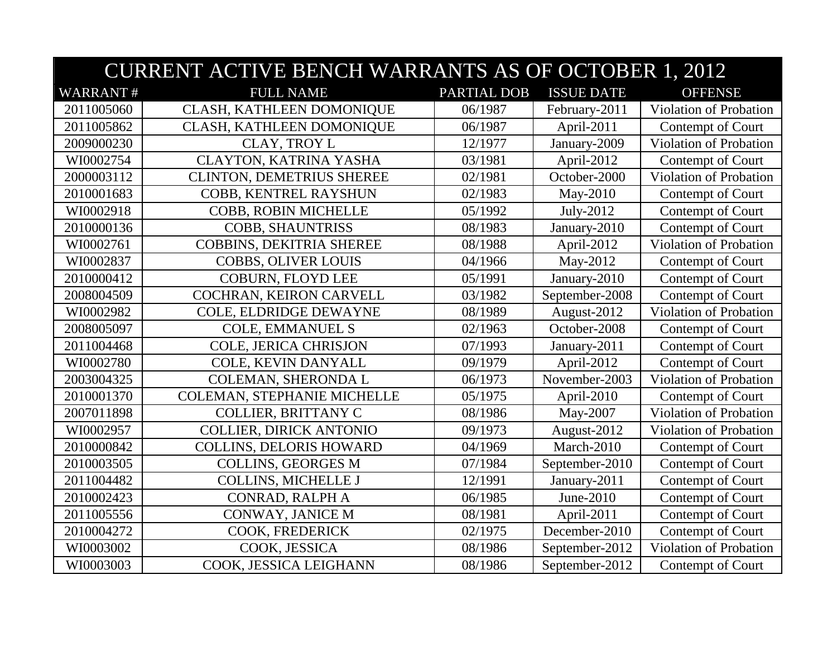|                 | <b>CURRENT ACTIVE BENCH WARRANTS AS OF OCTOBER 1, 2012</b> |                    |                   |                               |  |
|-----------------|------------------------------------------------------------|--------------------|-------------------|-------------------------------|--|
| <b>WARRANT#</b> | <b>FULL NAME</b>                                           | <b>PARTIAL DOB</b> | <b>ISSUE DATE</b> | <b>OFFENSE</b>                |  |
| 2011005060      | CLASH, KATHLEEN DOMONIQUE                                  | 06/1987            | February-2011     | Violation of Probation        |  |
| 2011005862      | CLASH, KATHLEEN DOMONIQUE                                  | 06/1987            | April-2011        | Contempt of Court             |  |
| 2009000230      | <b>CLAY, TROY L</b>                                        | 12/1977            | January-2009      | Violation of Probation        |  |
| WI0002754       | CLAYTON, KATRINA YASHA                                     | 03/1981            | April-2012        | Contempt of Court             |  |
| 2000003112      | CLINTON, DEMETRIUS SHEREE                                  | 02/1981            | October-2000      | Violation of Probation        |  |
| 2010001683      | COBB, KENTREL RAYSHUN                                      | 02/1983            | May-2010          | Contempt of Court             |  |
| WI0002918       | <b>COBB, ROBIN MICHELLE</b>                                | 05/1992            | July-2012         | Contempt of Court             |  |
| 2010000136      | <b>COBB, SHAUNTRISS</b>                                    | 08/1983            | January-2010      | Contempt of Court             |  |
| WI0002761       | <b>COBBINS, DEKITRIA SHEREE</b>                            | 08/1988            | April-2012        | <b>Violation of Probation</b> |  |
| WI0002837       | <b>COBBS, OLIVER LOUIS</b>                                 | 04/1966            | May-2012          | Contempt of Court             |  |
| 2010000412      | <b>COBURN, FLOYD LEE</b>                                   | 05/1991            | January-2010      | Contempt of Court             |  |
| 2008004509      | COCHRAN, KEIRON CARVELL                                    | 03/1982            | September-2008    | Contempt of Court             |  |
| WI0002982       | COLE, ELDRIDGE DEWAYNE                                     | 08/1989            | August-2012       | Violation of Probation        |  |
| 2008005097      | <b>COLE, EMMANUEL S</b>                                    | 02/1963            | October-2008      | Contempt of Court             |  |
| 2011004468      | COLE, JERICA CHRISJON                                      | 07/1993            | January-2011      | Contempt of Court             |  |
| WI0002780       | COLE, KEVIN DANYALL                                        | 09/1979            | April-2012        | Contempt of Court             |  |
| 2003004325      | COLEMAN, SHERONDA L                                        | 06/1973            | November-2003     | Violation of Probation        |  |
| 2010001370      | COLEMAN, STEPHANIE MICHELLE                                | 05/1975            | April-2010        | Contempt of Court             |  |
| 2007011898      | <b>COLLIER, BRITTANY C</b>                                 | 08/1986            | May-2007          | Violation of Probation        |  |
| WI0002957       | <b>COLLIER, DIRICK ANTONIO</b>                             | 09/1973            | August-2012       | <b>Violation of Probation</b> |  |
| 2010000842      | <b>COLLINS, DELORIS HOWARD</b>                             | 04/1969            | March-2010        | Contempt of Court             |  |
| 2010003505      | <b>COLLINS, GEORGES M</b>                                  | 07/1984            | September-2010    | Contempt of Court             |  |
| 2011004482      | <b>COLLINS, MICHELLE J</b>                                 | 12/1991            | January-2011      | Contempt of Court             |  |
| 2010002423      | CONRAD, RALPH A                                            | 06/1985            | June-2010         | Contempt of Court             |  |
| 2011005556      | CONWAY, JANICE M                                           | 08/1981            | April-2011        | Contempt of Court             |  |
| 2010004272      | COOK, FREDERICK                                            | 02/1975            | December-2010     | Contempt of Court             |  |
| WI0003002       | COOK, JESSICA                                              | 08/1986            | September-2012    | Violation of Probation        |  |
| WI0003003       | COOK, JESSICA LEIGHANN                                     | 08/1986            | September-2012    | Contempt of Court             |  |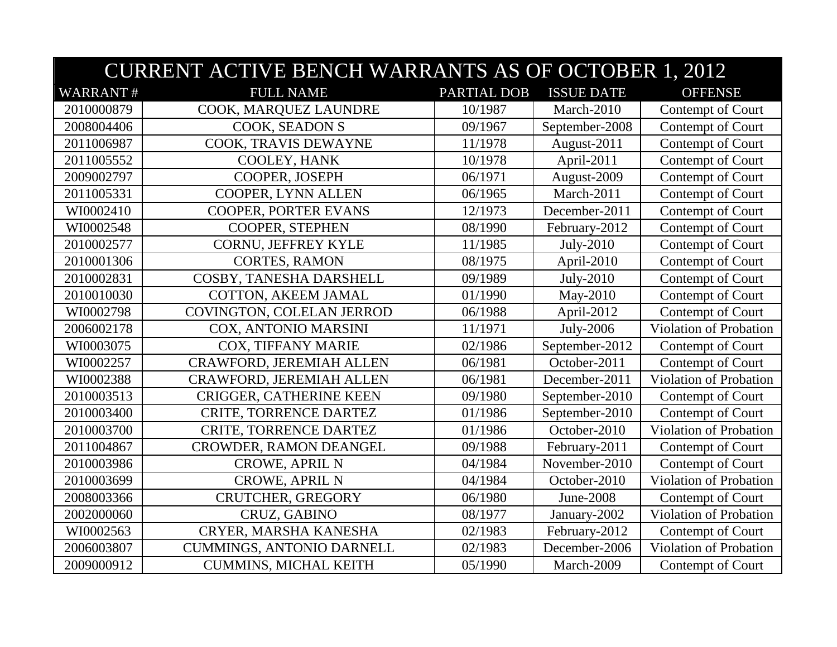|                 | <b>CURRENT ACTIVE BENCH WARRANTS AS OF OCTOBER 1, 2012</b> |             |                   |                               |  |
|-----------------|------------------------------------------------------------|-------------|-------------------|-------------------------------|--|
| <b>WARRANT#</b> | <b>FULL NAME</b>                                           | PARTIAL DOB | <b>ISSUE DATE</b> | <b>OFFENSE</b>                |  |
| 2010000879      | COOK, MARQUEZ LAUNDRE                                      | 10/1987     | March-2010        | Contempt of Court             |  |
| 2008004406      | COOK, SEADON S                                             | 09/1967     | September-2008    | Contempt of Court             |  |
| 2011006987      | COOK, TRAVIS DEWAYNE                                       | 11/1978     | August-2011       | Contempt of Court             |  |
| 2011005552      | COOLEY, HANK                                               | 10/1978     | April-2011        | Contempt of Court             |  |
| 2009002797      | COOPER, JOSEPH                                             | 06/1971     | August-2009       | Contempt of Court             |  |
| 2011005331      | COOPER, LYNN ALLEN                                         | 06/1965     | March-2011        | Contempt of Court             |  |
| WI0002410       | COOPER, PORTER EVANS                                       | 12/1973     | December-2011     | Contempt of Court             |  |
| WI0002548       | COOPER, STEPHEN                                            | 08/1990     | February-2012     | Contempt of Court             |  |
| 2010002577      | CORNU, JEFFREY KYLE                                        | 11/1985     | July-2010         | Contempt of Court             |  |
| 2010001306      | <b>CORTES, RAMON</b>                                       | 08/1975     | April-2010        | Contempt of Court             |  |
| 2010002831      | COSBY, TANESHA DARSHELL                                    | 09/1989     | July-2010         | Contempt of Court             |  |
| 2010010030      | COTTON, AKEEM JAMAL                                        | 01/1990     | May-2010          | Contempt of Court             |  |
| WI0002798       | COVINGTON, COLELAN JERROD                                  | 06/1988     | April-2012        | Contempt of Court             |  |
| 2006002178      | COX, ANTONIO MARSINI                                       | 11/1971     | July-2006         | Violation of Probation        |  |
| WI0003075       | COX, TIFFANY MARIE                                         | 02/1986     | September-2012    | Contempt of Court             |  |
| WI0002257       | <b>CRAWFORD, JEREMIAH ALLEN</b>                            | 06/1981     | October-2011      | Contempt of Court             |  |
| WI0002388       | <b>CRAWFORD, JEREMIAH ALLEN</b>                            | 06/1981     | December-2011     | Violation of Probation        |  |
| 2010003513      | <b>CRIGGER, CATHERINE KEEN</b>                             | 09/1980     | September-2010    | Contempt of Court             |  |
| 2010003400      | <b>CRITE, TORRENCE DARTEZ</b>                              | 01/1986     | September-2010    | Contempt of Court             |  |
| 2010003700      | <b>CRITE, TORRENCE DARTEZ</b>                              | 01/1986     | October-2010      | Violation of Probation        |  |
| 2011004867      | CROWDER, RAMON DEANGEL                                     | 09/1988     | February-2011     | Contempt of Court             |  |
| 2010003986      | <b>CROWE, APRIL N</b>                                      | 04/1984     | November-2010     | Contempt of Court             |  |
| 2010003699      | <b>CROWE, APRIL N</b>                                      | 04/1984     | October-2010      | <b>Violation of Probation</b> |  |
| 2008003366      | CRUTCHER, GREGORY                                          | 06/1980     | June-2008         | Contempt of Court             |  |
| 2002000060      | CRUZ, GABINO                                               | 08/1977     | January-2002      | <b>Violation of Probation</b> |  |
| WI0002563       | CRYER, MARSHA KANESHA                                      | 02/1983     | February-2012     | Contempt of Court             |  |
| 2006003807      | <b>CUMMINGS, ANTONIO DARNELL</b>                           | 02/1983     | December-2006     | Violation of Probation        |  |
| 2009000912      | <b>CUMMINS, MICHAL KEITH</b>                               | 05/1990     | March-2009        | Contempt of Court             |  |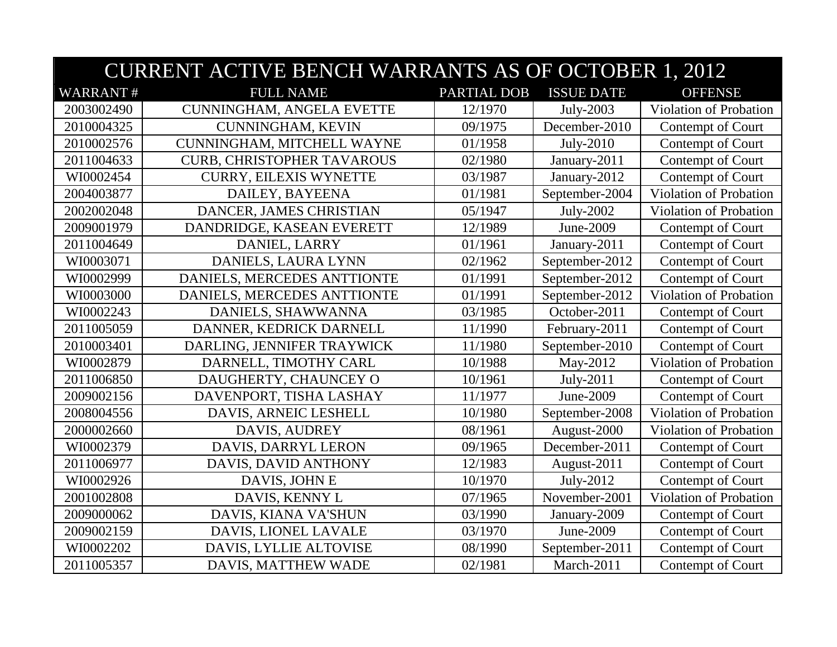|                 | <b>CURRENT ACTIVE BENCH WARRANTS AS OF OCTOBER 1, 2012</b> |                    |                   |                               |  |
|-----------------|------------------------------------------------------------|--------------------|-------------------|-------------------------------|--|
| <b>WARRANT#</b> | <b>FULL NAME</b>                                           | <b>PARTIAL DOB</b> | <b>ISSUE DATE</b> | <b>OFFENSE</b>                |  |
| 2003002490      | CUNNINGHAM, ANGELA EVETTE                                  | 12/1970            | July-2003         | Violation of Probation        |  |
| 2010004325      | <b>CUNNINGHAM, KEVIN</b>                                   | 09/1975            | December-2010     | Contempt of Court             |  |
| 2010002576      | CUNNINGHAM, MITCHELL WAYNE                                 | 01/1958            | $July-2010$       | Contempt of Court             |  |
| 2011004633      | <b>CURB, CHRISTOPHER TAVAROUS</b>                          | 02/1980            | January-2011      | Contempt of Court             |  |
| WI0002454       | <b>CURRY, EILEXIS WYNETTE</b>                              | 03/1987            | January-2012      | Contempt of Court             |  |
| 2004003877      | DAILEY, BAYEENA                                            | 01/1981            | September-2004    | Violation of Probation        |  |
| 2002002048      | DANCER, JAMES CHRISTIAN                                    | 05/1947            | July-2002         | Violation of Probation        |  |
| 2009001979      | DANDRIDGE, KASEAN EVERETT                                  | 12/1989            | June-2009         | Contempt of Court             |  |
| 2011004649      | DANIEL, LARRY                                              | 01/1961            | January-2011      | Contempt of Court             |  |
| WI0003071       | DANIELS, LAURA LYNN                                        | 02/1962            | September-2012    | Contempt of Court             |  |
| WI0002999       | DANIELS, MERCEDES ANTTIONTE                                | 01/1991            | September-2012    | Contempt of Court             |  |
| WI0003000       | DANIELS, MERCEDES ANTTIONTE                                | 01/1991            | September-2012    | Violation of Probation        |  |
| WI0002243       | DANIELS, SHAWWANNA                                         | 03/1985            | October-2011      | Contempt of Court             |  |
| 2011005059      | DANNER, KEDRICK DARNELL                                    | 11/1990            | February-2011     | Contempt of Court             |  |
| 2010003401      | DARLING, JENNIFER TRAYWICK                                 | 11/1980            | September-2010    | Contempt of Court             |  |
| WI0002879       | DARNELL, TIMOTHY CARL                                      | 10/1988            | May-2012          | <b>Violation of Probation</b> |  |
| 2011006850      | DAUGHERTY, CHAUNCEY O                                      | 10/1961            | July-2011         | Contempt of Court             |  |
| 2009002156      | DAVENPORT, TISHA LASHAY                                    | 11/1977            | June-2009         | Contempt of Court             |  |
| 2008004556      | DAVIS, ARNEIC LESHELL                                      | 10/1980            | September-2008    | Violation of Probation        |  |
| 2000002660      | DAVIS, AUDREY                                              | 08/1961            | August-2000       | Violation of Probation        |  |
| WI0002379       | DAVIS, DARRYL LERON                                        | 09/1965            | December-2011     | Contempt of Court             |  |
| 2011006977      | DAVIS, DAVID ANTHONY                                       | 12/1983            | August-2011       | Contempt of Court             |  |
| WI0002926       | DAVIS, JOHN E                                              | 10/1970            | July-2012         | Contempt of Court             |  |
| 2001002808      | DAVIS, KENNY L                                             | 07/1965            | November-2001     | Violation of Probation        |  |
| 2009000062      | DAVIS, KIANA VA'SHUN                                       | 03/1990            | January-2009      | Contempt of Court             |  |
| 2009002159      | DAVIS, LIONEL LAVALE                                       | 03/1970            | June-2009         | Contempt of Court             |  |
| WI0002202       | DAVIS, LYLLIE ALTOVISE                                     | 08/1990            | September-2011    | Contempt of Court             |  |
| 2011005357      | DAVIS, MATTHEW WADE                                        | 02/1981            | March-2011        | Contempt of Court             |  |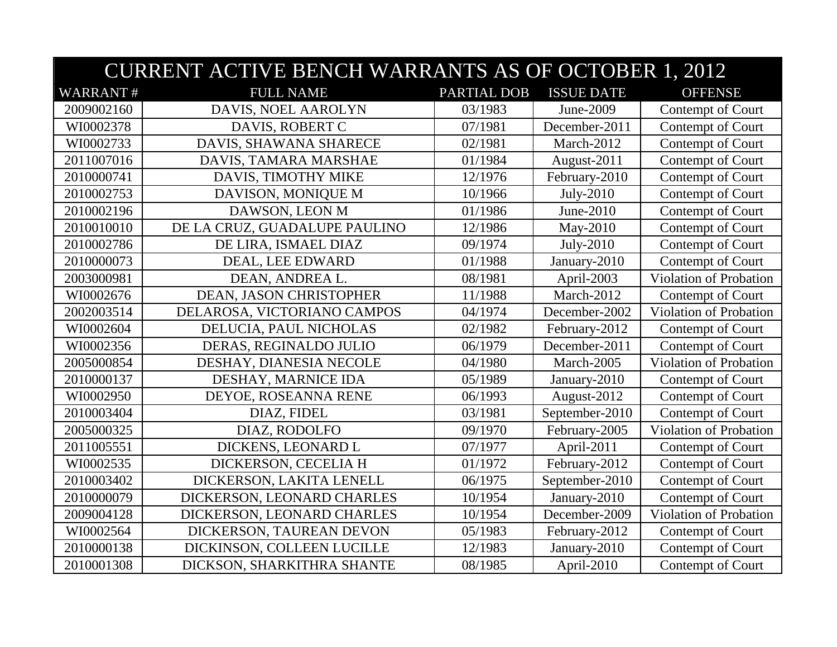|                 | <b>CURRENT ACTIVE BENCH WARRANTS AS OF OCTOBER 1, 2012</b> |             |                   |                               |  |
|-----------------|------------------------------------------------------------|-------------|-------------------|-------------------------------|--|
| <b>WARRANT#</b> | <b>FULL NAME</b>                                           | PARTIAL DOB | <b>ISSUE DATE</b> | <b>OFFENSE</b>                |  |
| 2009002160      | DAVIS, NOEL AAROLYN                                        | 03/1983     | June-2009         | Contempt of Court             |  |
| WI0002378       | DAVIS, ROBERT C                                            | 07/1981     | December-2011     | Contempt of Court             |  |
| WI0002733       | DAVIS, SHAWANA SHARECE                                     | 02/1981     | March-2012        | Contempt of Court             |  |
| 2011007016      | DAVIS, TAMARA MARSHAE                                      | 01/1984     | August-2011       | Contempt of Court             |  |
| 2010000741      | DAVIS, TIMOTHY MIKE                                        | 12/1976     | February-2010     | Contempt of Court             |  |
| 2010002753      | DAVISON, MONIQUE M                                         | 10/1966     | July-2010         | Contempt of Court             |  |
| 2010002196      | DAWSON, LEON M                                             | 01/1986     | June-2010         | Contempt of Court             |  |
| 2010010010      | DE LA CRUZ, GUADALUPE PAULINO                              | 12/1986     | May-2010          | Contempt of Court             |  |
| 2010002786      | DE LIRA, ISMAEL DIAZ                                       | 09/1974     | July-2010         | Contempt of Court             |  |
| 2010000073      | DEAL, LEE EDWARD                                           | 01/1988     | January-2010      | Contempt of Court             |  |
| 2003000981      | DEAN, ANDREA L.                                            | 08/1981     | April-2003        | Violation of Probation        |  |
| WI0002676       | DEAN, JASON CHRISTOPHER                                    | 11/1988     | March-2012        | Contempt of Court             |  |
| 2002003514      | DELAROSA, VICTORIANO CAMPOS                                | 04/1974     | December-2002     | Violation of Probation        |  |
| WI0002604       | DELUCIA, PAUL NICHOLAS                                     | 02/1982     | February-2012     | Contempt of Court             |  |
| WI0002356       | DERAS, REGINALDO JULIO                                     | 06/1979     | December-2011     | Contempt of Court             |  |
| 2005000854      | DESHAY, DIANESIA NECOLE                                    | 04/1980     | March-2005        | <b>Violation of Probation</b> |  |
| 2010000137      | DESHAY, MARNICE IDA                                        | 05/1989     | January-2010      | Contempt of Court             |  |
| WI0002950       | DEYOE, ROSEANNA RENE                                       | 06/1993     | August-2012       | Contempt of Court             |  |
| 2010003404      | DIAZ, FIDEL                                                | 03/1981     | September-2010    | Contempt of Court             |  |
| 2005000325      | DIAZ, RODOLFO                                              | 09/1970     | February-2005     | Violation of Probation        |  |
| 2011005551      | DICKENS, LEONARD L                                         | 07/1977     | April-2011        | Contempt of Court             |  |
| WI0002535       | DICKERSON, CECELIA H                                       | 01/1972     | February-2012     | Contempt of Court             |  |
| 2010003402      | DICKERSON, LAKITA LENELL                                   | 06/1975     | September-2010    | Contempt of Court             |  |
| 2010000079      | DICKERSON, LEONARD CHARLES                                 | 10/1954     | January-2010      | Contempt of Court             |  |
| 2009004128      | DICKERSON, LEONARD CHARLES                                 | 10/1954     | December-2009     | <b>Violation of Probation</b> |  |
| WI0002564       | DICKERSON, TAUREAN DEVON                                   | 05/1983     | February-2012     | Contempt of Court             |  |
| 2010000138      | DICKINSON, COLLEEN LUCILLE                                 | 12/1983     | January-2010      | Contempt of Court             |  |
| 2010001308      | DICKSON, SHARKITHRA SHANTE                                 | 08/1985     | April-2010        | Contempt of Court             |  |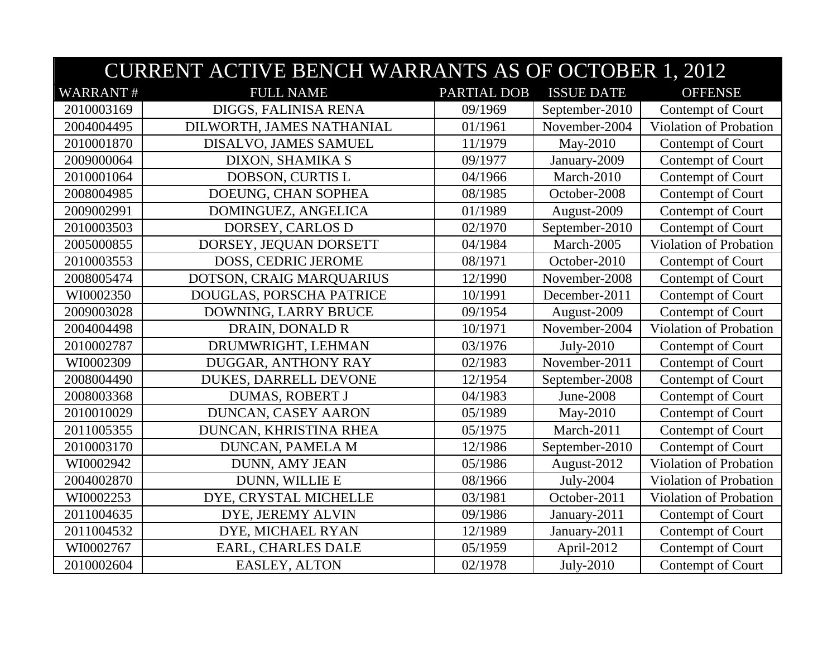|                 | <b>CURRENT ACTIVE BENCH WARRANTS AS OF OCTOBER 1, 2012</b> |                    |                   |                               |  |
|-----------------|------------------------------------------------------------|--------------------|-------------------|-------------------------------|--|
| <b>WARRANT#</b> | <b>FULL NAME</b>                                           | <b>PARTIAL DOB</b> | <b>ISSUE DATE</b> | <b>OFFENSE</b>                |  |
| 2010003169      | DIGGS, FALINISA RENA                                       | 09/1969            | September-2010    | Contempt of Court             |  |
| 2004004495      | DILWORTH, JAMES NATHANIAL                                  | 01/1961            | November-2004     | <b>Violation of Probation</b> |  |
| 2010001870      | DISALVO, JAMES SAMUEL                                      | 11/1979            | May-2010          | Contempt of Court             |  |
| 2009000064      | DIXON, SHAMIKA S                                           | 09/1977            | January-2009      | Contempt of Court             |  |
| 2010001064      | DOBSON, CURTIS L                                           | 04/1966            | March-2010        | Contempt of Court             |  |
| 2008004985      | DOEUNG, CHAN SOPHEA                                        | 08/1985            | October-2008      | Contempt of Court             |  |
| 2009002991      | DOMINGUEZ, ANGELICA                                        | 01/1989            | August-2009       | Contempt of Court             |  |
| 2010003503      | DORSEY, CARLOS D                                           | 02/1970            | September-2010    | Contempt of Court             |  |
| 2005000855      | DORSEY, JEQUAN DORSETT                                     | 04/1984            | March-2005        | Violation of Probation        |  |
| 2010003553      | DOSS, CEDRIC JEROME                                        | 08/1971            | October-2010      | Contempt of Court             |  |
| 2008005474      | DOTSON, CRAIG MARQUARIUS                                   | 12/1990            | November-2008     | Contempt of Court             |  |
| WI0002350       | DOUGLAS, PORSCHA PATRICE                                   | 10/1991            | December-2011     | Contempt of Court             |  |
| 2009003028      | DOWNING, LARRY BRUCE                                       | 09/1954            | August-2009       | Contempt of Court             |  |
| 2004004498      | DRAIN, DONALD R                                            | 10/1971            | November-2004     | Violation of Probation        |  |
| 2010002787      | DRUMWRIGHT, LEHMAN                                         | 03/1976            | July-2010         | Contempt of Court             |  |
| WI0002309       | DUGGAR, ANTHONY RAY                                        | 02/1983            | November-2011     | Contempt of Court             |  |
| 2008004490      | DUKES, DARRELL DEVONE                                      | 12/1954            | September-2008    | Contempt of Court             |  |
| 2008003368      | <b>DUMAS, ROBERT J</b>                                     | 04/1983            | June-2008         | Contempt of Court             |  |
| 2010010029      | DUNCAN, CASEY AARON                                        | 05/1989            | May-2010          | Contempt of Court             |  |
| 2011005355      | DUNCAN, KHRISTINA RHEA                                     | 05/1975            | March-2011        | Contempt of Court             |  |
| 2010003170      | DUNCAN, PAMELA M                                           | 12/1986            | September-2010    | Contempt of Court             |  |
| WI0002942       | DUNN, AMY JEAN                                             | 05/1986            | August-2012       | Violation of Probation        |  |
| 2004002870      | DUNN, WILLIE E                                             | 08/1966            | July-2004         | Violation of Probation        |  |
| WI0002253       | DYE, CRYSTAL MICHELLE                                      | 03/1981            | October-2011      | Violation of Probation        |  |
| 2011004635      | DYE, JEREMY ALVIN                                          | 09/1986            | January-2011      | Contempt of Court             |  |
| 2011004532      | DYE, MICHAEL RYAN                                          | 12/1989            | January-2011      | Contempt of Court             |  |
| WI0002767       | EARL, CHARLES DALE                                         | 05/1959            | April-2012        | Contempt of Court             |  |
| 2010002604      | <b>EASLEY, ALTON</b>                                       | 02/1978            | July-2010         | Contempt of Court             |  |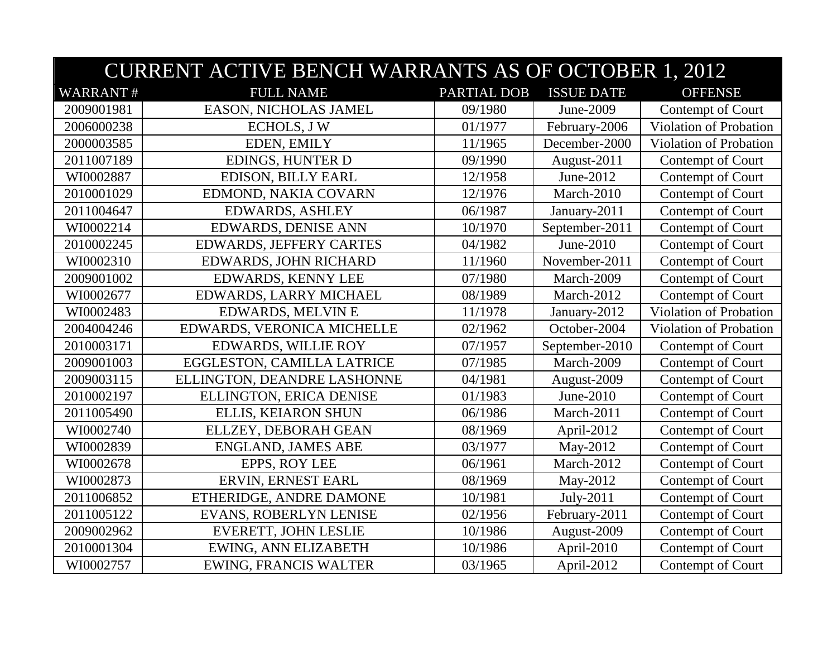|                 | <b>CURRENT ACTIVE BENCH WARRANTS AS OF OCTOBER 1, 2012</b> |                    |                   |                        |  |
|-----------------|------------------------------------------------------------|--------------------|-------------------|------------------------|--|
| <b>WARRANT#</b> | <b>FULL NAME</b>                                           | <b>PARTIAL DOB</b> | <b>ISSUE DATE</b> | <b>OFFENSE</b>         |  |
| 2009001981      | EASON, NICHOLAS JAMEL                                      | 09/1980            | June-2009         | Contempt of Court      |  |
| 2006000238      | <b>ECHOLS, JW</b>                                          | 01/1977            | February-2006     | Violation of Probation |  |
| 2000003585      | EDEN, EMILY                                                | 11/1965            | December-2000     | Violation of Probation |  |
| 2011007189      | <b>EDINGS, HUNTER D</b>                                    | 09/1990            | August-2011       | Contempt of Court      |  |
| WI0002887       | <b>EDISON, BILLY EARL</b>                                  | 12/1958            | June-2012         | Contempt of Court      |  |
| 2010001029      | EDMOND, NAKIA COVARN                                       | 12/1976            | March-2010        | Contempt of Court      |  |
| 2011004647      | <b>EDWARDS, ASHLEY</b>                                     | 06/1987            | January-2011      | Contempt of Court      |  |
| WI0002214       | <b>EDWARDS, DENISE ANN</b>                                 | 10/1970            | September-2011    | Contempt of Court      |  |
| 2010002245      | <b>EDWARDS, JEFFERY CARTES</b>                             | 04/1982            | June-2010         | Contempt of Court      |  |
| WI0002310       | EDWARDS, JOHN RICHARD                                      | 11/1960            | November-2011     | Contempt of Court      |  |
| 2009001002      | <b>EDWARDS, KENNY LEE</b>                                  | 07/1980            | March-2009        | Contempt of Court      |  |
| WI0002677       | EDWARDS, LARRY MICHAEL                                     | 08/1989            | March-2012        | Contempt of Court      |  |
| WI0002483       | <b>EDWARDS, MELVIN E</b>                                   | 11/1978            | January-2012      | Violation of Probation |  |
| 2004004246      | EDWARDS, VERONICA MICHELLE                                 | 02/1962            | October-2004      | Violation of Probation |  |
| 2010003171      | <b>EDWARDS, WILLIE ROY</b>                                 | 07/1957            | September-2010    | Contempt of Court      |  |
| 2009001003      | EGGLESTON, CAMILLA LATRICE                                 | 07/1985            | March-2009        | Contempt of Court      |  |
| 2009003115      | ELLINGTON, DEANDRE LASHONNE                                | 04/1981            | August-2009       | Contempt of Court      |  |
| 2010002197      | ELLINGTON, ERICA DENISE                                    | 01/1983            | June-2010         | Contempt of Court      |  |
| 2011005490      | ELLIS, KEIARON SHUN                                        | 06/1986            | March-2011        | Contempt of Court      |  |
| WI0002740       | ELLZEY, DEBORAH GEAN                                       | 08/1969            | April-2012        | Contempt of Court      |  |
| WI0002839       | <b>ENGLAND, JAMES ABE</b>                                  | 03/1977            | May-2012          | Contempt of Court      |  |
| WI0002678       | EPPS, ROY LEE                                              | 06/1961            | March-2012        | Contempt of Court      |  |
| WI0002873       | ERVIN, ERNEST EARL                                         | 08/1969            | May-2012          | Contempt of Court      |  |
| 2011006852      | ETHERIDGE, ANDRE DAMONE                                    | 10/1981            | July-2011         | Contempt of Court      |  |
| 2011005122      | EVANS, ROBERLYN LENISE                                     | 02/1956            | February-2011     | Contempt of Court      |  |
| 2009002962      | EVERETT, JOHN LESLIE                                       | 10/1986            | August-2009       | Contempt of Court      |  |
| 2010001304      | EWING, ANN ELIZABETH                                       | 10/1986            | April-2010        | Contempt of Court      |  |
| WI0002757       | <b>EWING, FRANCIS WALTER</b>                               | 03/1965            | April-2012        | Contempt of Court      |  |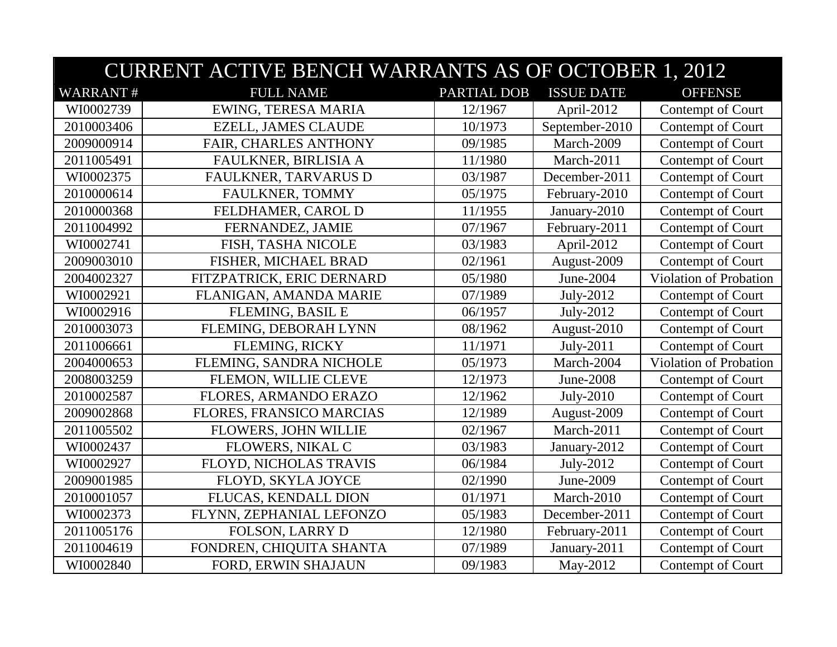|                 | <b>CURRENT ACTIVE BENCH WARRANTS AS OF OCTOBER 1, 2012</b> |                    |                   |                               |  |
|-----------------|------------------------------------------------------------|--------------------|-------------------|-------------------------------|--|
| <b>WARRANT#</b> | <b>FULL NAME</b>                                           | <b>PARTIAL DOB</b> | <b>ISSUE DATE</b> | <b>OFFENSE</b>                |  |
| WI0002739       | EWING, TERESA MARIA                                        | 12/1967            | April-2012        | Contempt of Court             |  |
| 2010003406      | <b>EZELL, JAMES CLAUDE</b>                                 | 10/1973            | September-2010    | Contempt of Court             |  |
| 2009000914      | FAIR, CHARLES ANTHONY                                      | 09/1985            | March-2009        | Contempt of Court             |  |
| 2011005491      | FAULKNER, BIRLISIA A                                       | 11/1980            | March-2011        | Contempt of Court             |  |
| WI0002375       | FAULKNER, TARVARUS D                                       | 03/1987            | December-2011     | Contempt of Court             |  |
| 2010000614      | FAULKNER, TOMMY                                            | 05/1975            | February-2010     | Contempt of Court             |  |
| 2010000368      | FELDHAMER, CAROL D                                         | 11/1955            | January-2010      | Contempt of Court             |  |
| 2011004992      | FERNANDEZ, JAMIE                                           | 07/1967            | February-2011     | Contempt of Court             |  |
| WI0002741       | FISH, TASHA NICOLE                                         | 03/1983            | April-2012        | Contempt of Court             |  |
| 2009003010      | FISHER, MICHAEL BRAD                                       | 02/1961            | August-2009       | Contempt of Court             |  |
| 2004002327      | FITZPATRICK, ERIC DERNARD                                  | 05/1980            | June-2004         | <b>Violation of Probation</b> |  |
| WI0002921       | FLANIGAN, AMANDA MARIE                                     | 07/1989            | July-2012         | Contempt of Court             |  |
| WI0002916       | FLEMING, BASIL E                                           | 06/1957            | July-2012         | Contempt of Court             |  |
| 2010003073      | FLEMING, DEBORAH LYNN                                      | 08/1962            | August-2010       | Contempt of Court             |  |
| 2011006661      | FLEMING, RICKY                                             | 11/1971            | July-2011         | Contempt of Court             |  |
| 2004000653      | FLEMING, SANDRA NICHOLE                                    | 05/1973            | March-2004        | Violation of Probation        |  |
| 2008003259      | FLEMON, WILLIE CLEVE                                       | 12/1973            | June-2008         | Contempt of Court             |  |
| 2010002587      | FLORES, ARMANDO ERAZO                                      | 12/1962            | July-2010         | Contempt of Court             |  |
| 2009002868      | FLORES, FRANSICO MARCIAS                                   | 12/1989            | August-2009       | Contempt of Court             |  |
| 2011005502      | FLOWERS, JOHN WILLIE                                       | 02/1967            | March-2011        | Contempt of Court             |  |
| WI0002437       | FLOWERS, NIKAL C                                           | 03/1983            | January-2012      | Contempt of Court             |  |
| WI0002927       | FLOYD, NICHOLAS TRAVIS                                     | 06/1984            | July-2012         | Contempt of Court             |  |
| 2009001985      | FLOYD, SKYLA JOYCE                                         | 02/1990            | June-2009         | Contempt of Court             |  |
| 2010001057      | FLUCAS, KENDALL DION                                       | 01/1971            | March-2010        | Contempt of Court             |  |
| WI0002373       | FLYNN, ZEPHANIAL LEFONZO                                   | 05/1983            | December-2011     | Contempt of Court             |  |
| 2011005176      | <b>FOLSON, LARRY D</b>                                     | 12/1980            | February-2011     | Contempt of Court             |  |
| 2011004619      | FONDREN, CHIQUITA SHANTA                                   | 07/1989            | January-2011      | Contempt of Court             |  |
| WI0002840       | FORD, ERWIN SHAJAUN                                        | 09/1983            | May-2012          | Contempt of Court             |  |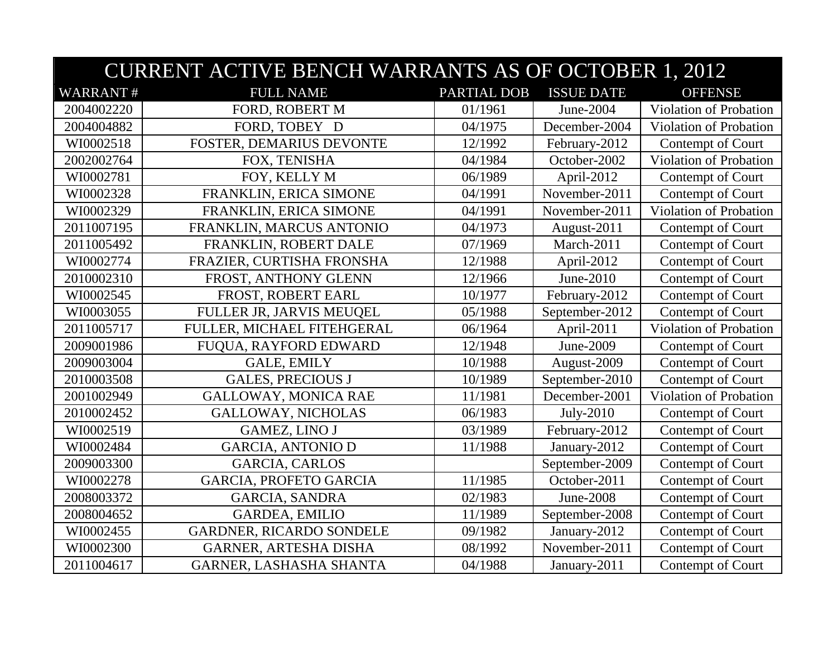|                 | <b>CURRENT ACTIVE BENCH WARRANTS AS OF OCTOBER 1, 2012</b> |             |                   |                               |  |
|-----------------|------------------------------------------------------------|-------------|-------------------|-------------------------------|--|
| <b>WARRANT#</b> | <b>FULL NAME</b>                                           | PARTIAL DOB | <b>ISSUE DATE</b> | <b>OFFENSE</b>                |  |
| 2004002220      | FORD, ROBERT M                                             | 01/1961     | June-2004         | Violation of Probation        |  |
| 2004004882      | FORD, TOBEY D                                              | 04/1975     | December-2004     | Violation of Probation        |  |
| WI0002518       | FOSTER, DEMARIUS DEVONTE                                   | 12/1992     | February-2012     | Contempt of Court             |  |
| 2002002764      | FOX, TENISHA                                               | 04/1984     | October-2002      | Violation of Probation        |  |
| WI0002781       | FOY, KELLY M                                               | 06/1989     | April-2012        | Contempt of Court             |  |
| WI0002328       | FRANKLIN, ERICA SIMONE                                     | 04/1991     | November-2011     | Contempt of Court             |  |
| WI0002329       | FRANKLIN, ERICA SIMONE                                     | 04/1991     | November-2011     | <b>Violation of Probation</b> |  |
| 2011007195      | FRANKLIN, MARCUS ANTONIO                                   | 04/1973     | August-2011       | Contempt of Court             |  |
| 2011005492      | FRANKLIN, ROBERT DALE                                      | 07/1969     | March-2011        | Contempt of Court             |  |
| WI0002774       | FRAZIER, CURTISHA FRONSHA                                  | 12/1988     | April-2012        | Contempt of Court             |  |
| 2010002310      | FROST, ANTHONY GLENN                                       | 12/1966     | June-2010         | Contempt of Court             |  |
| WI0002545       | FROST, ROBERT EARL                                         | 10/1977     | February-2012     | Contempt of Court             |  |
| WI0003055       | FULLER JR, JARVIS MEUQEL                                   | 05/1988     | September-2012    | Contempt of Court             |  |
| 2011005717      | FULLER, MICHAEL FITEHGERAL                                 | 06/1964     | April-2011        | <b>Violation of Probation</b> |  |
| 2009001986      | FUQUA, RAYFORD EDWARD                                      | 12/1948     | June-2009         | Contempt of Court             |  |
| 2009003004      | <b>GALE, EMILY</b>                                         | 10/1988     | August-2009       | Contempt of Court             |  |
| 2010003508      | <b>GALES, PRECIOUS J</b>                                   | 10/1989     | September-2010    | Contempt of Court             |  |
| 2001002949      | <b>GALLOWAY, MONICA RAE</b>                                | 11/1981     | December-2001     | <b>Violation of Probation</b> |  |
| 2010002452      | <b>GALLOWAY, NICHOLAS</b>                                  | 06/1983     | $July-2010$       | Contempt of Court             |  |
| WI0002519       | <b>GAMEZ, LINO J</b>                                       | 03/1989     | February-2012     | Contempt of Court             |  |
| WI0002484       | <b>GARCIA, ANTONIO D</b>                                   | 11/1988     | January-2012      | Contempt of Court             |  |
| 2009003300      | <b>GARCIA, CARLOS</b>                                      |             | September-2009    | Contempt of Court             |  |
| WI0002278       | <b>GARCIA, PROFETO GARCIA</b>                              | 11/1985     | October-2011      | Contempt of Court             |  |
| 2008003372      | <b>GARCIA, SANDRA</b>                                      | 02/1983     | June-2008         | Contempt of Court             |  |
| 2008004652      | <b>GARDEA, EMILIO</b>                                      | 11/1989     | September-2008    | Contempt of Court             |  |
| WI0002455       | GARDNER, RICARDO SONDELE                                   | 09/1982     | January-2012      | Contempt of Court             |  |
| WI0002300       | GARNER, ARTESHA DISHA                                      | 08/1992     | November-2011     | Contempt of Court             |  |
| 2011004617      | GARNER, LASHASHA SHANTA                                    | 04/1988     | January-2011      | Contempt of Court             |  |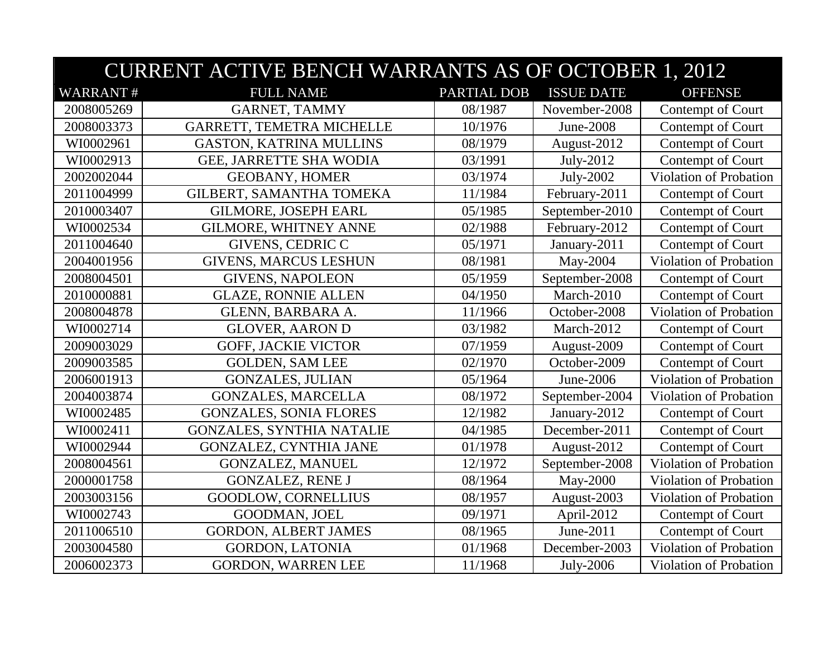|                 | <b>CURRENT ACTIVE BENCH WARRANTS AS OF OCTOBER 1, 2012</b> |             |                   |                               |  |
|-----------------|------------------------------------------------------------|-------------|-------------------|-------------------------------|--|
| <b>WARRANT#</b> | <b>FULL NAME</b>                                           | PARTIAL DOB | <b>ISSUE DATE</b> | <b>OFFENSE</b>                |  |
| 2008005269      | <b>GARNET, TAMMY</b>                                       | 08/1987     | November-2008     | Contempt of Court             |  |
| 2008003373      | GARRETT, TEMETRA MICHELLE                                  | 10/1976     | June-2008         | Contempt of Court             |  |
| WI0002961       | <b>GASTON, KATRINA MULLINS</b>                             | 08/1979     | August-2012       | Contempt of Court             |  |
| WI0002913       | GEE, JARRETTE SHA WODIA                                    | 03/1991     | July-2012         | Contempt of Court             |  |
| 2002002044      | <b>GEOBANY, HOMER</b>                                      | 03/1974     | July-2002         | Violation of Probation        |  |
| 2011004999      | GILBERT, SAMANTHA TOMEKA                                   | 11/1984     | February-2011     | Contempt of Court             |  |
| 2010003407      | <b>GILMORE, JOSEPH EARL</b>                                | 05/1985     | September-2010    | Contempt of Court             |  |
| WI0002534       | <b>GILMORE, WHITNEY ANNE</b>                               | 02/1988     | February-2012     | Contempt of Court             |  |
| 2011004640      | <b>GIVENS, CEDRIC C</b>                                    | 05/1971     | January-2011      | Contempt of Court             |  |
| 2004001956      | <b>GIVENS, MARCUS LESHUN</b>                               | 08/1981     | May-2004          | Violation of Probation        |  |
| 2008004501      | <b>GIVENS, NAPOLEON</b>                                    | 05/1959     | September-2008    | Contempt of Court             |  |
| 2010000881      | <b>GLAZE, RONNIE ALLEN</b>                                 | 04/1950     | March-2010        | Contempt of Court             |  |
| 2008004878      | GLENN, BARBARA A.                                          | 11/1966     | October-2008      | Violation of Probation        |  |
| WI0002714       | <b>GLOVER, AARON D</b>                                     | 03/1982     | March-2012        | Contempt of Court             |  |
| 2009003029      | <b>GOFF, JACKIE VICTOR</b>                                 | 07/1959     | August-2009       | Contempt of Court             |  |
| 2009003585      | <b>GOLDEN, SAM LEE</b>                                     | 02/1970     | October-2009      | Contempt of Court             |  |
| 2006001913      | <b>GONZALES, JULIAN</b>                                    | 05/1964     | June-2006         | Violation of Probation        |  |
| 2004003874      | <b>GONZALES, MARCELLA</b>                                  | 08/1972     | September-2004    | <b>Violation of Probation</b> |  |
| WI0002485       | <b>GONZALES, SONIA FLORES</b>                              | 12/1982     | January-2012      | Contempt of Court             |  |
| WI0002411       | <b>GONZALES, SYNTHIA NATALIE</b>                           | 04/1985     | December-2011     | Contempt of Court             |  |
| WI0002944       | <b>GONZALEZ, CYNTHIA JANE</b>                              | 01/1978     | August-2012       | Contempt of Court             |  |
| 2008004561      | <b>GONZALEZ, MANUEL</b>                                    | 12/1972     | September-2008    | Violation of Probation        |  |
| 2000001758      | <b>GONZALEZ, RENE J</b>                                    | 08/1964     | May-2000          | <b>Violation of Probation</b> |  |
| 2003003156      | <b>GOODLOW, CORNELLIUS</b>                                 | 08/1957     | August-2003       | Violation of Probation        |  |
| WI0002743       | GOODMAN, JOEL                                              | 09/1971     | April-2012        | Contempt of Court             |  |
| 2011006510      | <b>GORDON, ALBERT JAMES</b>                                | 08/1965     | June-2011         | Contempt of Court             |  |
| 2003004580      | <b>GORDON, LATONIA</b>                                     | 01/1968     | December-2003     | Violation of Probation        |  |
| 2006002373      | <b>GORDON, WARREN LEE</b>                                  | 11/1968     | July-2006         | Violation of Probation        |  |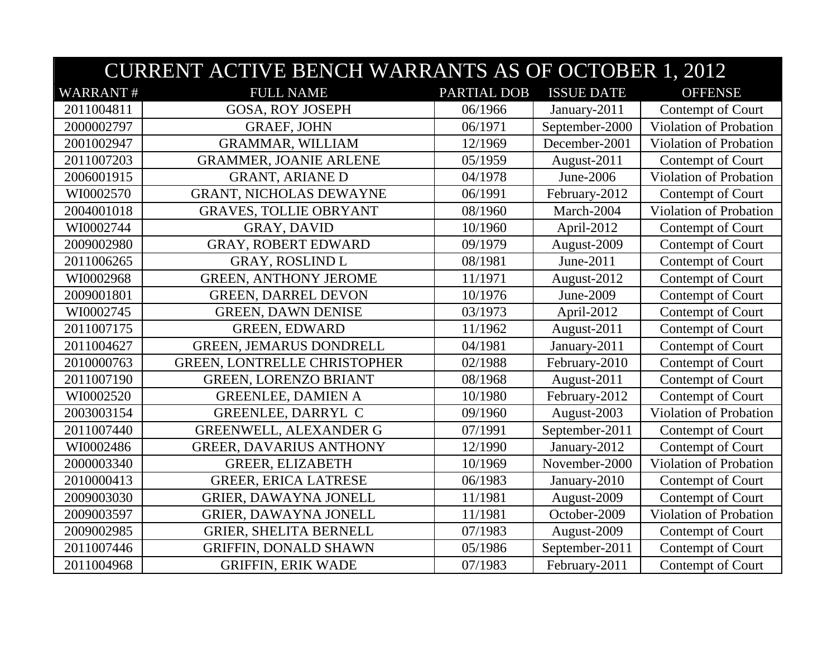|                 | <b>CURRENT ACTIVE BENCH WARRANTS AS OF OCTOBER 1, 2012</b> |             |                   |                               |  |
|-----------------|------------------------------------------------------------|-------------|-------------------|-------------------------------|--|
| <b>WARRANT#</b> | <b>FULL NAME</b>                                           | PARTIAL DOB | <b>ISSUE DATE</b> | <b>OFFENSE</b>                |  |
| 2011004811      | <b>GOSA, ROY JOSEPH</b>                                    | 06/1966     | January-2011      | Contempt of Court             |  |
| 2000002797      | <b>GRAEF, JOHN</b>                                         | 06/1971     | September-2000    | Violation of Probation        |  |
| 2001002947      | <b>GRAMMAR, WILLIAM</b>                                    | 12/1969     | December-2001     | Violation of Probation        |  |
| 2011007203      | <b>GRAMMER, JOANIE ARLENE</b>                              | 05/1959     | August-2011       | Contempt of Court             |  |
| 2006001915      | <b>GRANT, ARIANE D</b>                                     | 04/1978     | June-2006         | <b>Violation of Probation</b> |  |
| WI0002570       | <b>GRANT, NICHOLAS DEWAYNE</b>                             | 06/1991     | February-2012     | Contempt of Court             |  |
| 2004001018      | <b>GRAVES, TOLLIE OBRYANT</b>                              | 08/1960     | March-2004        | Violation of Probation        |  |
| WI0002744       | <b>GRAY, DAVID</b>                                         | 10/1960     | April-2012        | Contempt of Court             |  |
| 2009002980      | <b>GRAY, ROBERT EDWARD</b>                                 | 09/1979     | August-2009       | Contempt of Court             |  |
| 2011006265      | <b>GRAY, ROSLIND L</b>                                     | 08/1981     | June-2011         | Contempt of Court             |  |
| WI0002968       | <b>GREEN, ANTHONY JEROME</b>                               | 11/1971     | August-2012       | Contempt of Court             |  |
| 2009001801      | <b>GREEN, DARREL DEVON</b>                                 | 10/1976     | June-2009         | Contempt of Court             |  |
| WI0002745       | <b>GREEN, DAWN DENISE</b>                                  | 03/1973     | April-2012        | Contempt of Court             |  |
| 2011007175      | <b>GREEN, EDWARD</b>                                       | 11/1962     | August-2011       | Contempt of Court             |  |
| 2011004627      | GREEN, JEMARUS DONDRELL                                    | 04/1981     | January-2011      | Contempt of Court             |  |
| 2010000763      | <b>GREEN, LONTRELLE CHRISTOPHER</b>                        | 02/1988     | February-2010     | Contempt of Court             |  |
| 2011007190      | <b>GREEN, LORENZO BRIANT</b>                               | 08/1968     | August-2011       | Contempt of Court             |  |
| WI0002520       | <b>GREENLEE, DAMIEN A</b>                                  | 10/1980     | February-2012     | Contempt of Court             |  |
| 2003003154      | GREENLEE, DARRYL C                                         | 09/1960     | August-2003       | Violation of Probation        |  |
| 2011007440      | <b>GREENWELL, ALEXANDER G</b>                              | 07/1991     | September-2011    | Contempt of Court             |  |
| WI0002486       | <b>GREER, DAVARIUS ANTHONY</b>                             | 12/1990     | January-2012      | Contempt of Court             |  |
| 2000003340      | <b>GREER, ELIZABETH</b>                                    | 10/1969     | November-2000     | Violation of Probation        |  |
| 2010000413      | <b>GREER, ERICA LATRESE</b>                                | 06/1983     | January-2010      | Contempt of Court             |  |
| 2009003030      | <b>GRIER, DAWAYNA JONELL</b>                               | 11/1981     | August-2009       | Contempt of Court             |  |
| 2009003597      | GRIER, DAWAYNA JONELL                                      | 11/1981     | October-2009      | <b>Violation of Probation</b> |  |
| 2009002985      | <b>GRIER, SHELITA BERNELL</b>                              | 07/1983     | August-2009       | Contempt of Court             |  |
| 2011007446      | <b>GRIFFIN, DONALD SHAWN</b>                               | 05/1986     | September-2011    | Contempt of Court             |  |
| 2011004968      | <b>GRIFFIN, ERIK WADE</b>                                  | 07/1983     | February-2011     | Contempt of Court             |  |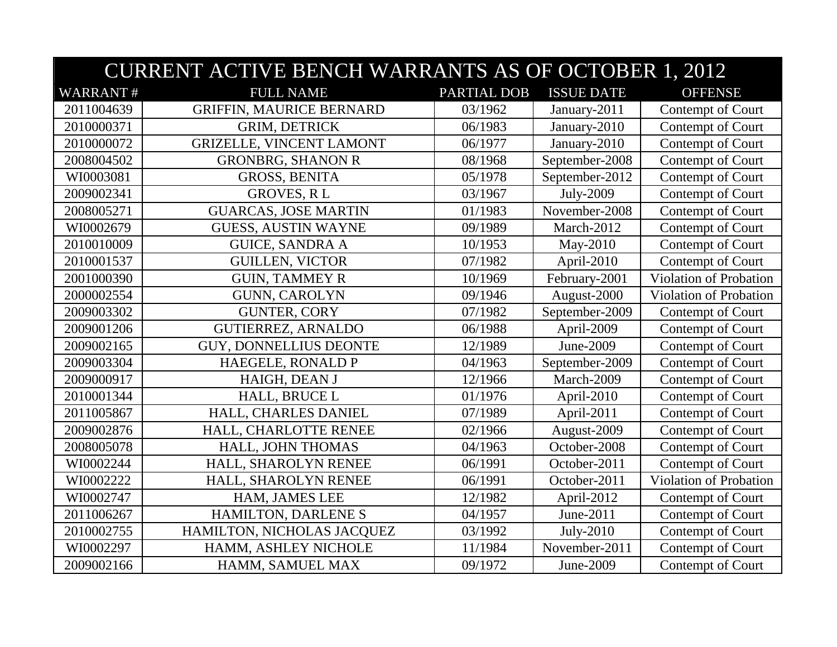|                 | <b>CURRENT ACTIVE BENCH WARRANTS AS OF OCTOBER 1, 2012</b> |                    |                   |                               |  |  |
|-----------------|------------------------------------------------------------|--------------------|-------------------|-------------------------------|--|--|
| <b>WARRANT#</b> | <b>FULL NAME</b>                                           | <b>PARTIAL DOB</b> | <b>ISSUE DATE</b> | <b>OFFENSE</b>                |  |  |
| 2011004639      | <b>GRIFFIN, MAURICE BERNARD</b>                            | 03/1962            | January-2011      | Contempt of Court             |  |  |
| 2010000371      | <b>GRIM, DETRICK</b>                                       | 06/1983            | January-2010      | Contempt of Court             |  |  |
| 2010000072      | <b>GRIZELLE, VINCENT LAMONT</b>                            | 06/1977            | January-2010      | Contempt of Court             |  |  |
| 2008004502      | <b>GRONBRG, SHANON R</b>                                   | 08/1968            | September-2008    | Contempt of Court             |  |  |
| WI0003081       | <b>GROSS, BENITA</b>                                       | 05/1978            | September-2012    | Contempt of Court             |  |  |
| 2009002341      | <b>GROVES, RL</b>                                          | 03/1967            | July-2009         | Contempt of Court             |  |  |
| 2008005271      | <b>GUARCAS, JOSE MARTIN</b>                                | 01/1983            | November-2008     | Contempt of Court             |  |  |
| WI0002679       | <b>GUESS, AUSTIN WAYNE</b>                                 | 09/1989            | March-2012        | Contempt of Court             |  |  |
| 2010010009      | <b>GUICE, SANDRA A</b>                                     | 10/1953            | May-2010          | Contempt of Court             |  |  |
| 2010001537      | <b>GUILLEN, VICTOR</b>                                     | 07/1982            | April-2010        | Contempt of Court             |  |  |
| 2001000390      | <b>GUIN, TAMMEY R</b>                                      | 10/1969            | February-2001     | Violation of Probation        |  |  |
| 2000002554      | <b>GUNN, CAROLYN</b>                                       | 09/1946            | August-2000       | Violation of Probation        |  |  |
| 2009003302      | <b>GUNTER, CORY</b>                                        | 07/1982            | September-2009    | Contempt of Court             |  |  |
| 2009001206      | <b>GUTIERREZ, ARNALDO</b>                                  | 06/1988            | April-2009        | Contempt of Court             |  |  |
| 2009002165      | <b>GUY, DONNELLIUS DEONTE</b>                              | 12/1989            | June-2009         | Contempt of Court             |  |  |
| 2009003304      | HAEGELE, RONALD P                                          | 04/1963            | September-2009    | Contempt of Court             |  |  |
| 2009000917      | HAIGH, DEAN J                                              | 12/1966            | March-2009        | Contempt of Court             |  |  |
| 2010001344      | HALL, BRUCE L                                              | 01/1976            | April-2010        | Contempt of Court             |  |  |
| 2011005867      | HALL, CHARLES DANIEL                                       | 07/1989            | April-2011        | Contempt of Court             |  |  |
| 2009002876      | HALL, CHARLOTTE RENEE                                      | 02/1966            | August-2009       | Contempt of Court             |  |  |
| 2008005078      | HALL, JOHN THOMAS                                          | 04/1963            | October-2008      | Contempt of Court             |  |  |
| WI0002244       | HALL, SHAROLYN RENEE                                       | 06/1991            | October-2011      | Contempt of Court             |  |  |
| WI0002222       | HALL, SHAROLYN RENEE                                       | 06/1991            | October-2011      | <b>Violation of Probation</b> |  |  |
| WI0002747       | HAM, JAMES LEE                                             | 12/1982            | April-2012        | Contempt of Court             |  |  |
| 2011006267      | HAMILTON, DARLENE S                                        | 04/1957            | June-2011         | Contempt of Court             |  |  |
| 2010002755      | HAMILTON, NICHOLAS JACQUEZ                                 | 03/1992            | July-2010         | Contempt of Court             |  |  |
| WI0002297       | HAMM, ASHLEY NICHOLE                                       | 11/1984            | November-2011     | Contempt of Court             |  |  |
| 2009002166      | HAMM, SAMUEL MAX                                           | 09/1972            | June-2009         | Contempt of Court             |  |  |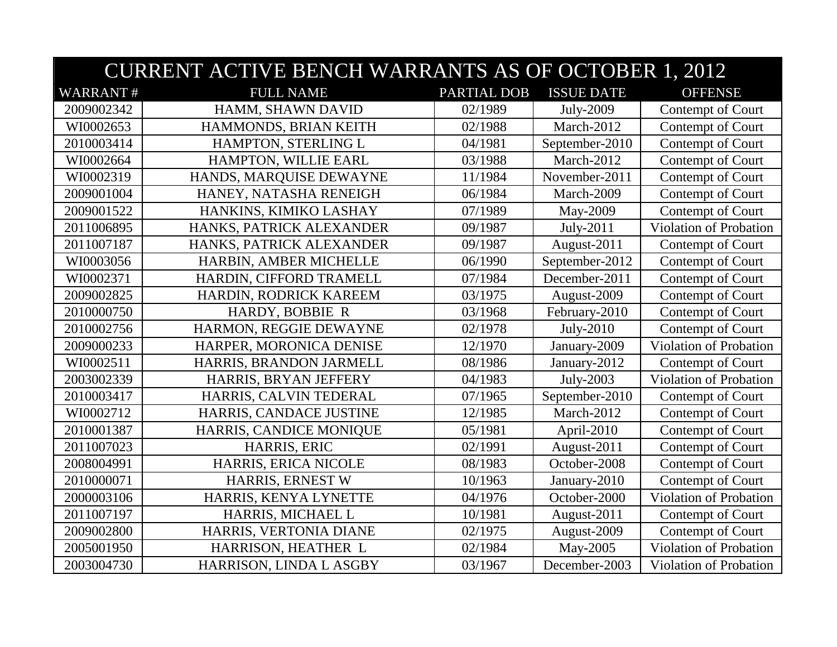|                 | <b>CURRENT ACTIVE BENCH WARRANTS AS OF OCTOBER 1, 2012</b> |             |                   |                        |  |
|-----------------|------------------------------------------------------------|-------------|-------------------|------------------------|--|
| <b>WARRANT#</b> | <b>FULL NAME</b>                                           | PARTIAL DOB | <b>ISSUE DATE</b> | <b>OFFENSE</b>         |  |
| 2009002342      | HAMM, SHAWN DAVID                                          | 02/1989     | July-2009         | Contempt of Court      |  |
| WI0002653       | HAMMONDS, BRIAN KEITH                                      | 02/1988     | March-2012        | Contempt of Court      |  |
| 2010003414      | HAMPTON, STERLING L                                        | 04/1981     | September-2010    | Contempt of Court      |  |
| WI0002664       | HAMPTON, WILLIE EARL                                       | 03/1988     | March-2012        | Contempt of Court      |  |
| WI0002319       | HANDS, MARQUISE DEWAYNE                                    | 11/1984     | November-2011     | Contempt of Court      |  |
| 2009001004      | HANEY, NATASHA RENEIGH                                     | 06/1984     | March-2009        | Contempt of Court      |  |
| 2009001522      | HANKINS, KIMIKO LASHAY                                     | 07/1989     | May-2009          | Contempt of Court      |  |
| 2011006895      | HANKS, PATRICK ALEXANDER                                   | 09/1987     | July-2011         | Violation of Probation |  |
| 2011007187      | HANKS, PATRICK ALEXANDER                                   | 09/1987     | August-2011       | Contempt of Court      |  |
| WI0003056       | HARBIN, AMBER MICHELLE                                     | 06/1990     | September-2012    | Contempt of Court      |  |
| WI0002371       | HARDIN, CIFFORD TRAMELL                                    | 07/1984     | December-2011     | Contempt of Court      |  |
| 2009002825      | HARDIN, RODRICK KAREEM                                     | 03/1975     | August-2009       | Contempt of Court      |  |
| 2010000750      | HARDY, BOBBIE R                                            | 03/1968     | February-2010     | Contempt of Court      |  |
| 2010002756      | HARMON, REGGIE DEWAYNE                                     | 02/1978     | $July-2010$       | Contempt of Court      |  |
| 2009000233      | HARPER, MORONICA DENISE                                    | 12/1970     | January-2009      | Violation of Probation |  |
| WI0002511       | HARRIS, BRANDON JARMELL                                    | 08/1986     | January-2012      | Contempt of Court      |  |
| 2003002339      | HARRIS, BRYAN JEFFERY                                      | 04/1983     | July-2003         | Violation of Probation |  |
| 2010003417      | HARRIS, CALVIN TEDERAL                                     | 07/1965     | September-2010    | Contempt of Court      |  |
| WI0002712       | HARRIS, CANDACE JUSTINE                                    | 12/1985     | March-2012        | Contempt of Court      |  |
| 2010001387      | HARRIS, CANDICE MONIQUE                                    | 05/1981     | April-2010        | Contempt of Court      |  |
| 2011007023      | HARRIS, ERIC                                               | 02/1991     | August-2011       | Contempt of Court      |  |
| 2008004991      | HARRIS, ERICA NICOLE                                       | 08/1983     | October-2008      | Contempt of Court      |  |
| 2010000071      | HARRIS, ERNEST W                                           | 10/1963     | January-2010      | Contempt of Court      |  |
| 2000003106      | HARRIS, KENYA LYNETTE                                      | 04/1976     | October-2000      | Violation of Probation |  |
| 2011007197      | HARRIS, MICHAEL L                                          | 10/1981     | August-2011       | Contempt of Court      |  |
| 2009002800      | HARRIS, VERTONIA DIANE                                     | 02/1975     | August-2009       | Contempt of Court      |  |
| 2005001950      | HARRISON, HEATHER L                                        | 02/1984     | May-2005          | Violation of Probation |  |
| 2003004730      | HARRISON, LINDA L ASGBY                                    | 03/1967     | December-2003     | Violation of Probation |  |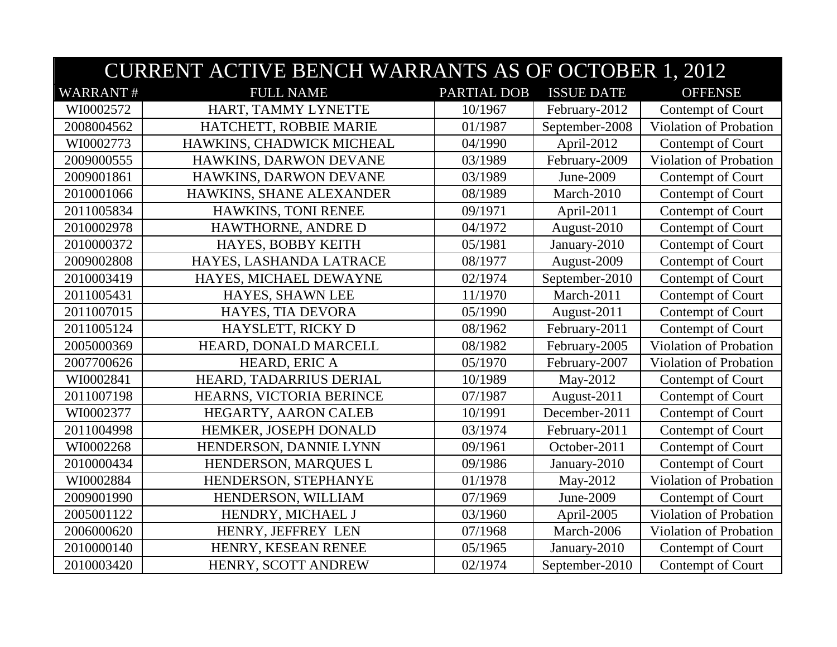|                 | <b>CURRENT ACTIVE BENCH WARRANTS AS OF OCTOBER 1, 2012</b> |                    |                   |                               |  |  |
|-----------------|------------------------------------------------------------|--------------------|-------------------|-------------------------------|--|--|
| <b>WARRANT#</b> | <b>FULL NAME</b>                                           | <b>PARTIAL DOB</b> | <b>ISSUE DATE</b> | <b>OFFENSE</b>                |  |  |
| WI0002572       | HART, TAMMY LYNETTE                                        | 10/1967            | February-2012     | Contempt of Court             |  |  |
| 2008004562      | HATCHETT, ROBBIE MARIE                                     | 01/1987            | September-2008    | <b>Violation of Probation</b> |  |  |
| WI0002773       | HAWKINS, CHADWICK MICHEAL                                  | 04/1990            | April-2012        | Contempt of Court             |  |  |
| 2009000555      | HAWKINS, DARWON DEVANE                                     | 03/1989            | February-2009     | Violation of Probation        |  |  |
| 2009001861      | HAWKINS, DARWON DEVANE                                     | 03/1989            | June-2009         | Contempt of Court             |  |  |
| 2010001066      | HAWKINS, SHANE ALEXANDER                                   | 08/1989            | March-2010        | Contempt of Court             |  |  |
| 2011005834      | HAWKINS, TONI RENEE                                        | 09/1971            | April-2011        | Contempt of Court             |  |  |
| 2010002978      | HAWTHORNE, ANDRE D                                         | 04/1972            | August-2010       | Contempt of Court             |  |  |
| 2010000372      | HAYES, BOBBY KEITH                                         | 05/1981            | January-2010      | Contempt of Court             |  |  |
| 2009002808      | HAYES, LASHANDA LATRACE                                    | 08/1977            | August-2009       | Contempt of Court             |  |  |
| 2010003419      | HAYES, MICHAEL DEWAYNE                                     | 02/1974            | September-2010    | Contempt of Court             |  |  |
| 2011005431      | HAYES, SHAWN LEE                                           | 11/1970            | March-2011        | Contempt of Court             |  |  |
| 2011007015      | HAYES, TIA DEVORA                                          | 05/1990            | August-2011       | Contempt of Court             |  |  |
| 2011005124      | HAYSLETT, RICKY D                                          | 08/1962            | February-2011     | Contempt of Court             |  |  |
| 2005000369      | HEARD, DONALD MARCELL                                      | 08/1982            | February-2005     | Violation of Probation        |  |  |
| 2007700626      | HEARD, ERIC A                                              | 05/1970            | February-2007     | Violation of Probation        |  |  |
| WI0002841       | HEARD, TADARRIUS DERIAL                                    | 10/1989            | May-2012          | Contempt of Court             |  |  |
| 2011007198      | HEARNS, VICTORIA BERINCE                                   | 07/1987            | August-2011       | Contempt of Court             |  |  |
| WI0002377       | HEGARTY, AARON CALEB                                       | 10/1991            | December-2011     | Contempt of Court             |  |  |
| 2011004998      | HEMKER, JOSEPH DONALD                                      | 03/1974            | February-2011     | Contempt of Court             |  |  |
| WI0002268       | HENDERSON, DANNIE LYNN                                     | 09/1961            | October-2011      | Contempt of Court             |  |  |
| 2010000434      | HENDERSON, MARQUES L                                       | 09/1986            | January-2010      | Contempt of Court             |  |  |
| WI0002884       | HENDERSON, STEPHANYE                                       | 01/1978            | May-2012          | Violation of Probation        |  |  |
| 2009001990      | HENDERSON, WILLIAM                                         | 07/1969            | June-2009         | Contempt of Court             |  |  |
| 2005001122      | HENDRY, MICHAEL J                                          | 03/1960            | April-2005        | Violation of Probation        |  |  |
| 2006000620      | HENRY, JEFFREY LEN                                         | 07/1968            | March-2006        | Violation of Probation        |  |  |
| 2010000140      | HENRY, KESEAN RENEE                                        | 05/1965            | January-2010      | Contempt of Court             |  |  |
| 2010003420      | HENRY, SCOTT ANDREW                                        | 02/1974            | September-2010    | Contempt of Court             |  |  |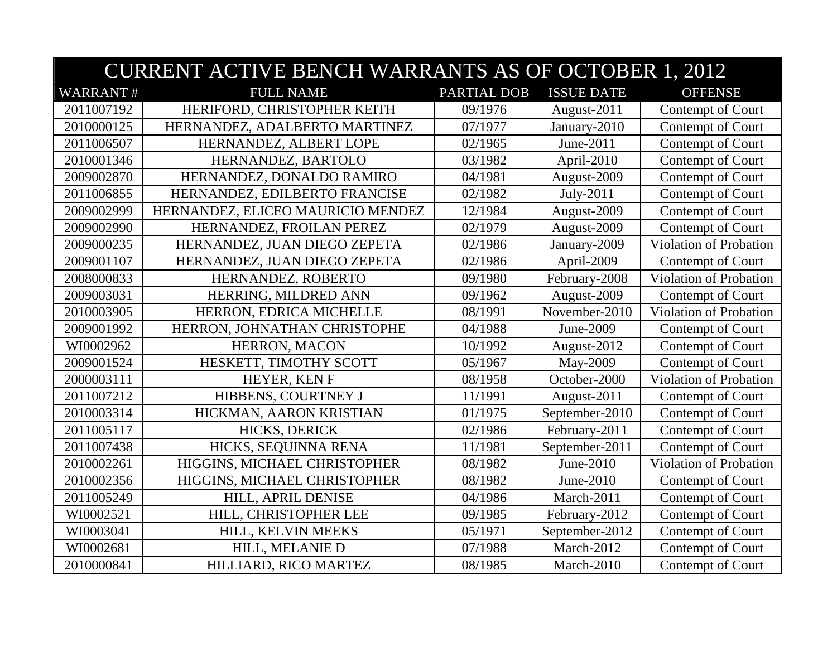| <b>CURRENT ACTIVE BENCH WARRANTS AS OF OCTOBER 1, 2012</b> |                                   |                    |                   |                               |
|------------------------------------------------------------|-----------------------------------|--------------------|-------------------|-------------------------------|
| <b>WARRANT#</b>                                            | <b>FULL NAME</b>                  | <b>PARTIAL DOB</b> | <b>ISSUE DATE</b> | <b>OFFENSE</b>                |
| 2011007192                                                 | HERIFORD, CHRISTOPHER KEITH       | 09/1976            | August-2011       | Contempt of Court             |
| 2010000125                                                 | HERNANDEZ, ADALBERTO MARTINEZ     | 07/1977            | January-2010      | Contempt of Court             |
| 2011006507                                                 | HERNANDEZ, ALBERT LOPE            | 02/1965            | June-2011         | Contempt of Court             |
| 2010001346                                                 | HERNANDEZ, BARTOLO                | 03/1982            | April-2010        | Contempt of Court             |
| 2009002870                                                 | HERNANDEZ, DONALDO RAMIRO         | 04/1981            | August-2009       | Contempt of Court             |
| 2011006855                                                 | HERNANDEZ, EDILBERTO FRANCISE     | 02/1982            | July-2011         | Contempt of Court             |
| 2009002999                                                 | HERNANDEZ, ELICEO MAURICIO MENDEZ | 12/1984            | August-2009       | Contempt of Court             |
| 2009002990                                                 | HERNANDEZ, FROILAN PEREZ          | 02/1979            | August-2009       | Contempt of Court             |
| 2009000235                                                 | HERNANDEZ, JUAN DIEGO ZEPETA      | 02/1986            | January-2009      | <b>Violation of Probation</b> |
| 2009001107                                                 | HERNANDEZ, JUAN DIEGO ZEPETA      | 02/1986            | April-2009        | Contempt of Court             |
| 2008000833                                                 | HERNANDEZ, ROBERTO                | 09/1980            | February-2008     | <b>Violation of Probation</b> |
| 2009003031                                                 | HERRING, MILDRED ANN              | 09/1962            | August-2009       | Contempt of Court             |
| 2010003905                                                 | HERRON, EDRICA MICHELLE           | 08/1991            | November-2010     | Violation of Probation        |
| 2009001992                                                 | HERRON, JOHNATHAN CHRISTOPHE      | 04/1988            | June-2009         | Contempt of Court             |
| WI0002962                                                  | HERRON, MACON                     | 10/1992            | August-2012       | Contempt of Court             |
| 2009001524                                                 | HESKETT, TIMOTHY SCOTT            | 05/1967            | May-2009          | Contempt of Court             |
| 2000003111                                                 | HEYER, KEN F                      | 08/1958            | October-2000      | Violation of Probation        |
| 2011007212                                                 | <b>HIBBENS, COURTNEY J</b>        | 11/1991            | August-2011       | Contempt of Court             |
| 2010003314                                                 | HICKMAN, AARON KRISTIAN           | 01/1975            | September-2010    | Contempt of Court             |
| 2011005117                                                 | HICKS, DERICK                     | 02/1986            | February-2011     | Contempt of Court             |
| 2011007438                                                 | HICKS, SEQUINNA RENA              | 11/1981            | September-2011    | Contempt of Court             |
| 2010002261                                                 | HIGGINS, MICHAEL CHRISTOPHER      | 08/1982            | June-2010         | Violation of Probation        |
| 2010002356                                                 | HIGGINS, MICHAEL CHRISTOPHER      | 08/1982            | June-2010         | Contempt of Court             |
| 2011005249                                                 | HILL, APRIL DENISE                | 04/1986            | March-2011        | Contempt of Court             |
| WI0002521                                                  | HILL, CHRISTOPHER LEE             | 09/1985            | February-2012     | Contempt of Court             |
| WI0003041                                                  | HILL, KELVIN MEEKS                | 05/1971            | September-2012    | Contempt of Court             |
| WI0002681                                                  | HILL, MELANIE D                   | 07/1988            | March-2012        | Contempt of Court             |
| 2010000841                                                 | HILLIARD, RICO MARTEZ             | 08/1985            | March-2010        | Contempt of Court             |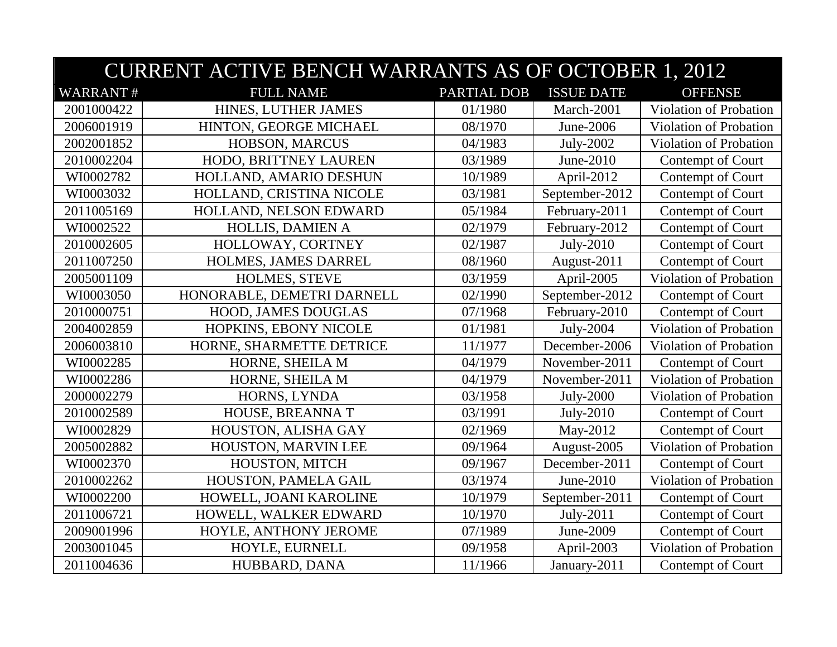|                 | <b>CURRENT ACTIVE BENCH WARRANTS AS OF OCTOBER 1, 2012</b> |                    |                   |                               |  |
|-----------------|------------------------------------------------------------|--------------------|-------------------|-------------------------------|--|
| <b>WARRANT#</b> | <b>FULL NAME</b>                                           | <b>PARTIAL DOB</b> | <b>ISSUE DATE</b> | <b>OFFENSE</b>                |  |
| 2001000422      | HINES, LUTHER JAMES                                        | 01/1980            | March-2001        | Violation of Probation        |  |
| 2006001919      | HINTON, GEORGE MICHAEL                                     | 08/1970            | June-2006         | Violation of Probation        |  |
| 2002001852      | HOBSON, MARCUS                                             | 04/1983            | July-2002         | Violation of Probation        |  |
| 2010002204      | HODO, BRITTNEY LAUREN                                      | 03/1989            | June-2010         | Contempt of Court             |  |
| WI0002782       | HOLLAND, AMARIO DESHUN                                     | 10/1989            | April-2012        | Contempt of Court             |  |
| WI0003032       | HOLLAND, CRISTINA NICOLE                                   | 03/1981            | September-2012    | Contempt of Court             |  |
| 2011005169      | HOLLAND, NELSON EDWARD                                     | 05/1984            | February-2011     | Contempt of Court             |  |
| WI0002522       | HOLLIS, DAMIEN A                                           | 02/1979            | February-2012     | Contempt of Court             |  |
| 2010002605      | HOLLOWAY, CORTNEY                                          | 02/1987            | July-2010         | Contempt of Court             |  |
| 2011007250      | HOLMES, JAMES DARREL                                       | 08/1960            | August-2011       | Contempt of Court             |  |
| 2005001109      | HOLMES, STEVE                                              | 03/1959            | April-2005        | <b>Violation of Probation</b> |  |
| WI0003050       | HONORABLE, DEMETRI DARNELL                                 | 02/1990            | September-2012    | Contempt of Court             |  |
| 2010000751      | HOOD, JAMES DOUGLAS                                        | 07/1968            | February-2010     | Contempt of Court             |  |
| 2004002859      | HOPKINS, EBONY NICOLE                                      | 01/1981            | July-2004         | Violation of Probation        |  |
| 2006003810      | HORNE, SHARMETTE DETRICE                                   | 11/1977            | December-2006     | <b>Violation of Probation</b> |  |
| WI0002285       | HORNE, SHEILA M                                            | 04/1979            | November-2011     | Contempt of Court             |  |
| WI0002286       | HORNE, SHEILA M                                            | 04/1979            | November-2011     | Violation of Probation        |  |
| 2000002279      | HORNS, LYNDA                                               | 03/1958            | July-2000         | <b>Violation of Probation</b> |  |
| 2010002589      | HOUSE, BREANNAT                                            | 03/1991            | July-2010         | Contempt of Court             |  |
| WI0002829       | HOUSTON, ALISHA GAY                                        | 02/1969            | May-2012          | Contempt of Court             |  |
| 2005002882      | HOUSTON, MARVIN LEE                                        | 09/1964            | August-2005       | Violation of Probation        |  |
| WI0002370       | HOUSTON, MITCH                                             | 09/1967            | December-2011     | Contempt of Court             |  |
| 2010002262      | HOUSTON, PAMELA GAIL                                       | 03/1974            | June-2010         | Violation of Probation        |  |
| WI0002200       | HOWELL, JOANI KAROLINE                                     | 10/1979            | September-2011    | Contempt of Court             |  |
| 2011006721      | HOWELL, WALKER EDWARD                                      | 10/1970            | July-2011         | Contempt of Court             |  |
| 2009001996      | HOYLE, ANTHONY JEROME                                      | 07/1989            | June-2009         | Contempt of Court             |  |
| 2003001045      | HOYLE, EURNELL                                             | 09/1958            | April-2003        | Violation of Probation        |  |
| 2011004636      | HUBBARD, DANA                                              | 11/1966            | January-2011      | Contempt of Court             |  |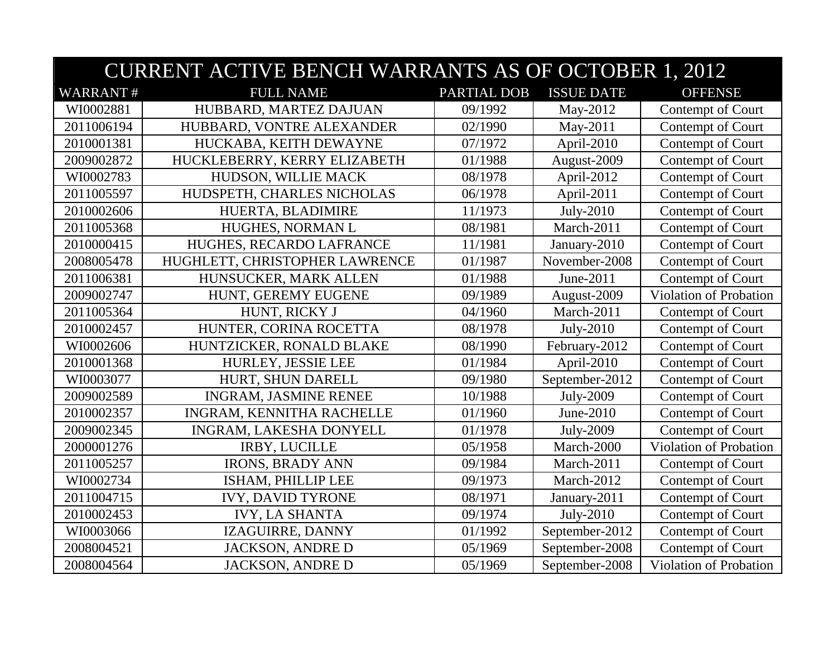| <b>CURRENT ACTIVE BENCH WARRANTS AS OF OCTOBER 1, 2012</b> |                                |             |                   |                               |
|------------------------------------------------------------|--------------------------------|-------------|-------------------|-------------------------------|
| <b>WARRANT#</b>                                            | <b>FULL NAME</b>               | PARTIAL DOB | <b>ISSUE DATE</b> | <b>OFFENSE</b>                |
| WI0002881                                                  | HUBBARD, MARTEZ DAJUAN         | 09/1992     | May-2012          | Contempt of Court             |
| 2011006194                                                 | HUBBARD, VONTRE ALEXANDER      | 02/1990     | May-2011          | Contempt of Court             |
| 2010001381                                                 | HUCKABA, KEITH DEWAYNE         | 07/1972     | April-2010        | Contempt of Court             |
| 2009002872                                                 | HUCKLEBERRY, KERRY ELIZABETH   | 01/1988     | August-2009       | Contempt of Court             |
| WI0002783                                                  | HUDSON, WILLIE MACK            | 08/1978     | April-2012        | Contempt of Court             |
| 2011005597                                                 | HUDSPETH, CHARLES NICHOLAS     | 06/1978     | April-2011        | Contempt of Court             |
| 2010002606                                                 | HUERTA, BLADIMIRE              | 11/1973     | July-2010         | Contempt of Court             |
| 2011005368                                                 | HUGHES, NORMAN L               | 08/1981     | March-2011        | Contempt of Court             |
| 2010000415                                                 | HUGHES, RECARDO LAFRANCE       | 11/1981     | January-2010      | Contempt of Court             |
| 2008005478                                                 | HUGHLETT, CHRISTOPHER LAWRENCE | 01/1987     | November-2008     | Contempt of Court             |
| 2011006381                                                 | HUNSUCKER, MARK ALLEN          | 01/1988     | June-2011         | Contempt of Court             |
| 2009002747                                                 | HUNT, GEREMY EUGENE            | 09/1989     | August-2009       | Violation of Probation        |
| 2011005364                                                 | HUNT, RICKY J                  | 04/1960     | March-2011        | Contempt of Court             |
| 2010002457                                                 | HUNTER, CORINA ROCETTA         | 08/1978     | July-2010         | Contempt of Court             |
| WI0002606                                                  | HUNTZICKER, RONALD BLAKE       | 08/1990     | February-2012     | Contempt of Court             |
| 2010001368                                                 | HURLEY, JESSIE LEE             | 01/1984     | April-2010        | Contempt of Court             |
| WI0003077                                                  | HURT, SHUN DARELL              | 09/1980     | September-2012    | Contempt of Court             |
| 2009002589                                                 | <b>INGRAM, JASMINE RENEE</b>   | 10/1988     | July-2009         | Contempt of Court             |
| 2010002357                                                 | INGRAM, KENNITHA RACHELLE      | 01/1960     | June-2010         | Contempt of Court             |
| 2009002345                                                 | INGRAM, LAKESHA DONYELL        | 01/1978     | July-2009         | Contempt of Court             |
| 2000001276                                                 | <b>IRBY, LUCILLE</b>           | 05/1958     | March-2000        | Violation of Probation        |
| 2011005257                                                 | <b>IRONS, BRADY ANN</b>        | 09/1984     | March-2011        | Contempt of Court             |
| WI0002734                                                  | ISHAM, PHILLIP LEE             | 09/1973     | March-2012        | Contempt of Court             |
| 2011004715                                                 | <b>IVY, DAVID TYRONE</b>       | 08/1971     | January-2011      | Contempt of Court             |
| 2010002453                                                 | <b>IVY, LA SHANTA</b>          | 09/1974     | July-2010         | Contempt of Court             |
| WI0003066                                                  | IZAGUIRRE, DANNY               | 01/1992     | September-2012    | Contempt of Court             |
| 2008004521                                                 | <b>JACKSON, ANDRE D</b>        | 05/1969     | September-2008    | Contempt of Court             |
| 2008004564                                                 | <b>JACKSON, ANDRE D</b>        | 05/1969     | September-2008    | <b>Violation of Probation</b> |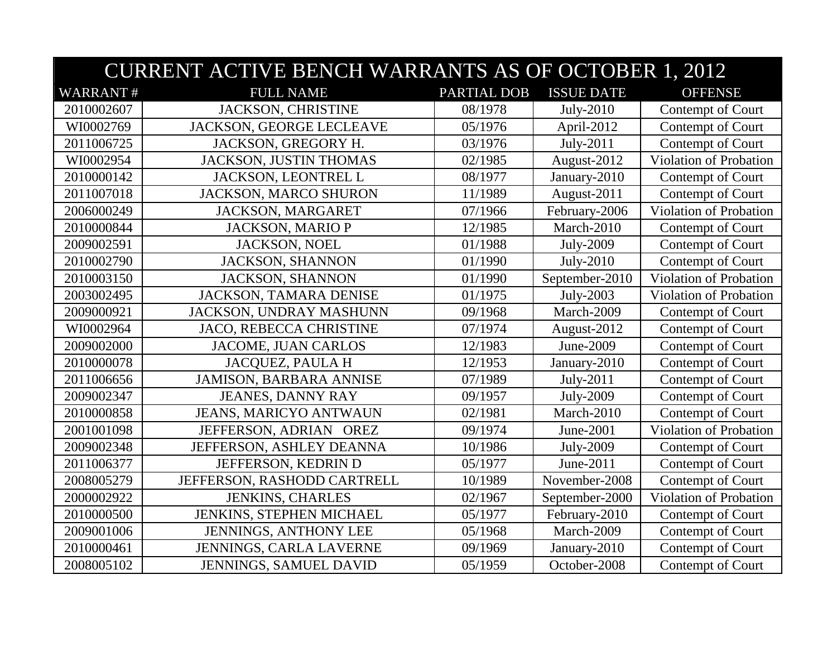|                 | <b>CURRENT ACTIVE BENCH WARRANTS AS OF OCTOBER 1, 2012</b> |             |                   |                               |  |
|-----------------|------------------------------------------------------------|-------------|-------------------|-------------------------------|--|
| <b>WARRANT#</b> | <b>FULL NAME</b>                                           | PARTIAL DOB | <b>ISSUE DATE</b> | <b>OFFENSE</b>                |  |
| 2010002607      | JACKSON, CHRISTINE                                         | 08/1978     | July-2010         | Contempt of Court             |  |
| WI0002769       | JACKSON, GEORGE LECLEAVE                                   | 05/1976     | April-2012        | Contempt of Court             |  |
| 2011006725      | JACKSON, GREGORY H.                                        | 03/1976     | July-2011         | Contempt of Court             |  |
| WI0002954       | <b>JACKSON, JUSTIN THOMAS</b>                              | 02/1985     | August-2012       | <b>Violation of Probation</b> |  |
| 2010000142      | JACKSON, LEONTREL L                                        | 08/1977     | January-2010      | Contempt of Court             |  |
| 2011007018      | <b>JACKSON, MARCO SHURON</b>                               | 11/1989     | August-2011       | Contempt of Court             |  |
| 2006000249      | JACKSON, MARGARET                                          | 07/1966     | February-2006     | Violation of Probation        |  |
| 2010000844      | <b>JACKSON, MARIO P</b>                                    | 12/1985     | March-2010        | Contempt of Court             |  |
| 2009002591      | <b>JACKSON, NOEL</b>                                       | 01/1988     | July-2009         | Contempt of Court             |  |
| 2010002790      | <b>JACKSON, SHANNON</b>                                    | 01/1990     | July-2010         | Contempt of Court             |  |
| 2010003150      | <b>JACKSON, SHANNON</b>                                    | 01/1990     | September-2010    | <b>Violation of Probation</b> |  |
| 2003002495      | JACKSON, TAMARA DENISE                                     | 01/1975     | July-2003         | Violation of Probation        |  |
| 2009000921      | JACKSON, UNDRAY MASHUNN                                    | 09/1968     | March-2009        | Contempt of Court             |  |
| WI0002964       | JACO, REBECCA CHRISTINE                                    | 07/1974     | August-2012       | Contempt of Court             |  |
| 2009002000      | JACOME, JUAN CARLOS                                        | 12/1983     | June-2009         | Contempt of Court             |  |
| 2010000078      | <b>JACQUEZ, PAULA H</b>                                    | 12/1953     | January-2010      | Contempt of Court             |  |
| 2011006656      | <b>JAMISON, BARBARA ANNISE</b>                             | 07/1989     | July-2011         | Contempt of Court             |  |
| 2009002347      | <b>JEANES, DANNY RAY</b>                                   | 09/1957     | July-2009         | Contempt of Court             |  |
| 2010000858      | <b>JEANS, MARICYO ANTWAUN</b>                              | 02/1981     | March-2010        | Contempt of Court             |  |
| 2001001098      | JEFFERSON, ADRIAN OREZ                                     | 09/1974     | June-2001         | Violation of Probation        |  |
| 2009002348      | JEFFERSON, ASHLEY DEANNA                                   | 10/1986     | July-2009         | Contempt of Court             |  |
| 2011006377      | JEFFERSON, KEDRIN D                                        | 05/1977     | June-2011         | Contempt of Court             |  |
| 2008005279      | JEFFERSON, RASHODD CARTRELL                                | 10/1989     | November-2008     | Contempt of Court             |  |
| 2000002922      | <b>JENKINS, CHARLES</b>                                    | 02/1967     | September-2000    | Violation of Probation        |  |
| 2010000500      | JENKINS, STEPHEN MICHAEL                                   | 05/1977     | February-2010     | Contempt of Court             |  |
| 2009001006      | <b>JENNINGS, ANTHONY LEE</b>                               | 05/1968     | March-2009        | Contempt of Court             |  |
| 2010000461      | JENNINGS, CARLA LAVERNE                                    | 09/1969     | January-2010      | Contempt of Court             |  |
| 2008005102      | JENNINGS, SAMUEL DAVID                                     | 05/1959     | October-2008      | Contempt of Court             |  |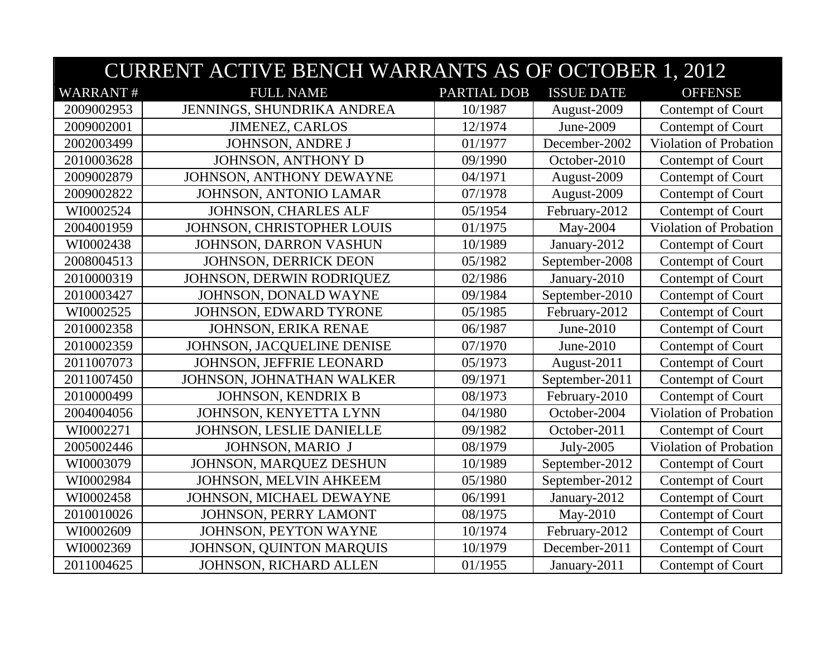| <b>CURRENT ACTIVE BENCH WARRANTS AS OF OCTOBER 1, 2012</b> |                             |                    |                   |                        |
|------------------------------------------------------------|-----------------------------|--------------------|-------------------|------------------------|
| <b>WARRANT#</b>                                            | <b>FULL NAME</b>            | <b>PARTIAL DOB</b> | <b>ISSUE DATE</b> | <b>OFFENSE</b>         |
| 2009002953                                                 | JENNINGS, SHUNDRIKA ANDREA  | 10/1987            | August-2009       | Contempt of Court      |
| 2009002001                                                 | <b>JIMENEZ, CARLOS</b>      | 12/1974            | June-2009         | Contempt of Court      |
| 2002003499                                                 | <b>JOHNSON, ANDRE J</b>     | 01/1977            | December-2002     | Violation of Probation |
| 2010003628                                                 | JOHNSON, ANTHONY D          | 09/1990            | October-2010      | Contempt of Court      |
| 2009002879                                                 | JOHNSON, ANTHONY DEWAYNE    | 04/1971            | August-2009       | Contempt of Court      |
| 2009002822                                                 | JOHNSON, ANTONIO LAMAR      | 07/1978            | August-2009       | Contempt of Court      |
| WI0002524                                                  | JOHNSON, CHARLES ALF        | 05/1954            | February-2012     | Contempt of Court      |
| 2004001959                                                 | JOHNSON, CHRISTOPHER LOUIS  | 01/1975            | May-2004          | Violation of Probation |
| WI0002438                                                  | JOHNSON, DARRON VASHUN      | 10/1989            | January-2012      | Contempt of Court      |
| 2008004513                                                 | JOHNSON, DERRICK DEON       | 05/1982            | September-2008    | Contempt of Court      |
| 2010000319                                                 | JOHNSON, DERWIN RODRIQUEZ   | 02/1986            | January-2010      | Contempt of Court      |
| 2010003427                                                 | JOHNSON, DONALD WAYNE       | 09/1984            | September-2010    | Contempt of Court      |
| WI0002525                                                  | JOHNSON, EDWARD TYRONE      | 05/1985            | February-2012     | Contempt of Court      |
| 2010002358                                                 | <b>JOHNSON, ERIKA RENAE</b> | 06/1987            | June-2010         | Contempt of Court      |
| 2010002359                                                 | JOHNSON, JACQUELINE DENISE  | 07/1970            | June-2010         | Contempt of Court      |
| 2011007073                                                 | JOHNSON, JEFFRIE LEONARD    | 05/1973            | August-2011       | Contempt of Court      |
| 2011007450                                                 | JOHNSON, JOHNATHAN WALKER   | 09/1971            | September-2011    | Contempt of Court      |
| 2010000499                                                 | <b>JOHNSON, KENDRIX B</b>   | 08/1973            | February-2010     | Contempt of Court      |
| 2004004056                                                 | JOHNSON, KENYETTA LYNN      | 04/1980            | October-2004      | Violation of Probation |
| WI0002271                                                  | JOHNSON, LESLIE DANIELLE    | 09/1982            | October-2011      | Contempt of Court      |
| 2005002446                                                 | JOHNSON, MARIO J            | 08/1979            | July-2005         | Violation of Probation |
| WI0003079                                                  | JOHNSON, MARQUEZ DESHUN     | 10/1989            | September-2012    | Contempt of Court      |
| WI0002984                                                  | JOHNSON, MELVIN AHKEEM      | 05/1980            | September-2012    | Contempt of Court      |
| WI0002458                                                  | JOHNSON, MICHAEL DEWAYNE    | 06/1991            | January-2012      | Contempt of Court      |
| 2010010026                                                 | JOHNSON, PERRY LAMONT       | 08/1975            | May-2010          | Contempt of Court      |
| WI0002609                                                  | JOHNSON, PEYTON WAYNE       | 10/1974            | February-2012     | Contempt of Court      |
| WI0002369                                                  | JOHNSON, QUINTON MARQUIS    | 10/1979            | December-2011     | Contempt of Court      |
| 2011004625                                                 | JOHNSON, RICHARD ALLEN      | 01/1955            | January-2011      | Contempt of Court      |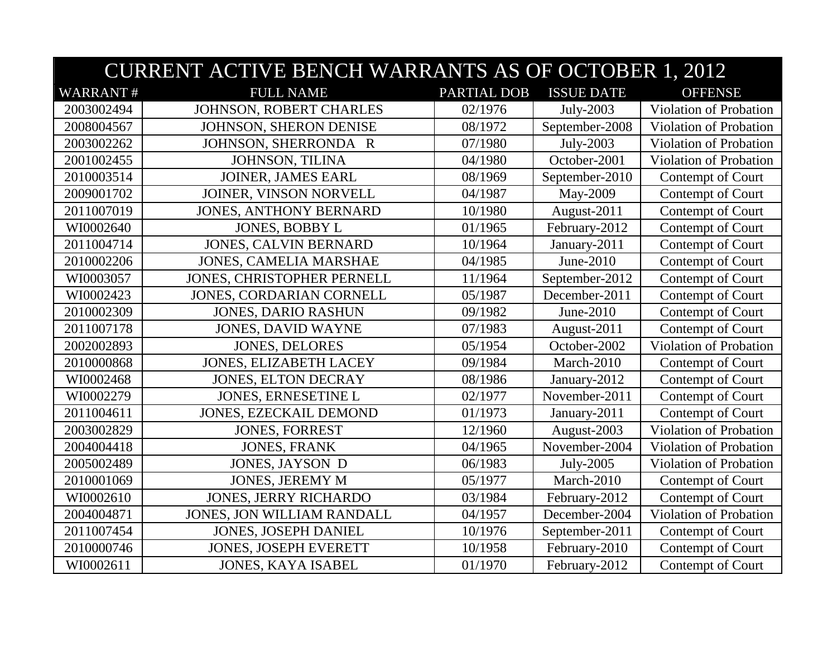|                 | <b>CURRENT ACTIVE BENCH WARRANTS AS OF OCTOBER 1, 2012</b> |             |                   |                        |  |
|-----------------|------------------------------------------------------------|-------------|-------------------|------------------------|--|
| <b>WARRANT#</b> | <b>FULL NAME</b>                                           | PARTIAL DOB | <b>ISSUE DATE</b> | <b>OFFENSE</b>         |  |
| 2003002494      | JOHNSON, ROBERT CHARLES                                    | 02/1976     | July-2003         | Violation of Probation |  |
| 2008004567      | JOHNSON, SHERON DENISE                                     | 08/1972     | September-2008    | Violation of Probation |  |
| 2003002262      | JOHNSON, SHERRONDA R                                       | 07/1980     | July-2003         | Violation of Probation |  |
| 2001002455      | JOHNSON, TILINA                                            | 04/1980     | October-2001      | Violation of Probation |  |
| 2010003514      | JOINER, JAMES EARL                                         | 08/1969     | September-2010    | Contempt of Court      |  |
| 2009001702      | JOINER, VINSON NORVELL                                     | 04/1987     | May-2009          | Contempt of Court      |  |
| 2011007019      | <b>JONES, ANTHONY BERNARD</b>                              | 10/1980     | August-2011       | Contempt of Court      |  |
| WI0002640       | <b>JONES, BOBBY L</b>                                      | 01/1965     | February-2012     | Contempt of Court      |  |
| 2011004714      | <b>JONES, CALVIN BERNARD</b>                               | 10/1964     | January-2011      | Contempt of Court      |  |
| 2010002206      | <b>JONES, CAMELIA MARSHAE</b>                              | 04/1985     | June-2010         | Contempt of Court      |  |
| WI0003057       | JONES, CHRISTOPHER PERNELL                                 | 11/1964     | September-2012    | Contempt of Court      |  |
| WI0002423       | JONES, CORDARIAN CORNELL                                   | 05/1987     | December-2011     | Contempt of Court      |  |
| 2010002309      | <b>JONES, DARIO RASHUN</b>                                 | 09/1982     | June-2010         | Contempt of Court      |  |
| 2011007178      | <b>JONES, DAVID WAYNE</b>                                  | 07/1983     | August-2011       | Contempt of Court      |  |
| 2002002893      | <b>JONES, DELORES</b>                                      | 05/1954     | October-2002      | Violation of Probation |  |
| 2010000868      | JONES, ELIZABETH LACEY                                     | 09/1984     | March-2010        | Contempt of Court      |  |
| WI0002468       | <b>JONES, ELTON DECRAY</b>                                 | 08/1986     | January-2012      | Contempt of Court      |  |
| WI0002279       | <b>JONES, ERNESETINE L</b>                                 | 02/1977     | November-2011     | Contempt of Court      |  |
| 2011004611      | <b>JONES, EZECKAIL DEMOND</b>                              | 01/1973     | January-2011      | Contempt of Court      |  |
| 2003002829      | <b>JONES, FORREST</b>                                      | 12/1960     | August-2003       | Violation of Probation |  |
| 2004004418      | <b>JONES, FRANK</b>                                        | 04/1965     | November-2004     | Violation of Probation |  |
| 2005002489      | <b>JONES, JAYSON D</b>                                     | 06/1983     | July-2005         | Violation of Probation |  |
| 2010001069      | <b>JONES, JEREMY M</b>                                     | 05/1977     | March-2010        | Contempt of Court      |  |
| WI0002610       | <b>JONES, JERRY RICHARDO</b>                               | 03/1984     | February-2012     | Contempt of Court      |  |
| 2004004871      | JONES, JON WILLIAM RANDALL                                 | 04/1957     | December-2004     | Violation of Probation |  |
| 2011007454      | <b>JONES, JOSEPH DANIEL</b>                                | 10/1976     | September-2011    | Contempt of Court      |  |
| 2010000746      | <b>JONES, JOSEPH EVERETT</b>                               | 10/1958     | February-2010     | Contempt of Court      |  |
| WI0002611       | <b>JONES, KAYA ISABEL</b>                                  | 01/1970     | February-2012     | Contempt of Court      |  |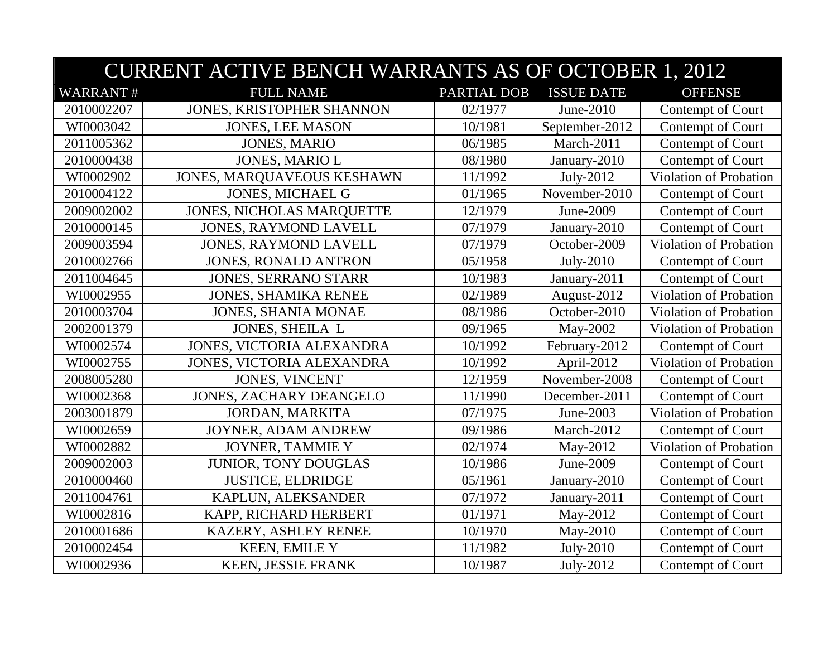|                 | <b>CURRENT ACTIVE BENCH WARRANTS AS OF OCTOBER 1, 2012</b> |                    |                   |                               |  |
|-----------------|------------------------------------------------------------|--------------------|-------------------|-------------------------------|--|
| <b>WARRANT#</b> | <b>FULL NAME</b>                                           | <b>PARTIAL DOB</b> | <b>ISSUE DATE</b> | <b>OFFENSE</b>                |  |
| 2010002207      | JONES, KRISTOPHER SHANNON                                  | 02/1977            | June-2010         | Contempt of Court             |  |
| WI0003042       | <b>JONES, LEE MASON</b>                                    | 10/1981            | September-2012    | Contempt of Court             |  |
| 2011005362      | <b>JONES, MARIO</b>                                        | 06/1985            | March-2011        | Contempt of Court             |  |
| 2010000438      | <b>JONES, MARIO L</b>                                      | 08/1980            | January-2010      | Contempt of Court             |  |
| WI0002902       | JONES, MARQUAVEOUS KESHAWN                                 | 11/1992            | July-2012         | Violation of Probation        |  |
| 2010004122      | JONES, MICHAEL G                                           | 01/1965            | November-2010     | Contempt of Court             |  |
| 2009002002      | <b>JONES, NICHOLAS MARQUETTE</b>                           | 12/1979            | June-2009         | Contempt of Court             |  |
| 2010000145      | <b>JONES, RAYMOND LAVELL</b>                               | 07/1979            | January-2010      | Contempt of Court             |  |
| 2009003594      | <b>JONES, RAYMOND LAVELL</b>                               | 07/1979            | October-2009      | Violation of Probation        |  |
| 2010002766      | <b>JONES, RONALD ANTRON</b>                                | 05/1958            | July-2010         | Contempt of Court             |  |
| 2011004645      | <b>JONES, SERRANO STARR</b>                                | 10/1983            | January-2011      | Contempt of Court             |  |
| WI0002955       | <b>JONES, SHAMIKA RENEE</b>                                | 02/1989            | August-2012       | Violation of Probation        |  |
| 2010003704      | <b>JONES, SHANIA MONAE</b>                                 | 08/1986            | October-2010      | Violation of Probation        |  |
| 2002001379      | JONES, SHEILA L                                            | 09/1965            | May-2002          | Violation of Probation        |  |
| WI0002574       | JONES, VICTORIA ALEXANDRA                                  | 10/1992            | February-2012     | Contempt of Court             |  |
| WI0002755       | JONES, VICTORIA ALEXANDRA                                  | 10/1992            | April-2012        | <b>Violation of Probation</b> |  |
| 2008005280      | <b>JONES, VINCENT</b>                                      | 12/1959            | November-2008     | Contempt of Court             |  |
| WI0002368       | <b>JONES, ZACHARY DEANGELO</b>                             | 11/1990            | December-2011     | Contempt of Court             |  |
| 2003001879      | JORDAN, MARKITA                                            | 07/1975            | June-2003         | Violation of Probation        |  |
| WI0002659       | JOYNER, ADAM ANDREW                                        | 09/1986            | March-2012        | Contempt of Court             |  |
| WI0002882       | JOYNER, TAMMIE Y                                           | 02/1974            | May-2012          | Violation of Probation        |  |
| 2009002003      | JUNIOR, TONY DOUGLAS                                       | 10/1986            | June-2009         | Contempt of Court             |  |
| 2010000460      | <b>JUSTICE, ELDRIDGE</b>                                   | 05/1961            | January-2010      | Contempt of Court             |  |
| 2011004761      | KAPLUN, ALEKSANDER                                         | 07/1972            | January-2011      | Contempt of Court             |  |
| WI0002816       | KAPP, RICHARD HERBERT                                      | 01/1971            | May-2012          | Contempt of Court             |  |
| 2010001686      | KAZERY, ASHLEY RENEE                                       | 10/1970            | May-2010          | Contempt of Court             |  |
| 2010002454      | <b>KEEN, EMILE Y</b>                                       | 11/1982            | July-2010         | Contempt of Court             |  |
| WI0002936       | KEEN, JESSIE FRANK                                         | 10/1987            | July-2012         | Contempt of Court             |  |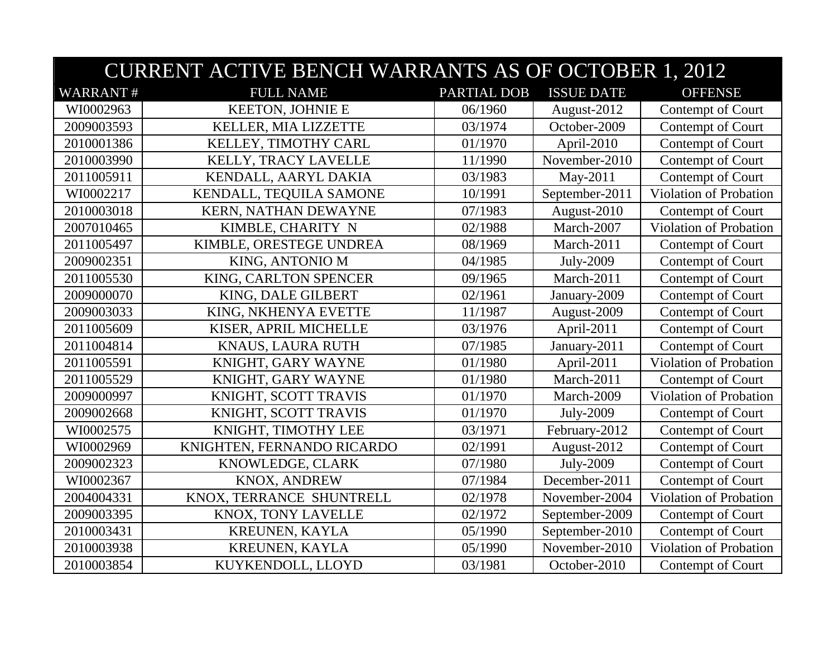|                 | <b>CURRENT ACTIVE BENCH WARRANTS AS OF OCTOBER 1, 2012</b> |             |                   |                               |  |
|-----------------|------------------------------------------------------------|-------------|-------------------|-------------------------------|--|
| <b>WARRANT#</b> | <b>FULL NAME</b>                                           | PARTIAL DOB | <b>ISSUE DATE</b> | <b>OFFENSE</b>                |  |
| WI0002963       | <b>KEETON, JOHNIE E</b>                                    | 06/1960     | August-2012       | Contempt of Court             |  |
| 2009003593      | KELLER, MIA LIZZETTE                                       | 03/1974     | October-2009      | Contempt of Court             |  |
| 2010001386      | KELLEY, TIMOTHY CARL                                       | 01/1970     | April-2010        | Contempt of Court             |  |
| 2010003990      | KELLY, TRACY LAVELLE                                       | 11/1990     | November-2010     | Contempt of Court             |  |
| 2011005911      | KENDALL, AARYL DAKIA                                       | 03/1983     | May-2011          | Contempt of Court             |  |
| WI0002217       | KENDALL, TEQUILA SAMONE                                    | 10/1991     | September-2011    | Violation of Probation        |  |
| 2010003018      | KERN, NATHAN DEWAYNE                                       | 07/1983     | August-2010       | Contempt of Court             |  |
| 2007010465      | KIMBLE, CHARITY N                                          | 02/1988     | March-2007        | Violation of Probation        |  |
| 2011005497      | KIMBLE, ORESTEGE UNDREA                                    | 08/1969     | March-2011        | Contempt of Court             |  |
| 2009002351      | KING, ANTONIO M                                            | 04/1985     | July-2009         | Contempt of Court             |  |
| 2011005530      | KING, CARLTON SPENCER                                      | 09/1965     | March-2011        | Contempt of Court             |  |
| 2009000070      | KING, DALE GILBERT                                         | 02/1961     | January-2009      | Contempt of Court             |  |
| 2009003033      | KING, NKHENYA EVETTE                                       | 11/1987     | August-2009       | Contempt of Court             |  |
| 2011005609      | KISER, APRIL MICHELLE                                      | 03/1976     | April-2011        | Contempt of Court             |  |
| 2011004814      | KNAUS, LAURA RUTH                                          | 07/1985     | January-2011      | Contempt of Court             |  |
| 2011005591      | KNIGHT, GARY WAYNE                                         | 01/1980     | April-2011        | Violation of Probation        |  |
| 2011005529      | KNIGHT, GARY WAYNE                                         | 01/1980     | March-2011        | Contempt of Court             |  |
| 2009000997      | KNIGHT, SCOTT TRAVIS                                       | 01/1970     | March-2009        | Violation of Probation        |  |
| 2009002668      | KNIGHT, SCOTT TRAVIS                                       | 01/1970     | July-2009         | Contempt of Court             |  |
| WI0002575       | KNIGHT, TIMOTHY LEE                                        | 03/1971     | February-2012     | Contempt of Court             |  |
| WI0002969       | KNIGHTEN, FERNANDO RICARDO                                 | 02/1991     | August-2012       | Contempt of Court             |  |
| 2009002323      | KNOWLEDGE, CLARK                                           | 07/1980     | July-2009         | Contempt of Court             |  |
| WI0002367       | KNOX, ANDREW                                               | 07/1984     | December-2011     | Contempt of Court             |  |
| 2004004331      | KNOX, TERRANCE SHUNTRELL                                   | 02/1978     | November-2004     | Violation of Probation        |  |
| 2009003395      | KNOX, TONY LAVELLE                                         | 02/1972     | September-2009    | Contempt of Court             |  |
| 2010003431      | KREUNEN, KAYLA                                             | 05/1990     | September-2010    | Contempt of Court             |  |
| 2010003938      | KREUNEN, KAYLA                                             | 05/1990     | November-2010     | <b>Violation of Probation</b> |  |
| 2010003854      | KUYKENDOLL, LLOYD                                          | 03/1981     | October-2010      | Contempt of Court             |  |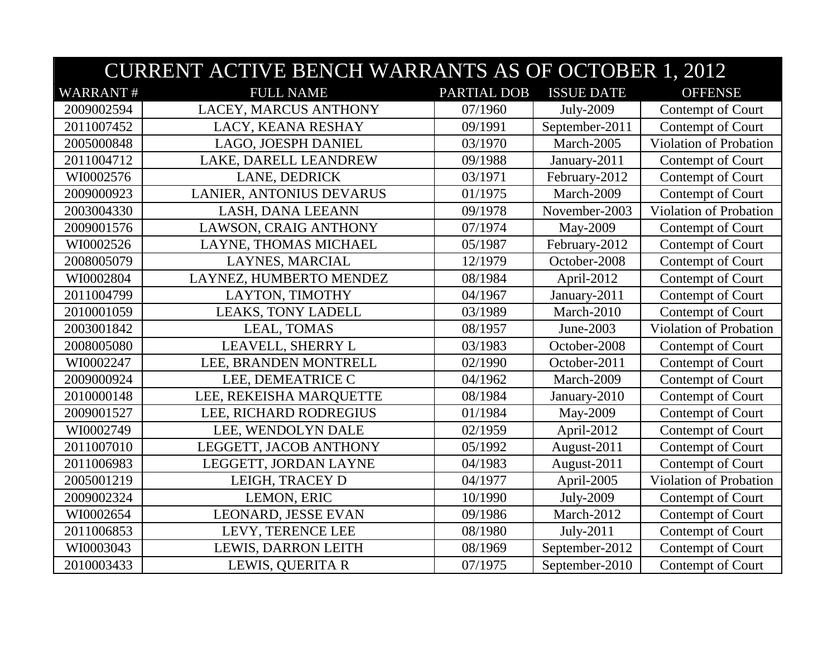|                 | <b>CURRENT ACTIVE BENCH WARRANTS AS OF OCTOBER 1, 2012</b> |             |                   |                               |  |
|-----------------|------------------------------------------------------------|-------------|-------------------|-------------------------------|--|
| <b>WARRANT#</b> | <b>FULL NAME</b>                                           | PARTIAL DOB | <b>ISSUE DATE</b> | <b>OFFENSE</b>                |  |
| 2009002594      | LACEY, MARCUS ANTHONY                                      | 07/1960     | July-2009         | Contempt of Court             |  |
| 2011007452      | LACY, KEANA RESHAY                                         | 09/1991     | September-2011    | Contempt of Court             |  |
| 2005000848      | LAGO, JOESPH DANIEL                                        | 03/1970     | March-2005        | Violation of Probation        |  |
| 2011004712      | LAKE, DARELL LEANDREW                                      | 09/1988     | January-2011      | Contempt of Court             |  |
| WI0002576       | <b>LANE, DEDRICK</b>                                       | 03/1971     | February-2012     | Contempt of Court             |  |
| 2009000923      | LANIER, ANTONIUS DEVARUS                                   | 01/1975     | March-2009        | Contempt of Court             |  |
| 2003004330      | LASH, DANA LEEANN                                          | 09/1978     | November-2003     | <b>Violation of Probation</b> |  |
| 2009001576      | LAWSON, CRAIG ANTHONY                                      | 07/1974     | May-2009          | Contempt of Court             |  |
| WI0002526       | LAYNE, THOMAS MICHAEL                                      | 05/1987     | February-2012     | Contempt of Court             |  |
| 2008005079      | LAYNES, MARCIAL                                            | 12/1979     | October-2008      | Contempt of Court             |  |
| WI0002804       | LAYNEZ, HUMBERTO MENDEZ                                    | 08/1984     | April-2012        | Contempt of Court             |  |
| 2011004799      | LAYTON, TIMOTHY                                            | 04/1967     | January-2011      | Contempt of Court             |  |
| 2010001059      | LEAKS, TONY LADELL                                         | 03/1989     | March-2010        | Contempt of Court             |  |
| 2003001842      | LEAL, TOMAS                                                | 08/1957     | June-2003         | Violation of Probation        |  |
| 2008005080      | LEAVELL, SHERRY L                                          | 03/1983     | October-2008      | Contempt of Court             |  |
| WI0002247       | LEE, BRANDEN MONTRELL                                      | 02/1990     | October-2011      | Contempt of Court             |  |
| 2009000924      | LEE, DEMEATRICE C                                          | 04/1962     | March-2009        | Contempt of Court             |  |
| 2010000148      | LEE, REKEISHA MARQUETTE                                    | 08/1984     | January-2010      | Contempt of Court             |  |
| 2009001527      | LEE, RICHARD RODREGIUS                                     | 01/1984     | May-2009          | Contempt of Court             |  |
| WI0002749       | LEE, WENDOLYN DALE                                         | 02/1959     | April-2012        | Contempt of Court             |  |
| 2011007010      | LEGGETT, JACOB ANTHONY                                     | 05/1992     | August-2011       | Contempt of Court             |  |
| 2011006983      | LEGGETT, JORDAN LAYNE                                      | 04/1983     | August-2011       | Contempt of Court             |  |
| 2005001219      | LEIGH, TRACEY D                                            | 04/1977     | April-2005        | <b>Violation of Probation</b> |  |
| 2009002324      | LEMON, ERIC                                                | 10/1990     | July-2009         | Contempt of Court             |  |
| WI0002654       | LEONARD, JESSE EVAN                                        | 09/1986     | March-2012        | Contempt of Court             |  |
| 2011006853      | LEVY, TERENCE LEE                                          | 08/1980     | July-2011         | Contempt of Court             |  |
| WI0003043       | LEWIS, DARRON LEITH                                        | 08/1969     | September-2012    | Contempt of Court             |  |
| 2010003433      | LEWIS, QUERITA R                                           | 07/1975     | September-2010    | Contempt of Court             |  |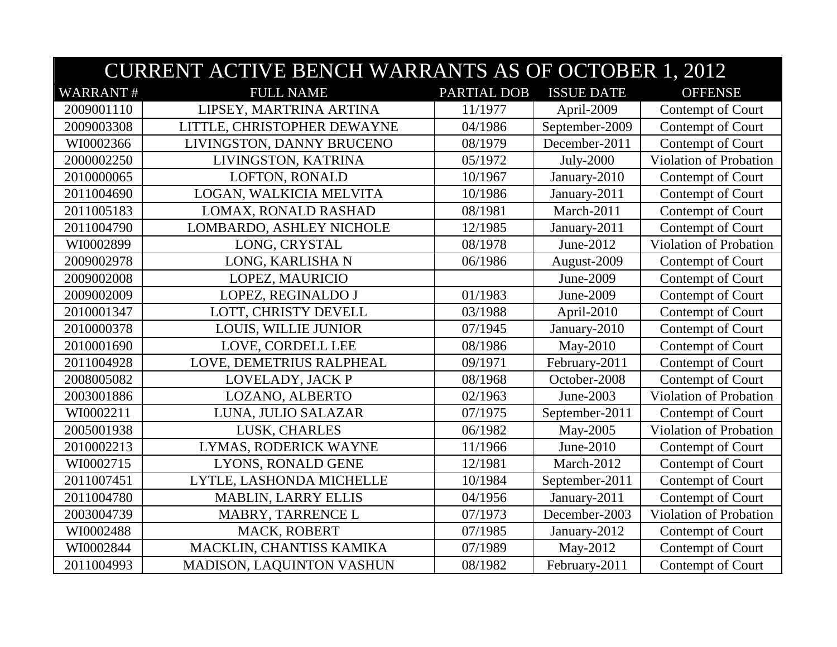|                 | <b>CURRENT ACTIVE BENCH WARRANTS AS OF OCTOBER 1, 2012</b> |             |                   |                        |  |
|-----------------|------------------------------------------------------------|-------------|-------------------|------------------------|--|
| <b>WARRANT#</b> | <b>FULL NAME</b>                                           | PARTIAL DOB | <b>ISSUE DATE</b> | <b>OFFENSE</b>         |  |
| 2009001110      | LIPSEY, MARTRINA ARTINA                                    | 11/1977     | April-2009        | Contempt of Court      |  |
| 2009003308      | LITTLE, CHRISTOPHER DEWAYNE                                | 04/1986     | September-2009    | Contempt of Court      |  |
| WI0002366       | LIVINGSTON, DANNY BRUCENO                                  | 08/1979     | December-2011     | Contempt of Court      |  |
| 2000002250      | LIVINGSTON, KATRINA                                        | 05/1972     | July-2000         | Violation of Probation |  |
| 2010000065      | LOFTON, RONALD                                             | 10/1967     | January-2010      | Contempt of Court      |  |
| 2011004690      | LOGAN, WALKICIA MELVITA                                    | 10/1986     | January-2011      | Contempt of Court      |  |
| 2011005183      | LOMAX, RONALD RASHAD                                       | 08/1981     | March-2011        | Contempt of Court      |  |
| 2011004790      | LOMBARDO, ASHLEY NICHOLE                                   | 12/1985     | January-2011      | Contempt of Court      |  |
| WI0002899       | LONG, CRYSTAL                                              | 08/1978     | June-2012         | Violation of Probation |  |
| 2009002978      | LONG, KARLISHA N                                           | 06/1986     | August-2009       | Contempt of Court      |  |
| 2009002008      | LOPEZ, MAURICIO                                            |             | June-2009         | Contempt of Court      |  |
| 2009002009      | LOPEZ, REGINALDO J                                         | 01/1983     | June-2009         | Contempt of Court      |  |
| 2010001347      | LOTT, CHRISTY DEVELL                                       | 03/1988     | April-2010        | Contempt of Court      |  |
| 2010000378      | <b>LOUIS, WILLIE JUNIOR</b>                                | 07/1945     | January-2010      | Contempt of Court      |  |
| 2010001690      | LOVE, CORDELL LEE                                          | 08/1986     | May-2010          | Contempt of Court      |  |
| 2011004928      | LOVE, DEMETRIUS RALPHEAL                                   | 09/1971     | February-2011     | Contempt of Court      |  |
| 2008005082      | LOVELADY, JACK P                                           | 08/1968     | October-2008      | Contempt of Court      |  |
| 2003001886      | LOZANO, ALBERTO                                            | 02/1963     | June-2003         | Violation of Probation |  |
| WI0002211       | LUNA, JULIO SALAZAR                                        | 07/1975     | September-2011    | Contempt of Court      |  |
| 2005001938      | LUSK, CHARLES                                              | 06/1982     | May-2005          | Violation of Probation |  |
| 2010002213      | LYMAS, RODERICK WAYNE                                      | 11/1966     | June-2010         | Contempt of Court      |  |
| WI0002715       | LYONS, RONALD GENE                                         | 12/1981     | March-2012        | Contempt of Court      |  |
| 2011007451      | LYTLE, LASHONDA MICHELLE                                   | 10/1984     | September-2011    | Contempt of Court      |  |
| 2011004780      | <b>MABLIN, LARRY ELLIS</b>                                 | 04/1956     | January-2011      | Contempt of Court      |  |
| 2003004739      | MABRY, TARRENCE L                                          | 07/1973     | December-2003     | Violation of Probation |  |
| WI0002488       | MACK, ROBERT                                               | 07/1985     | January-2012      | Contempt of Court      |  |
| WI0002844       | MACKLIN, CHANTISS KAMIKA                                   | 07/1989     | May-2012          | Contempt of Court      |  |
| 2011004993      | MADISON, LAQUINTON VASHUN                                  | 08/1982     | February-2011     | Contempt of Court      |  |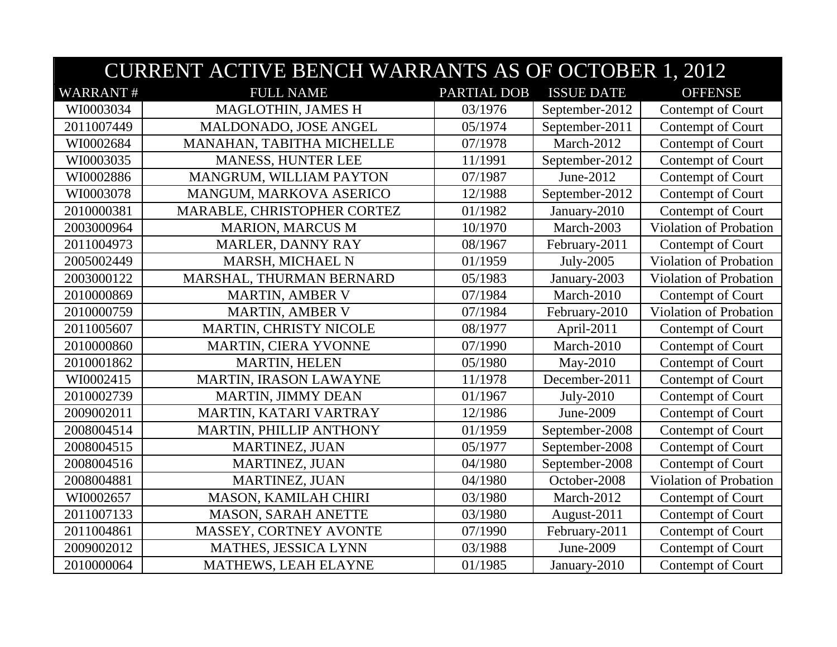|                 | <b>CURRENT ACTIVE BENCH WARRANTS AS OF OCTOBER 1, 2012</b> |                    |                   |                               |  |
|-----------------|------------------------------------------------------------|--------------------|-------------------|-------------------------------|--|
| <b>WARRANT#</b> | <b>FULL NAME</b>                                           | <b>PARTIAL DOB</b> | <b>ISSUE DATE</b> | <b>OFFENSE</b>                |  |
| WI0003034       | MAGLOTHIN, JAMES H                                         | 03/1976            | September-2012    | Contempt of Court             |  |
| 2011007449      | MALDONADO, JOSE ANGEL                                      | 05/1974            | September-2011    | Contempt of Court             |  |
| WI0002684       | MANAHAN, TABITHA MICHELLE                                  | 07/1978            | March-2012        | Contempt of Court             |  |
| WI0003035       | MANESS, HUNTER LEE                                         | 11/1991            | September-2012    | Contempt of Court             |  |
| WI0002886       | MANGRUM, WILLIAM PAYTON                                    | 07/1987            | June-2012         | Contempt of Court             |  |
| WI0003078       | MANGUM, MARKOVA ASERICO                                    | 12/1988            | September-2012    | Contempt of Court             |  |
| 2010000381      | MARABLE, CHRISTOPHER CORTEZ                                | 01/1982            | January-2010      | Contempt of Court             |  |
| 2003000964      | <b>MARION, MARCUS M</b>                                    | 10/1970            | March-2003        | Violation of Probation        |  |
| 2011004973      | MARLER, DANNY RAY                                          | 08/1967            | February-2011     | Contempt of Court             |  |
| 2005002449      | MARSH, MICHAEL N                                           | 01/1959            | July-2005         | Violation of Probation        |  |
| 2003000122      | MARSHAL, THURMAN BERNARD                                   | 05/1983            | January-2003      | Violation of Probation        |  |
| 2010000869      | <b>MARTIN, AMBER V</b>                                     | 07/1984            | March-2010        | Contempt of Court             |  |
| 2010000759      | <b>MARTIN, AMBER V</b>                                     | 07/1984            | February-2010     | Violation of Probation        |  |
| 2011005607      | MARTIN, CHRISTY NICOLE                                     | 08/1977            | April-2011        | Contempt of Court             |  |
| 2010000860      | MARTIN, CIERA YVONNE                                       | 07/1990            | March-2010        | Contempt of Court             |  |
| 2010001862      | MARTIN, HELEN                                              | 05/1980            | May-2010          | Contempt of Court             |  |
| WI0002415       | MARTIN, IRASON LAWAYNE                                     | 11/1978            | December-2011     | Contempt of Court             |  |
| 2010002739      | <b>MARTIN, JIMMY DEAN</b>                                  | 01/1967            | July-2010         | Contempt of Court             |  |
| 2009002011      | MARTIN, KATARI VARTRAY                                     | 12/1986            | June-2009         | Contempt of Court             |  |
| 2008004514      | MARTIN, PHILLIP ANTHONY                                    | 01/1959            | September-2008    | Contempt of Court             |  |
| 2008004515      | MARTINEZ, JUAN                                             | 05/1977            | September-2008    | Contempt of Court             |  |
| 2008004516      | MARTINEZ, JUAN                                             | 04/1980            | September-2008    | Contempt of Court             |  |
| 2008004881      | MARTINEZ, JUAN                                             | 04/1980            | October-2008      | <b>Violation of Probation</b> |  |
| WI0002657       | MASON, KAMILAH CHIRI                                       | 03/1980            | March-2012        | Contempt of Court             |  |
| 2011007133      | <b>MASON, SARAH ANETTE</b>                                 | 03/1980            | August-2011       | Contempt of Court             |  |
| 2011004861      | MASSEY, CORTNEY AVONTE                                     | 07/1990            | February-2011     | Contempt of Court             |  |
| 2009002012      | MATHES, JESSICA LYNN                                       | 03/1988            | June-2009         | Contempt of Court             |  |
| 2010000064      | MATHEWS, LEAH ELAYNE                                       | 01/1985            | January-2010      | Contempt of Court             |  |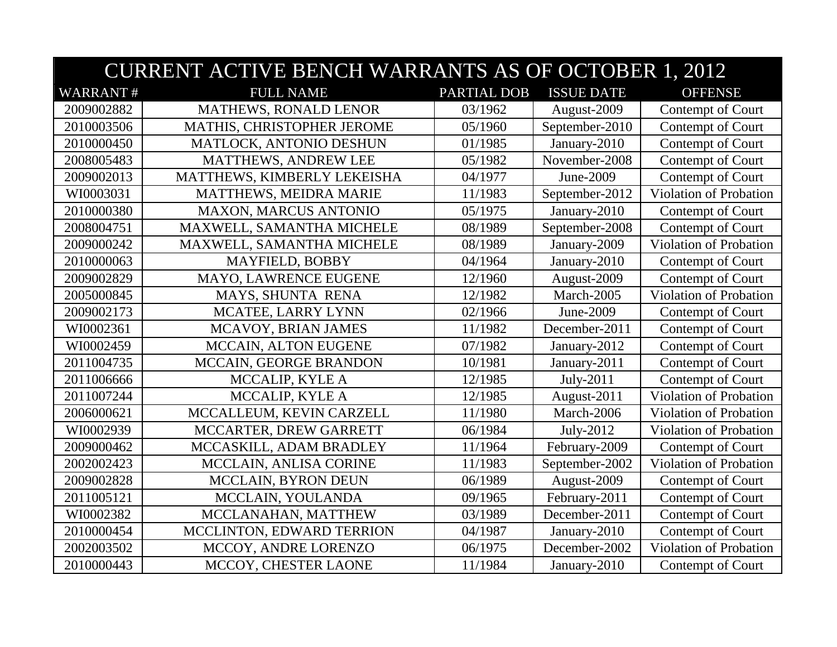|                 | <b>CURRENT ACTIVE BENCH WARRANTS AS OF OCTOBER 1, 2012</b> |                    |                   |                               |  |
|-----------------|------------------------------------------------------------|--------------------|-------------------|-------------------------------|--|
| <b>WARRANT#</b> | <b>FULL NAME</b>                                           | <b>PARTIAL DOB</b> | <b>ISSUE DATE</b> | <b>OFFENSE</b>                |  |
| 2009002882      | <b>MATHEWS, RONALD LENOR</b>                               | 03/1962            | August-2009       | Contempt of Court             |  |
| 2010003506      | MATHIS, CHRISTOPHER JEROME                                 | 05/1960            | September-2010    | Contempt of Court             |  |
| 2010000450      | MATLOCK, ANTONIO DESHUN                                    | 01/1985            | January-2010      | Contempt of Court             |  |
| 2008005483      | MATTHEWS, ANDREW LEE                                       | 05/1982            | November-2008     | Contempt of Court             |  |
| 2009002013      | MATTHEWS, KIMBERLY LEKEISHA                                | 04/1977            | June-2009         | Contempt of Court             |  |
| WI0003031       | MATTHEWS, MEIDRA MARIE                                     | 11/1983            | September-2012    | Violation of Probation        |  |
| 2010000380      | <b>MAXON, MARCUS ANTONIO</b>                               | 05/1975            | January-2010      | Contempt of Court             |  |
| 2008004751      | MAXWELL, SAMANTHA MICHELE                                  | 08/1989            | September-2008    | Contempt of Court             |  |
| 2009000242      | MAXWELL, SAMANTHA MICHELE                                  | 08/1989            | January-2009      | Violation of Probation        |  |
| 2010000063      | MAYFIELD, BOBBY                                            | 04/1964            | January-2010      | Contempt of Court             |  |
| 2009002829      | MAYO, LAWRENCE EUGENE                                      | 12/1960            | August-2009       | Contempt of Court             |  |
| 2005000845      | MAYS, SHUNTA RENA                                          | 12/1982            | March-2005        | Violation of Probation        |  |
| 2009002173      | MCATEE, LARRY LYNN                                         | 02/1966            | June-2009         | Contempt of Court             |  |
| WI0002361       | MCAVOY, BRIAN JAMES                                        | 11/1982            | December-2011     | Contempt of Court             |  |
| WI0002459       | MCCAIN, ALTON EUGENE                                       | 07/1982            | January-2012      | Contempt of Court             |  |
| 2011004735      | MCCAIN, GEORGE BRANDON                                     | 10/1981            | January-2011      | Contempt of Court             |  |
| 2011006666      | MCCALIP, KYLE A                                            | 12/1985            | July-2011         | Contempt of Court             |  |
| 2011007244      | MCCALIP, KYLE A                                            | 12/1985            | August-2011       | <b>Violation of Probation</b> |  |
| 2006000621      | MCCALLEUM, KEVIN CARZELL                                   | 11/1980            | March-2006        | Violation of Probation        |  |
| WI0002939       | MCCARTER, DREW GARRETT                                     | 06/1984            | July-2012         | Violation of Probation        |  |
| 2009000462      | MCCASKILL, ADAM BRADLEY                                    | 11/1964            | February-2009     | Contempt of Court             |  |
| 2002002423      | MCCLAIN, ANLISA CORINE                                     | 11/1983            | September-2002    | Violation of Probation        |  |
| 2009002828      | <b>MCCLAIN, BYRON DEUN</b>                                 | 06/1989            | August-2009       | Contempt of Court             |  |
| 2011005121      | MCCLAIN, YOULANDA                                          | 09/1965            | February-2011     | Contempt of Court             |  |
| WI0002382       | MCCLANAHAN, MATTHEW                                        | 03/1989            | December-2011     | Contempt of Court             |  |
| 2010000454      | MCCLINTON, EDWARD TERRION                                  | 04/1987            | January-2010      | Contempt of Court             |  |
| 2002003502      | MCCOY, ANDRE LORENZO                                       | 06/1975            | December-2002     | Violation of Probation        |  |
| 2010000443      | MCCOY, CHESTER LAONE                                       | 11/1984            | January-2010      | Contempt of Court             |  |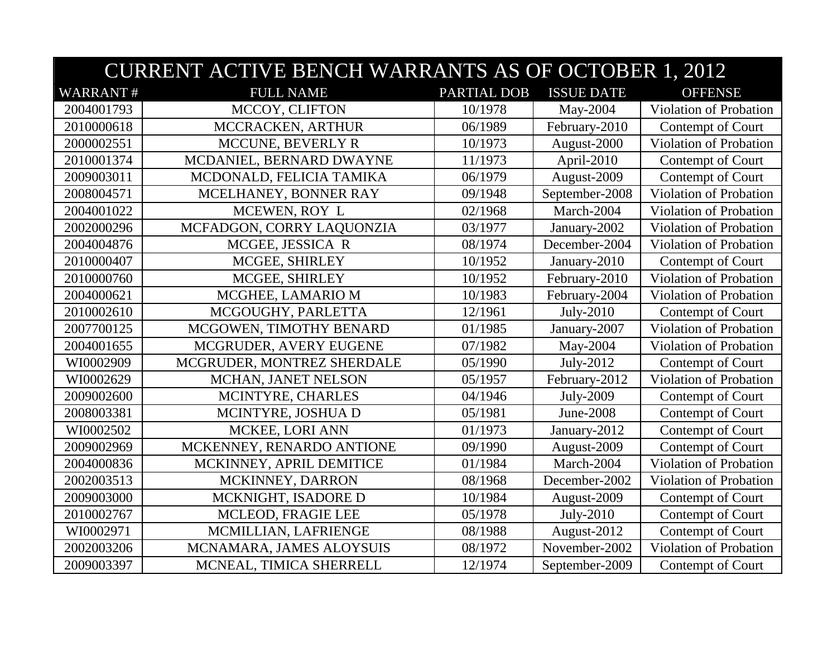|                 | <b>CURRENT ACTIVE BENCH WARRANTS AS OF OCTOBER 1, 2012</b> |             |                   |                               |  |
|-----------------|------------------------------------------------------------|-------------|-------------------|-------------------------------|--|
| <b>WARRANT#</b> | <b>FULL NAME</b>                                           | PARTIAL DOB | <b>ISSUE DATE</b> | <b>OFFENSE</b>                |  |
| 2004001793      | MCCOY, CLIFTON                                             | 10/1978     | May-2004          | Violation of Probation        |  |
| 2010000618      | MCCRACKEN, ARTHUR                                          | 06/1989     | February-2010     | Contempt of Court             |  |
| 2000002551      | MCCUNE, BEVERLY R                                          | 10/1973     | August-2000       | Violation of Probation        |  |
| 2010001374      | MCDANIEL, BERNARD DWAYNE                                   | 11/1973     | April-2010        | Contempt of Court             |  |
| 2009003011      | MCDONALD, FELICIA TAMIKA                                   | 06/1979     | August-2009       | Contempt of Court             |  |
| 2008004571      | MCELHANEY, BONNER RAY                                      | 09/1948     | September-2008    | Violation of Probation        |  |
| 2004001022      | MCEWEN, ROY L                                              | 02/1968     | March-2004        | Violation of Probation        |  |
| 2002000296      | MCFADGON, CORRY LAQUONZIA                                  | 03/1977     | January-2002      | Violation of Probation        |  |
| 2004004876      | MCGEE, JESSICA R                                           | 08/1974     | December-2004     | <b>Violation of Probation</b> |  |
| 2010000407      | MCGEE, SHIRLEY                                             | 10/1952     | January-2010      | Contempt of Court             |  |
| 2010000760      | MCGEE, SHIRLEY                                             | 10/1952     | February-2010     | <b>Violation of Probation</b> |  |
| 2004000621      | MCGHEE, LAMARIO M                                          | 10/1983     | February-2004     | Violation of Probation        |  |
| 2010002610      | MCGOUGHY, PARLETTA                                         | 12/1961     | July-2010         | Contempt of Court             |  |
| 2007700125      | MCGOWEN, TIMOTHY BENARD                                    | 01/1985     | January-2007      | Violation of Probation        |  |
| 2004001655      | MCGRUDER, AVERY EUGENE                                     | 07/1982     | May-2004          | Violation of Probation        |  |
| WI0002909       | MCGRUDER, MONTREZ SHERDALE                                 | 05/1990     | July-2012         | Contempt of Court             |  |
| WI0002629       | MCHAN, JANET NELSON                                        | 05/1957     | February-2012     | Violation of Probation        |  |
| 2009002600      | MCINTYRE, CHARLES                                          | 04/1946     | July-2009         | Contempt of Court             |  |
| 2008003381      | MCINTYRE, JOSHUA D                                         | 05/1981     | June-2008         | Contempt of Court             |  |
| WI0002502       | MCKEE, LORI ANN                                            | 01/1973     | January-2012      | Contempt of Court             |  |
| 2009002969      | MCKENNEY, RENARDO ANTIONE                                  | 09/1990     | August-2009       | Contempt of Court             |  |
| 2004000836      | MCKINNEY, APRIL DEMITICE                                   | 01/1984     | March-2004        | Violation of Probation        |  |
| 2002003513      | MCKINNEY, DARRON                                           | 08/1968     | December-2002     | <b>Violation of Probation</b> |  |
| 2009003000      | MCKNIGHT, ISADORE D                                        | 10/1984     | August-2009       | Contempt of Court             |  |
| 2010002767      | MCLEOD, FRAGIE LEE                                         | 05/1978     | July-2010         | Contempt of Court             |  |
| WI0002971       | MCMILLIAN, LAFRIENGE                                       | 08/1988     | August-2012       | Contempt of Court             |  |
| 2002003206      | MCNAMARA, JAMES ALOYSUIS                                   | 08/1972     | November-2002     | <b>Violation of Probation</b> |  |
| 2009003397      | MCNEAL, TIMICA SHERRELL                                    | 12/1974     | September-2009    | Contempt of Court             |  |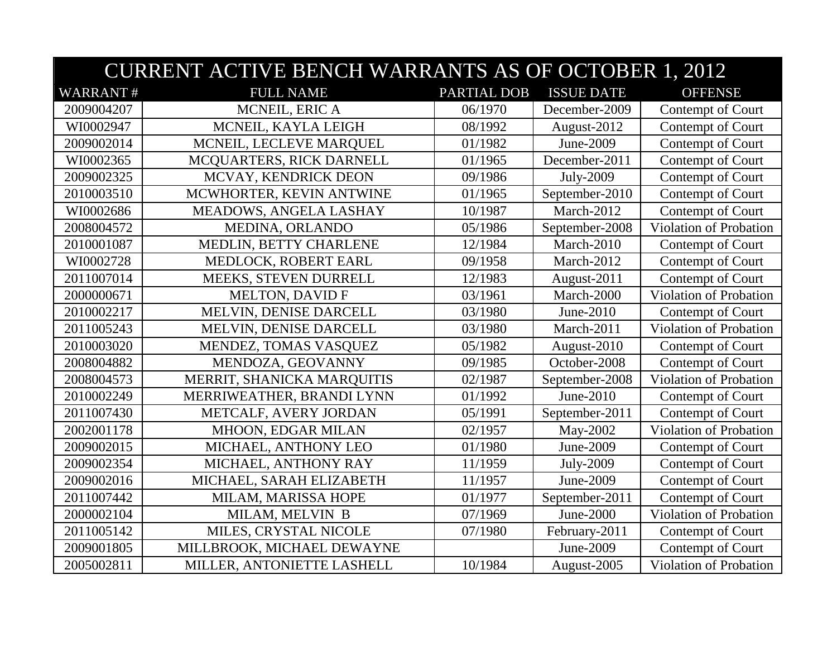|                 | <b>CURRENT ACTIVE BENCH WARRANTS AS OF OCTOBER 1, 2012</b> |             |                   |                               |  |
|-----------------|------------------------------------------------------------|-------------|-------------------|-------------------------------|--|
| <b>WARRANT#</b> | <b>FULL NAME</b>                                           | PARTIAL DOB | <b>ISSUE DATE</b> | <b>OFFENSE</b>                |  |
| 2009004207      | MCNEIL, ERIC A                                             | 06/1970     | December-2009     | Contempt of Court             |  |
| WI0002947       | MCNEIL, KAYLA LEIGH                                        | 08/1992     | August-2012       | Contempt of Court             |  |
| 2009002014      | MCNEIL, LECLEVE MARQUEL                                    | 01/1982     | June-2009         | Contempt of Court             |  |
| WI0002365       | MCQUARTERS, RICK DARNELL                                   | 01/1965     | December-2011     | Contempt of Court             |  |
| 2009002325      | MCVAY, KENDRICK DEON                                       | 09/1986     | July-2009         | Contempt of Court             |  |
| 2010003510      | MCWHORTER, KEVIN ANTWINE                                   | 01/1965     | September-2010    | Contempt of Court             |  |
| WI0002686       | MEADOWS, ANGELA LASHAY                                     | 10/1987     | March-2012        | Contempt of Court             |  |
| 2008004572      | MEDINA, ORLANDO                                            | 05/1986     | September-2008    | Violation of Probation        |  |
| 2010001087      | MEDLIN, BETTY CHARLENE                                     | 12/1984     | March-2010        | Contempt of Court             |  |
| WI0002728       | MEDLOCK, ROBERT EARL                                       | 09/1958     | March-2012        | Contempt of Court             |  |
| 2011007014      | MEEKS, STEVEN DURRELL                                      | 12/1983     | August-2011       | Contempt of Court             |  |
| 2000000671      | <b>MELTON, DAVID F</b>                                     | 03/1961     | March-2000        | Violation of Probation        |  |
| 2010002217      | MELVIN, DENISE DARCELL                                     | 03/1980     | June-2010         | Contempt of Court             |  |
| 2011005243      | MELVIN, DENISE DARCELL                                     | 03/1980     | March-2011        | Violation of Probation        |  |
| 2010003020      | MENDEZ, TOMAS VASQUEZ                                      | 05/1982     | August-2010       | Contempt of Court             |  |
| 2008004882      | MENDOZA, GEOVANNY                                          | 09/1985     | October-2008      | Contempt of Court             |  |
| 2008004573      | MERRIT, SHANICKA MARQUITIS                                 | 02/1987     | September-2008    | Violation of Probation        |  |
| 2010002249      | MERRIWEATHER, BRANDI LYNN                                  | 01/1992     | June-2010         | Contempt of Court             |  |
| 2011007430      | METCALF, AVERY JORDAN                                      | 05/1991     | September-2011    | Contempt of Court             |  |
| 2002001178      | MHOON, EDGAR MILAN                                         | 02/1957     | May-2002          | Violation of Probation        |  |
| 2009002015      | MICHAEL, ANTHONY LEO                                       | 01/1980     | June-2009         | Contempt of Court             |  |
| 2009002354      | MICHAEL, ANTHONY RAY                                       | 11/1959     | July-2009         | Contempt of Court             |  |
| 2009002016      | MICHAEL, SARAH ELIZABETH                                   | 11/1957     | June-2009         | Contempt of Court             |  |
| 2011007442      | MILAM, MARISSA HOPE                                        | 01/1977     | September-2011    | Contempt of Court             |  |
| 2000002104      | MILAM, MELVIN B                                            | 07/1969     | June-2000         | <b>Violation of Probation</b> |  |
| 2011005142      | MILES, CRYSTAL NICOLE                                      | 07/1980     | February-2011     | Contempt of Court             |  |
| 2009001805      | MILLBROOK, MICHAEL DEWAYNE                                 |             | June-2009         | Contempt of Court             |  |
| 2005002811      | MILLER, ANTONIETTE LASHELL                                 | 10/1984     | August-2005       | Violation of Probation        |  |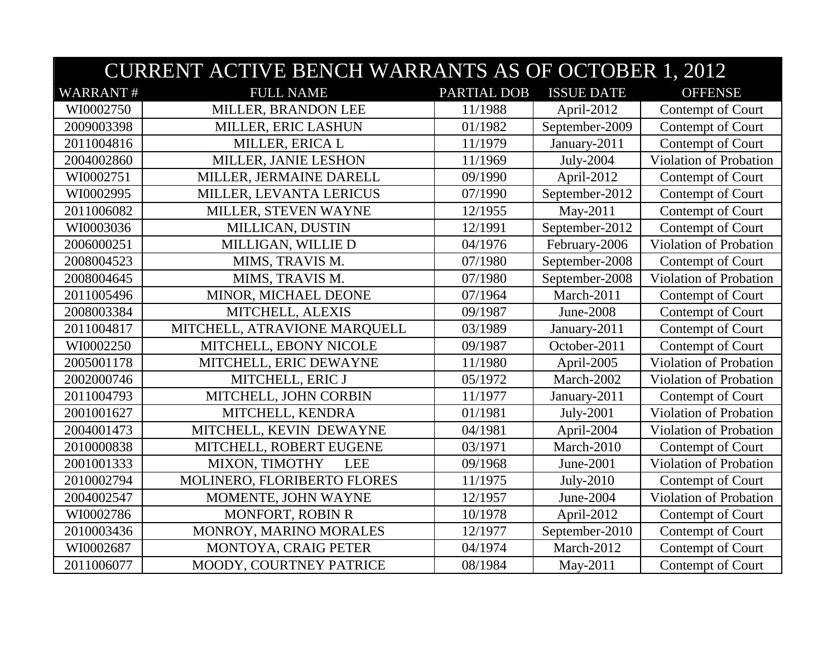|                 | <b>CURRENT ACTIVE BENCH WARRANTS AS OF OCTOBER 1, 2012</b> |                    |                   |                        |  |  |
|-----------------|------------------------------------------------------------|--------------------|-------------------|------------------------|--|--|
| <b>WARRANT#</b> | <b>FULL NAME</b>                                           | <b>PARTIAL DOB</b> | <b>ISSUE DATE</b> | <b>OFFENSE</b>         |  |  |
| WI0002750       | MILLER, BRANDON LEE                                        | 11/1988            | April-2012        | Contempt of Court      |  |  |
| 2009003398      | MILLER, ERIC LASHUN                                        | 01/1982            | September-2009    | Contempt of Court      |  |  |
| 2011004816      | MILLER, ERICA L                                            | 11/1979            | January-2011      | Contempt of Court      |  |  |
| 2004002860      | MILLER, JANIE LESHON                                       | 11/1969            | July-2004         | Violation of Probation |  |  |
| WI0002751       | MILLER, JERMAINE DARELL                                    | 09/1990            | April-2012        | Contempt of Court      |  |  |
| WI0002995       | MILLER, LEVANTA LERICUS                                    | 07/1990            | September-2012    | Contempt of Court      |  |  |
| 2011006082      | MILLER, STEVEN WAYNE                                       | 12/1955            | May-2011          | Contempt of Court      |  |  |
| WI0003036       | MILLICAN, DUSTIN                                           | 12/1991            | September-2012    | Contempt of Court      |  |  |
| 2006000251      | MILLIGAN, WILLIE D                                         | 04/1976            | February-2006     | Violation of Probation |  |  |
| 2008004523      | MIMS, TRAVIS M.                                            | 07/1980            | September-2008    | Contempt of Court      |  |  |
| 2008004645      | MIMS, TRAVIS M.                                            | 07/1980            | September-2008    | Violation of Probation |  |  |
| 2011005496      | MINOR, MICHAEL DEONE                                       | 07/1964            | March-2011        | Contempt of Court      |  |  |
| 2008003384      | MITCHELL, ALEXIS                                           | 09/1987            | June-2008         | Contempt of Court      |  |  |
| 2011004817      | MITCHELL, ATRAVIONE MARQUELL                               | 03/1989            | January-2011      | Contempt of Court      |  |  |
| WI0002250       | MITCHELL, EBONY NICOLE                                     | 09/1987            | October-2011      | Contempt of Court      |  |  |
| 2005001178      | MITCHELL, ERIC DEWAYNE                                     | 11/1980            | April-2005        | Violation of Probation |  |  |
| 2002000746      | MITCHELL, ERIC J                                           | 05/1972            | March-2002        | Violation of Probation |  |  |
| 2011004793      | MITCHELL, JOHN CORBIN                                      | 11/1977            | January-2011      | Contempt of Court      |  |  |
| 2001001627      | MITCHELL, KENDRA                                           | 01/1981            | July-2001         | Violation of Probation |  |  |
| 2004001473      | MITCHELL, KEVIN DEWAYNE                                    | 04/1981            | April-2004        | Violation of Probation |  |  |
| 2010000838      | MITCHELL, ROBERT EUGENE                                    | 03/1971            | March-2010        | Contempt of Court      |  |  |
| 2001001333      | MIXON, TIMOTHY<br><b>LEE</b>                               | 09/1968            | June-2001         | Violation of Probation |  |  |
| 2010002794      | MOLINERO, FLORIBERTO FLORES                                | 11/1975            | July-2010         | Contempt of Court      |  |  |
| 2004002547      | MOMENTE, JOHN WAYNE                                        | 12/1957            | June-2004         | Violation of Probation |  |  |
| WI0002786       | MONFORT, ROBIN R                                           | 10/1978            | April-2012        | Contempt of Court      |  |  |
| 2010003436      | MONROY, MARINO MORALES                                     | 12/1977            | September-2010    | Contempt of Court      |  |  |
| WI0002687       | MONTOYA, CRAIG PETER                                       | 04/1974            | March-2012        | Contempt of Court      |  |  |
| 2011006077      | MOODY, COURTNEY PATRICE                                    | 08/1984            | May-2011          | Contempt of Court      |  |  |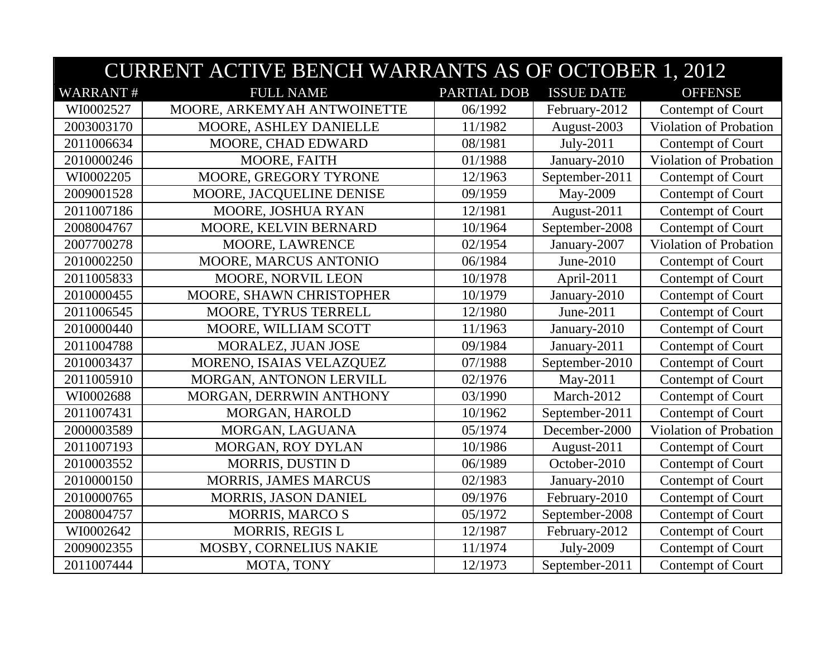|                 | <b>CURRENT ACTIVE BENCH WARRANTS AS OF OCTOBER 1, 2012</b> |             |                   |                               |  |
|-----------------|------------------------------------------------------------|-------------|-------------------|-------------------------------|--|
| <b>WARRANT#</b> | <b>FULL NAME</b>                                           | PARTIAL DOB | <b>ISSUE DATE</b> | <b>OFFENSE</b>                |  |
| WI0002527       | MOORE, ARKEMYAH ANTWOINETTE                                | 06/1992     | February-2012     | Contempt of Court             |  |
| 2003003170      | MOORE, ASHLEY DANIELLE                                     | 11/1982     | August-2003       | <b>Violation of Probation</b> |  |
| 2011006634      | MOORE, CHAD EDWARD                                         | 08/1981     | July-2011         | Contempt of Court             |  |
| 2010000246      | MOORE, FAITH                                               | 01/1988     | January-2010      | Violation of Probation        |  |
| WI0002205       | MOORE, GREGORY TYRONE                                      | 12/1963     | September-2011    | Contempt of Court             |  |
| 2009001528      | MOORE, JACQUELINE DENISE                                   | 09/1959     | May-2009          | Contempt of Court             |  |
| 2011007186      | MOORE, JOSHUA RYAN                                         | 12/1981     | August-2011       | Contempt of Court             |  |
| 2008004767      | MOORE, KELVIN BERNARD                                      | 10/1964     | September-2008    | Contempt of Court             |  |
| 2007700278      | MOORE, LAWRENCE                                            | 02/1954     | January-2007      | Violation of Probation        |  |
| 2010002250      | MOORE, MARCUS ANTONIO                                      | 06/1984     | June-2010         | Contempt of Court             |  |
| 2011005833      | MOORE, NORVIL LEON                                         | 10/1978     | April-2011        | Contempt of Court             |  |
| 2010000455      | MOORE, SHAWN CHRISTOPHER                                   | 10/1979     | January-2010      | Contempt of Court             |  |
| 2011006545      | MOORE, TYRUS TERRELL                                       | 12/1980     | June-2011         | Contempt of Court             |  |
| 2010000440      | MOORE, WILLIAM SCOTT                                       | 11/1963     | January-2010      | Contempt of Court             |  |
| 2011004788      | MORALEZ, JUAN JOSE                                         | 09/1984     | January-2011      | Contempt of Court             |  |
| 2010003437      | MORENO, ISAIAS VELAZQUEZ                                   | 07/1988     | September-2010    | Contempt of Court             |  |
| 2011005910      | MORGAN, ANTONON LERVILL                                    | 02/1976     | May-2011          | Contempt of Court             |  |
| WI0002688       | MORGAN, DERRWIN ANTHONY                                    | 03/1990     | March-2012        | Contempt of Court             |  |
| 2011007431      | MORGAN, HAROLD                                             | 10/1962     | September-2011    | Contempt of Court             |  |
| 2000003589      | MORGAN, LAGUANA                                            | 05/1974     | December-2000     | Violation of Probation        |  |
| 2011007193      | MORGAN, ROY DYLAN                                          | 10/1986     | August-2011       | Contempt of Court             |  |
| 2010003552      | MORRIS, DUSTIN D                                           | 06/1989     | October-2010      | Contempt of Court             |  |
| 2010000150      | <b>MORRIS, JAMES MARCUS</b>                                | 02/1983     | January-2010      | Contempt of Court             |  |
| 2010000765      | MORRIS, JASON DANIEL                                       | 09/1976     | February-2010     | Contempt of Court             |  |
| 2008004757      | <b>MORRIS, MARCO S</b>                                     | 05/1972     | September-2008    | Contempt of Court             |  |
| WI0002642       | <b>MORRIS, REGIS L</b>                                     | 12/1987     | February-2012     | Contempt of Court             |  |
| 2009002355      | MOSBY, CORNELIUS NAKIE                                     | 11/1974     | July-2009         | Contempt of Court             |  |
| 2011007444      | MOTA, TONY                                                 | 12/1973     | September-2011    | Contempt of Court             |  |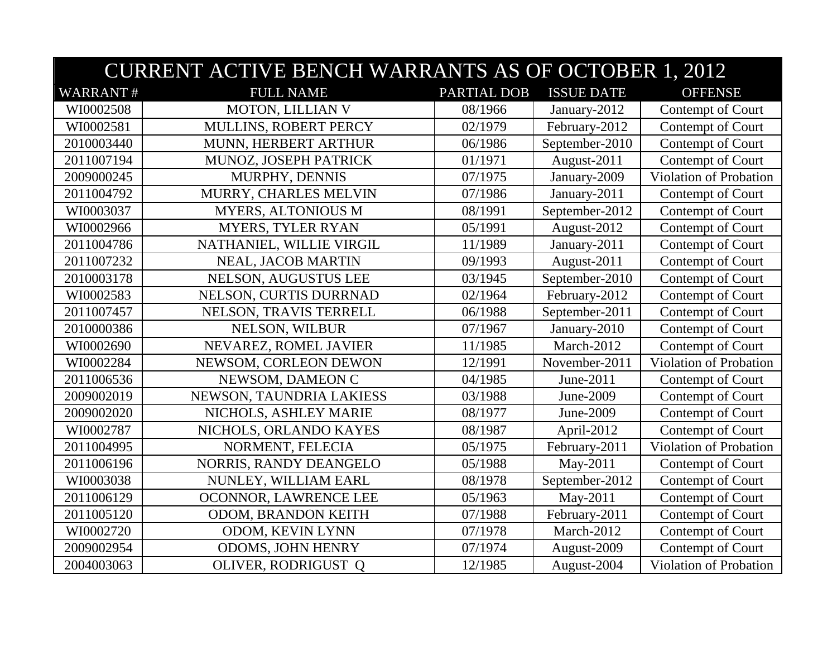|                 | <b>CURRENT ACTIVE BENCH WARRANTS AS OF OCTOBER 1, 2012</b> |             |                   |                        |  |
|-----------------|------------------------------------------------------------|-------------|-------------------|------------------------|--|
| <b>WARRANT#</b> | <b>FULL NAME</b>                                           | PARTIAL DOB | <b>ISSUE DATE</b> | <b>OFFENSE</b>         |  |
| WI0002508       | MOTON, LILLIAN V                                           | 08/1966     | January-2012      | Contempt of Court      |  |
| WI0002581       | MULLINS, ROBERT PERCY                                      | 02/1979     | February-2012     | Contempt of Court      |  |
| 2010003440      | MUNN, HERBERT ARTHUR                                       | 06/1986     | September-2010    | Contempt of Court      |  |
| 2011007194      | MUNOZ, JOSEPH PATRICK                                      | 01/1971     | August-2011       | Contempt of Court      |  |
| 2009000245      | MURPHY, DENNIS                                             | 07/1975     | January-2009      | Violation of Probation |  |
| 2011004792      | MURRY, CHARLES MELVIN                                      | 07/1986     | January-2011      | Contempt of Court      |  |
| WI0003037       | <b>MYERS, ALTONIOUS M</b>                                  | 08/1991     | September-2012    | Contempt of Court      |  |
| WI0002966       | <b>MYERS, TYLER RYAN</b>                                   | 05/1991     | August-2012       | Contempt of Court      |  |
| 2011004786      | NATHANIEL, WILLIE VIRGIL                                   | 11/1989     | January-2011      | Contempt of Court      |  |
| 2011007232      | NEAL, JACOB MARTIN                                         | 09/1993     | August-2011       | Contempt of Court      |  |
| 2010003178      | NELSON, AUGUSTUS LEE                                       | 03/1945     | September-2010    | Contempt of Court      |  |
| WI0002583       | NELSON, CURTIS DURRNAD                                     | 02/1964     | February-2012     | Contempt of Court      |  |
| 2011007457      | NELSON, TRAVIS TERRELL                                     | 06/1988     | September-2011    | Contempt of Court      |  |
| 2010000386      | NELSON, WILBUR                                             | 07/1967     | January-2010      | Contempt of Court      |  |
| WI0002690       | NEVAREZ, ROMEL JAVIER                                      | 11/1985     | March-2012        | Contempt of Court      |  |
| WI0002284       | NEWSOM, CORLEON DEWON                                      | 12/1991     | November-2011     | Violation of Probation |  |
| 2011006536      | NEWSOM, DAMEON C                                           | 04/1985     | June-2011         | Contempt of Court      |  |
| 2009002019      | NEWSON, TAUNDRIA LAKIESS                                   | 03/1988     | June-2009         | Contempt of Court      |  |
| 2009002020      | NICHOLS, ASHLEY MARIE                                      | 08/1977     | June-2009         | Contempt of Court      |  |
| WI0002787       | NICHOLS, ORLANDO KAYES                                     | 08/1987     | April-2012        | Contempt of Court      |  |
| 2011004995      | NORMENT, FELECIA                                           | 05/1975     | February-2011     | Violation of Probation |  |
| 2011006196      | NORRIS, RANDY DEANGELO                                     | 05/1988     | May-2011          | Contempt of Court      |  |
| WI0003038       | NUNLEY, WILLIAM EARL                                       | 08/1978     | September-2012    | Contempt of Court      |  |
| 2011006129      | OCONNOR, LAWRENCE LEE                                      | 05/1963     | May-2011          | Contempt of Court      |  |
| 2011005120      | ODOM, BRANDON KEITH                                        | 07/1988     | February-2011     | Contempt of Court      |  |
| WI0002720       | ODOM, KEVIN LYNN                                           | 07/1978     | March-2012        | Contempt of Court      |  |
| 2009002954      | <b>ODOMS, JOHN HENRY</b>                                   | 07/1974     | August-2009       | Contempt of Court      |  |
| 2004003063      | OLIVER, RODRIGUST Q                                        | 12/1985     | August-2004       | Violation of Probation |  |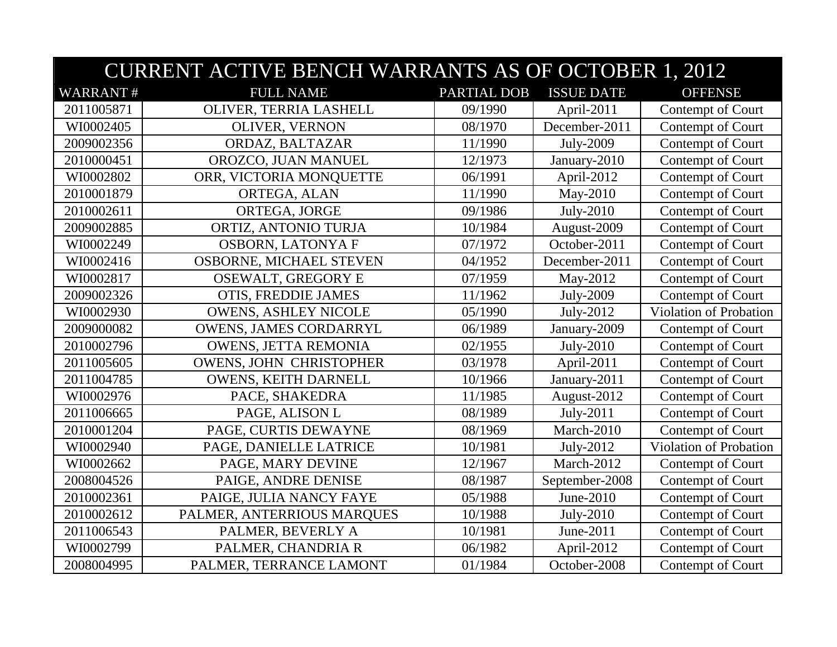|                 | <b>CURRENT ACTIVE BENCH WARRANTS AS OF OCTOBER 1, 2012</b> |                    |                   |                        |  |  |
|-----------------|------------------------------------------------------------|--------------------|-------------------|------------------------|--|--|
| <b>WARRANT#</b> | <b>FULL NAME</b>                                           | <b>PARTIAL DOB</b> | <b>ISSUE DATE</b> | <b>OFFENSE</b>         |  |  |
| 2011005871      | OLIVER, TERRIA LASHELL                                     | 09/1990            | April-2011        | Contempt of Court      |  |  |
| WI0002405       | OLIVER, VERNON                                             | 08/1970            | December-2011     | Contempt of Court      |  |  |
| 2009002356      | ORDAZ, BALTAZAR                                            | 11/1990            | July-2009         | Contempt of Court      |  |  |
| 2010000451      | OROZCO, JUAN MANUEL                                        | 12/1973            | January-2010      | Contempt of Court      |  |  |
| WI0002802       | ORR, VICTORIA MONQUETTE                                    | 06/1991            | April-2012        | Contempt of Court      |  |  |
| 2010001879      | ORTEGA, ALAN                                               | 11/1990            | May-2010          | Contempt of Court      |  |  |
| 2010002611      | ORTEGA, JORGE                                              | 09/1986            | July-2010         | Contempt of Court      |  |  |
| 2009002885      | ORTIZ, ANTONIO TURJA                                       | 10/1984            | August-2009       | Contempt of Court      |  |  |
| WI0002249       | <b>OSBORN, LATONYA F</b>                                   | 07/1972            | October-2011      | Contempt of Court      |  |  |
| WI0002416       | <b>OSBORNE, MICHAEL STEVEN</b>                             | 04/1952            | December-2011     | Contempt of Court      |  |  |
| WI0002817       | OSEWALT, GREGORY E                                         | 07/1959            | May-2012          | Contempt of Court      |  |  |
| 2009002326      | OTIS, FREDDIE JAMES                                        | 11/1962            | July-2009         | Contempt of Court      |  |  |
| WI0002930       | <b>OWENS, ASHLEY NICOLE</b>                                | 05/1990            | July-2012         | Violation of Probation |  |  |
| 2009000082      | <b>OWENS, JAMES CORDARRYL</b>                              | 06/1989            | January-2009      | Contempt of Court      |  |  |
| 2010002796      | <b>OWENS, JETTA REMONIA</b>                                | 02/1955            | July-2010         | Contempt of Court      |  |  |
| 2011005605      | OWENS, JOHN CHRISTOPHER                                    | 03/1978            | April-2011        | Contempt of Court      |  |  |
| 2011004785      | OWENS, KEITH DARNELL                                       | 10/1966            | January-2011      | Contempt of Court      |  |  |
| WI0002976       | PACE, SHAKEDRA                                             | 11/1985            | August-2012       | Contempt of Court      |  |  |
| 2011006665      | PAGE, ALISON L                                             | 08/1989            | July-2011         | Contempt of Court      |  |  |
| 2010001204      | PAGE, CURTIS DEWAYNE                                       | 08/1969            | March-2010        | Contempt of Court      |  |  |
| WI0002940       | PAGE, DANIELLE LATRICE                                     | 10/1981            | July-2012         | Violation of Probation |  |  |
| WI0002662       | PAGE, MARY DEVINE                                          | 12/1967            | March-2012        | Contempt of Court      |  |  |
| 2008004526      | PAIGE, ANDRE DENISE                                        | 08/1987            | September-2008    | Contempt of Court      |  |  |
| 2010002361      | PAIGE, JULIA NANCY FAYE                                    | 05/1988            | June-2010         | Contempt of Court      |  |  |
| 2010002612      | PALMER, ANTERRIOUS MARQUES                                 | 10/1988            | July-2010         | Contempt of Court      |  |  |
| 2011006543      | PALMER, BEVERLY A                                          | 10/1981            | June-2011         | Contempt of Court      |  |  |
| WI0002799       | PALMER, CHANDRIA R                                         | 06/1982            | April-2012        | Contempt of Court      |  |  |
| 2008004995      | PALMER, TERRANCE LAMONT                                    | 01/1984            | October-2008      | Contempt of Court      |  |  |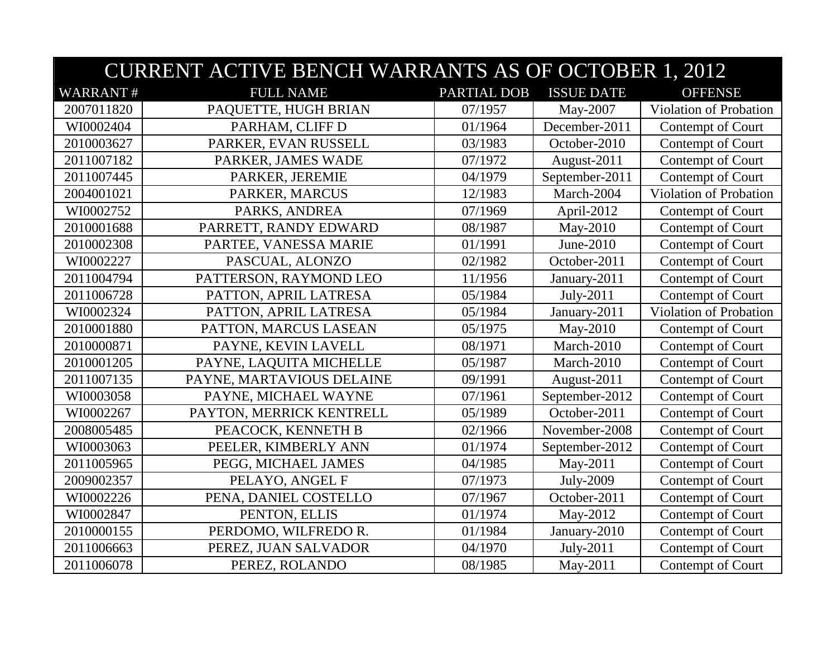|                 | <b>CURRENT ACTIVE BENCH WARRANTS AS OF OCTOBER 1, 2012</b> |             |                   |                               |  |
|-----------------|------------------------------------------------------------|-------------|-------------------|-------------------------------|--|
| <b>WARRANT#</b> | <b>FULL NAME</b>                                           | PARTIAL DOB | <b>ISSUE DATE</b> | <b>OFFENSE</b>                |  |
| 2007011820      | PAQUETTE, HUGH BRIAN                                       | 07/1957     | May-2007          | Violation of Probation        |  |
| WI0002404       | PARHAM, CLIFF D                                            | 01/1964     | December-2011     | Contempt of Court             |  |
| 2010003627      | PARKER, EVAN RUSSELL                                       | 03/1983     | October-2010      | Contempt of Court             |  |
| 2011007182      | PARKER, JAMES WADE                                         | 07/1972     | August-2011       | Contempt of Court             |  |
| 2011007445      | PARKER, JEREMIE                                            | 04/1979     | September-2011    | Contempt of Court             |  |
| 2004001021      | PARKER, MARCUS                                             | 12/1983     | March-2004        | <b>Violation of Probation</b> |  |
| WI0002752       | PARKS, ANDREA                                              | 07/1969     | April-2012        | Contempt of Court             |  |
| 2010001688      | PARRETT, RANDY EDWARD                                      | 08/1987     | May-2010          | Contempt of Court             |  |
| 2010002308      | PARTEE, VANESSA MARIE                                      | 01/1991     | June-2010         | Contempt of Court             |  |
| WI0002227       | PASCUAL, ALONZO                                            | 02/1982     | October-2011      | Contempt of Court             |  |
| 2011004794      | PATTERSON, RAYMOND LEO                                     | 11/1956     | January-2011      | Contempt of Court             |  |
| 2011006728      | PATTON, APRIL LATRESA                                      | 05/1984     | July-2011         | Contempt of Court             |  |
| WI0002324       | PATTON, APRIL LATRESA                                      | 05/1984     | January-2011      | Violation of Probation        |  |
| 2010001880      | PATTON, MARCUS LASEAN                                      | 05/1975     | May-2010          | Contempt of Court             |  |
| 2010000871      | PAYNE, KEVIN LAVELL                                        | 08/1971     | March-2010        | Contempt of Court             |  |
| 2010001205      | PAYNE, LAQUITA MICHELLE                                    | 05/1987     | March-2010        | Contempt of Court             |  |
| 2011007135      | PAYNE, MARTAVIOUS DELAINE                                  | 09/1991     | August-2011       | Contempt of Court             |  |
| WI0003058       | PAYNE, MICHAEL WAYNE                                       | 07/1961     | September-2012    | Contempt of Court             |  |
| WI0002267       | PAYTON, MERRICK KENTRELL                                   | 05/1989     | October-2011      | Contempt of Court             |  |
| 2008005485      | PEACOCK, KENNETH B                                         | 02/1966     | November-2008     | Contempt of Court             |  |
| WI0003063       | PEELER, KIMBERLY ANN                                       | 01/1974     | September-2012    | Contempt of Court             |  |
| 2011005965      | PEGG, MICHAEL JAMES                                        | 04/1985     | May-2011          | Contempt of Court             |  |
| 2009002357      | PELAYO, ANGEL F                                            | 07/1973     | July-2009         | Contempt of Court             |  |
| WI0002226       | PENA, DANIEL COSTELLO                                      | 07/1967     | October-2011      | Contempt of Court             |  |
| WI0002847       | PENTON, ELLIS                                              | 01/1974     | May-2012          | Contempt of Court             |  |
| 2010000155      | PERDOMO, WILFREDO R.                                       | 01/1984     | January-2010      | Contempt of Court             |  |
| 2011006663      | PEREZ, JUAN SALVADOR                                       | 04/1970     | July-2011         | Contempt of Court             |  |
| 2011006078      | PEREZ, ROLANDO                                             | 08/1985     | May-2011          | Contempt of Court             |  |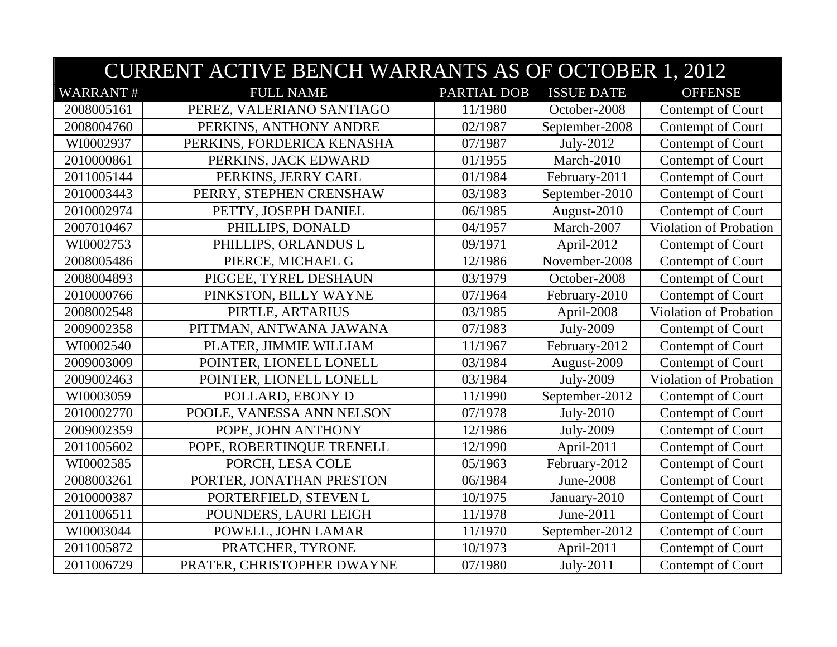|                 | <b>CURRENT ACTIVE BENCH WARRANTS AS OF OCTOBER 1, 2012</b> |                    |                   |                        |  |
|-----------------|------------------------------------------------------------|--------------------|-------------------|------------------------|--|
| <b>WARRANT#</b> | <b>FULL NAME</b>                                           | <b>PARTIAL DOB</b> | <b>ISSUE DATE</b> | <b>OFFENSE</b>         |  |
| 2008005161      | PEREZ, VALERIANO SANTIAGO                                  | 11/1980            | October-2008      | Contempt of Court      |  |
| 2008004760      | PERKINS, ANTHONY ANDRE                                     | 02/1987            | September-2008    | Contempt of Court      |  |
| WI0002937       | PERKINS, FORDERICA KENASHA                                 | 07/1987            | July-2012         | Contempt of Court      |  |
| 2010000861      | PERKINS, JACK EDWARD                                       | 01/1955            | March-2010        | Contempt of Court      |  |
| 2011005144      | PERKINS, JERRY CARL                                        | 01/1984            | February-2011     | Contempt of Court      |  |
| 2010003443      | PERRY, STEPHEN CRENSHAW                                    | 03/1983            | September-2010    | Contempt of Court      |  |
| 2010002974      | PETTY, JOSEPH DANIEL                                       | 06/1985            | August-2010       | Contempt of Court      |  |
| 2007010467      | PHILLIPS, DONALD                                           | 04/1957            | March-2007        | Violation of Probation |  |
| WI0002753       | PHILLIPS, ORLANDUS L                                       | 09/1971            | April-2012        | Contempt of Court      |  |
| 2008005486      | PIERCE, MICHAEL G                                          | 12/1986            | November-2008     | Contempt of Court      |  |
| 2008004893      | PIGGEE, TYREL DESHAUN                                      | 03/1979            | October-2008      | Contempt of Court      |  |
| 2010000766      | PINKSTON, BILLY WAYNE                                      | 07/1964            | February-2010     | Contempt of Court      |  |
| 2008002548      | PIRTLE, ARTARIUS                                           | 03/1985            | April-2008        | Violation of Probation |  |
| 2009002358      | PITTMAN, ANTWANA JAWANA                                    | 07/1983            | July-2009         | Contempt of Court      |  |
| WI0002540       | PLATER, JIMMIE WILLIAM                                     | 11/1967            | February-2012     | Contempt of Court      |  |
| 2009003009      | POINTER, LIONELL LONELL                                    | 03/1984            | August-2009       | Contempt of Court      |  |
| 2009002463      | POINTER, LIONELL LONELL                                    | 03/1984            | July-2009         | Violation of Probation |  |
| WI0003059       | POLLARD, EBONY D                                           | 11/1990            | September-2012    | Contempt of Court      |  |
| 2010002770      | POOLE, VANESSA ANN NELSON                                  | 07/1978            | $July-2010$       | Contempt of Court      |  |
| 2009002359      | POPE, JOHN ANTHONY                                         | 12/1986            | July-2009         | Contempt of Court      |  |
| 2011005602      | POPE, ROBERTINQUE TRENELL                                  | 12/1990            | April-2011        | Contempt of Court      |  |
| WI0002585       | PORCH, LESA COLE                                           | 05/1963            | February-2012     | Contempt of Court      |  |
| 2008003261      | PORTER, JONATHAN PRESTON                                   | 06/1984            | June-2008         | Contempt of Court      |  |
| 2010000387      | PORTERFIELD, STEVEN L                                      | 10/1975            | January-2010      | Contempt of Court      |  |
| 2011006511      | POUNDERS, LAURI LEIGH                                      | 11/1978            | June-2011         | Contempt of Court      |  |
| WI0003044       | POWELL, JOHN LAMAR                                         | 11/1970            | September-2012    | Contempt of Court      |  |
| 2011005872      | PRATCHER, TYRONE                                           | 10/1973            | April-2011        | Contempt of Court      |  |
| 2011006729      | PRATER, CHRISTOPHER DWAYNE                                 | 07/1980            | July-2011         | Contempt of Court      |  |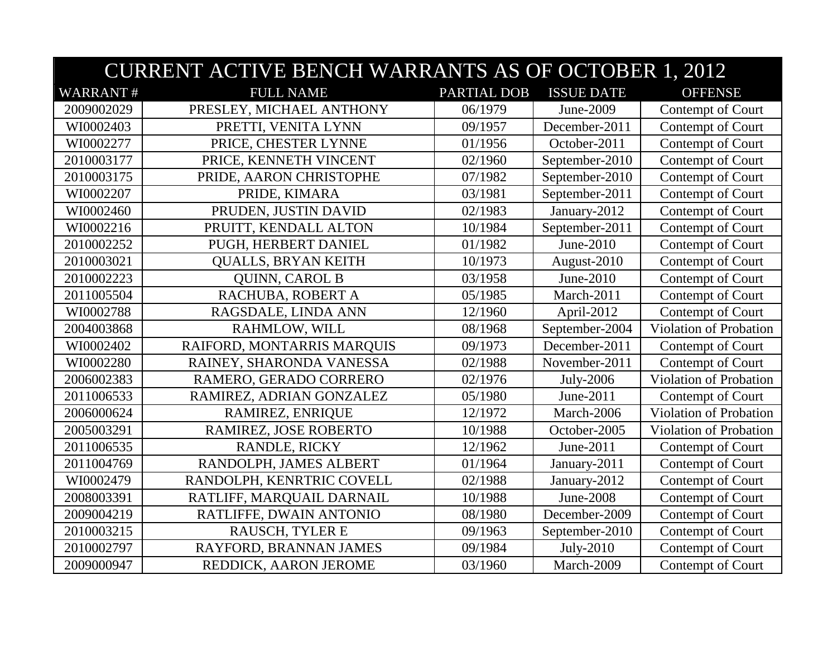|                 | <b>CURRENT ACTIVE BENCH WARRANTS AS OF OCTOBER 1, 2012</b> |             |                   |                        |  |
|-----------------|------------------------------------------------------------|-------------|-------------------|------------------------|--|
| <b>WARRANT#</b> | <b>FULL NAME</b>                                           | PARTIAL DOB | <b>ISSUE DATE</b> | <b>OFFENSE</b>         |  |
| 2009002029      | PRESLEY, MICHAEL ANTHONY                                   | 06/1979     | June-2009         | Contempt of Court      |  |
| WI0002403       | PRETTI, VENITA LYNN                                        | 09/1957     | December-2011     | Contempt of Court      |  |
| WI0002277       | PRICE, CHESTER LYNNE                                       | 01/1956     | October-2011      | Contempt of Court      |  |
| 2010003177      | PRICE, KENNETH VINCENT                                     | 02/1960     | September-2010    | Contempt of Court      |  |
| 2010003175      | PRIDE, AARON CHRISTOPHE                                    | 07/1982     | September-2010    | Contempt of Court      |  |
| WI0002207       | PRIDE, KIMARA                                              | 03/1981     | September-2011    | Contempt of Court      |  |
| WI0002460       | PRUDEN, JUSTIN DAVID                                       | 02/1983     | January-2012      | Contempt of Court      |  |
| WI0002216       | PRUITT, KENDALL ALTON                                      | 10/1984     | September-2011    | Contempt of Court      |  |
| 2010002252      | PUGH, HERBERT DANIEL                                       | 01/1982     | June-2010         | Contempt of Court      |  |
| 2010003021      | <b>QUALLS, BRYAN KEITH</b>                                 | 10/1973     | August-2010       | Contempt of Court      |  |
| 2010002223      | <b>QUINN, CAROL B</b>                                      | 03/1958     | June-2010         | Contempt of Court      |  |
| 2011005504      | RACHUBA, ROBERT A                                          | 05/1985     | March-2011        | Contempt of Court      |  |
| WI0002788       | RAGSDALE, LINDA ANN                                        | 12/1960     | April-2012        | Contempt of Court      |  |
| 2004003868      | RAHMLOW, WILL                                              | 08/1968     | September-2004    | Violation of Probation |  |
| WI0002402       | RAIFORD, MONTARRIS MARQUIS                                 | 09/1973     | December-2011     | Contempt of Court      |  |
| WI0002280       | RAINEY, SHARONDA VANESSA                                   | 02/1988     | November-2011     | Contempt of Court      |  |
| 2006002383      | RAMERO, GERADO CORRERO                                     | 02/1976     | July-2006         | Violation of Probation |  |
| 2011006533      | RAMIREZ, ADRIAN GONZALEZ                                   | 05/1980     | June-2011         | Contempt of Court      |  |
| 2006000624      | RAMIREZ, ENRIQUE                                           | 12/1972     | March-2006        | Violation of Probation |  |
| 2005003291      | RAMIREZ, JOSE ROBERTO                                      | 10/1988     | October-2005      | Violation of Probation |  |
| 2011006535      | RANDLE, RICKY                                              | 12/1962     | June-2011         | Contempt of Court      |  |
| 2011004769      | RANDOLPH, JAMES ALBERT                                     | 01/1964     | January-2011      | Contempt of Court      |  |
| WI0002479       | RANDOLPH, KENRTRIC COVELL                                  | 02/1988     | January-2012      | Contempt of Court      |  |
| 2008003391      | RATLIFF, MARQUAIL DARNAIL                                  | 10/1988     | June-2008         | Contempt of Court      |  |
| 2009004219      | RATLIFFE, DWAIN ANTONIO                                    | 08/1980     | December-2009     | Contempt of Court      |  |
| 2010003215      | RAUSCH, TYLER E                                            | 09/1963     | September-2010    | Contempt of Court      |  |
| 2010002797      | RAYFORD, BRANNAN JAMES                                     | 09/1984     | July-2010         | Contempt of Court      |  |
| 2009000947      | REDDICK, AARON JEROME                                      | 03/1960     | March-2009        | Contempt of Court      |  |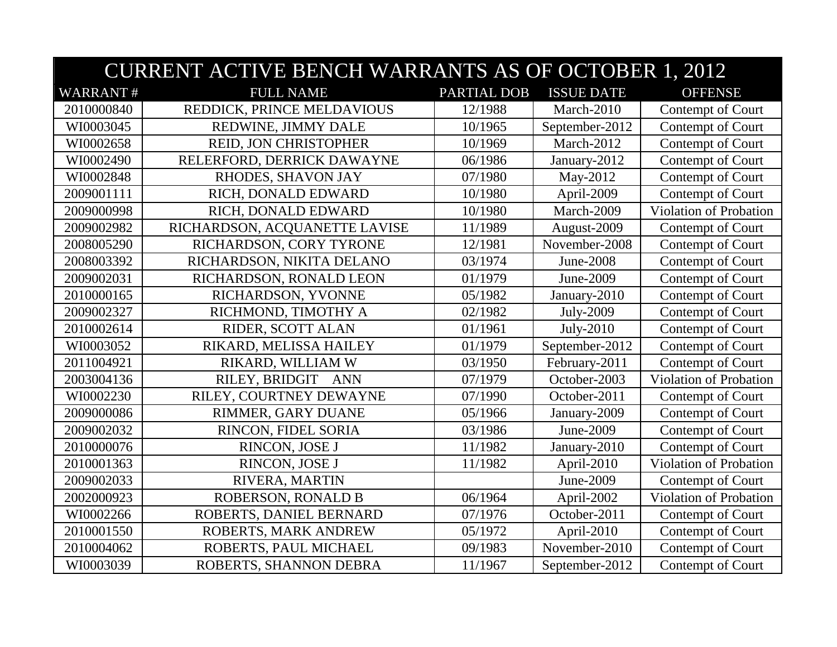| <b>CURRENT ACTIVE BENCH WARRANTS AS OF OCTOBER 1, 2012</b> |                               |                    |                   |                        |
|------------------------------------------------------------|-------------------------------|--------------------|-------------------|------------------------|
| <b>WARRANT#</b>                                            | <b>FULL NAME</b>              | <b>PARTIAL DOB</b> | <b>ISSUE DATE</b> | <b>OFFENSE</b>         |
| 2010000840                                                 | REDDICK, PRINCE MELDAVIOUS    | 12/1988            | March-2010        | Contempt of Court      |
| WI0003045                                                  | REDWINE, JIMMY DALE           | 10/1965            | September-2012    | Contempt of Court      |
| WI0002658                                                  | REID, JON CHRISTOPHER         | 10/1969            | March-2012        | Contempt of Court      |
| WI0002490                                                  | RELERFORD, DERRICK DAWAYNE    | 06/1986            | January-2012      | Contempt of Court      |
| WI0002848                                                  | RHODES, SHAVON JAY            | 07/1980            | May-2012          | Contempt of Court      |
| 2009001111                                                 | RICH, DONALD EDWARD           | 10/1980            | April-2009        | Contempt of Court      |
| 2009000998                                                 | RICH, DONALD EDWARD           | 10/1980            | March-2009        | Violation of Probation |
| 2009002982                                                 | RICHARDSON, ACQUANETTE LAVISE | 11/1989            | August-2009       | Contempt of Court      |
| 2008005290                                                 | RICHARDSON, CORY TYRONE       | 12/1981            | November-2008     | Contempt of Court      |
| 2008003392                                                 | RICHARDSON, NIKITA DELANO     | 03/1974            | June-2008         | Contempt of Court      |
| 2009002031                                                 | RICHARDSON, RONALD LEON       | 01/1979            | June-2009         | Contempt of Court      |
| 2010000165                                                 | RICHARDSON, YVONNE            | 05/1982            | January-2010      | Contempt of Court      |
| 2009002327                                                 | RICHMOND, TIMOTHY A           | 02/1982            | July-2009         | Contempt of Court      |
| 2010002614                                                 | RIDER, SCOTT ALAN             | 01/1961            | July-2010         | Contempt of Court      |
| WI0003052                                                  | RIKARD, MELISSA HAILEY        | 01/1979            | September-2012    | Contempt of Court      |
| 2011004921                                                 | RIKARD, WILLIAM W             | 03/1950            | February-2011     | Contempt of Court      |
| 2003004136                                                 | RILEY, BRIDGIT<br>ANN         | 07/1979            | October-2003      | Violation of Probation |
| WI0002230                                                  | RILEY, COURTNEY DEWAYNE       | 07/1990            | October-2011      | Contempt of Court      |
| 2009000086                                                 | RIMMER, GARY DUANE            | 05/1966            | January-2009      | Contempt of Court      |
| 2009002032                                                 | RINCON, FIDEL SORIA           | 03/1986            | June-2009         | Contempt of Court      |
| 2010000076                                                 | RINCON, JOSE J                | 11/1982            | January-2010      | Contempt of Court      |
| 2010001363                                                 | RINCON, JOSE J                | 11/1982            | April-2010        | Violation of Probation |
| 2009002033                                                 | RIVERA, MARTIN                |                    | June-2009         | Contempt of Court      |
| 2002000923                                                 | <b>ROBERSON, RONALD B</b>     | 06/1964            | April-2002        | Violation of Probation |
| WI0002266                                                  | ROBERTS, DANIEL BERNARD       | 07/1976            | October-2011      | Contempt of Court      |
| 2010001550                                                 | ROBERTS, MARK ANDREW          | 05/1972            | April-2010        | Contempt of Court      |
| 2010004062                                                 | ROBERTS, PAUL MICHAEL         | 09/1983            | November-2010     | Contempt of Court      |
| WI0003039                                                  | ROBERTS, SHANNON DEBRA        | 11/1967            | September-2012    | Contempt of Court      |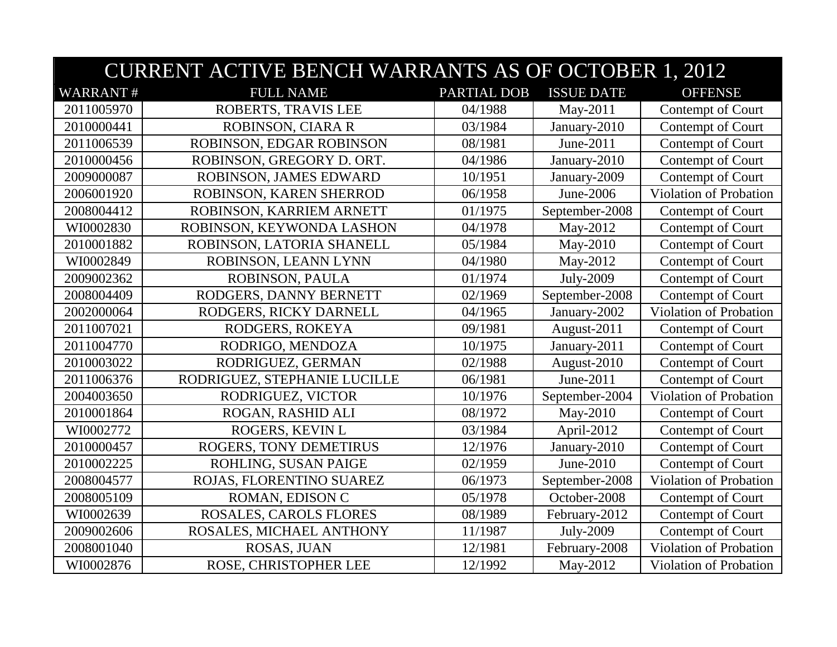|                 | <b>CURRENT ACTIVE BENCH WARRANTS AS OF OCTOBER 1, 2012</b> |             |                   |                               |  |
|-----------------|------------------------------------------------------------|-------------|-------------------|-------------------------------|--|
| <b>WARRANT#</b> | <b>FULL NAME</b>                                           | PARTIAL DOB | <b>ISSUE DATE</b> | <b>OFFENSE</b>                |  |
| 2011005970      | ROBERTS, TRAVIS LEE                                        | 04/1988     | May-2011          | Contempt of Court             |  |
| 2010000441      | ROBINSON, CIARA R                                          | 03/1984     | January-2010      | Contempt of Court             |  |
| 2011006539      | ROBINSON, EDGAR ROBINSON                                   | 08/1981     | June-2011         | Contempt of Court             |  |
| 2010000456      | ROBINSON, GREGORY D. ORT.                                  | 04/1986     | January-2010      | Contempt of Court             |  |
| 2009000087      | ROBINSON, JAMES EDWARD                                     | 10/1951     | January-2009      | Contempt of Court             |  |
| 2006001920      | ROBINSON, KAREN SHERROD                                    | 06/1958     | June-2006         | Violation of Probation        |  |
| 2008004412      | ROBINSON, KARRIEM ARNETT                                   | 01/1975     | September-2008    | Contempt of Court             |  |
| WI0002830       | ROBINSON, KEYWONDA LASHON                                  | 04/1978     | May-2012          | Contempt of Court             |  |
| 2010001882      | ROBINSON, LATORIA SHANELL                                  | 05/1984     | May-2010          | Contempt of Court             |  |
| WI0002849       | ROBINSON, LEANN LYNN                                       | 04/1980     | May-2012          | Contempt of Court             |  |
| 2009002362      | ROBINSON, PAULA                                            | 01/1974     | July-2009         | Contempt of Court             |  |
| 2008004409      | RODGERS, DANNY BERNETT                                     | 02/1969     | September-2008    | Contempt of Court             |  |
| 2002000064      | RODGERS, RICKY DARNELL                                     | 04/1965     | January-2002      | Violation of Probation        |  |
| 2011007021      | RODGERS, ROKEYA                                            | 09/1981     | August-2011       | Contempt of Court             |  |
| 2011004770      | RODRIGO, MENDOZA                                           | 10/1975     | January-2011      | Contempt of Court             |  |
| 2010003022      | RODRIGUEZ, GERMAN                                          | 02/1988     | August-2010       | Contempt of Court             |  |
| 2011006376      | RODRIGUEZ, STEPHANIE LUCILLE                               | 06/1981     | June-2011         | Contempt of Court             |  |
| 2004003650      | RODRIGUEZ, VICTOR                                          | 10/1976     | September-2004    | Violation of Probation        |  |
| 2010001864      | ROGAN, RASHID ALI                                          | 08/1972     | May-2010          | Contempt of Court             |  |
| WI0002772       | ROGERS, KEVIN L                                            | 03/1984     | April-2012        | Contempt of Court             |  |
| 2010000457      | ROGERS, TONY DEMETIRUS                                     | 12/1976     | January-2010      | Contempt of Court             |  |
| 2010002225      | ROHLING, SUSAN PAIGE                                       | 02/1959     | June-2010         | Contempt of Court             |  |
| 2008004577      | ROJAS, FLORENTINO SUAREZ                                   | 06/1973     | September-2008    | <b>Violation of Probation</b> |  |
| 2008005109      | ROMAN, EDISON C                                            | 05/1978     | October-2008      | Contempt of Court             |  |
| WI0002639       | ROSALES, CAROLS FLORES                                     | 08/1989     | February-2012     | Contempt of Court             |  |
| 2009002606      | ROSALES, MICHAEL ANTHONY                                   | 11/1987     | <b>July-2009</b>  | Contempt of Court             |  |
| 2008001040      | ROSAS, JUAN                                                | 12/1981     | February-2008     | Violation of Probation        |  |
| WI0002876       | ROSE, CHRISTOPHER LEE                                      | 12/1992     | May-2012          | Violation of Probation        |  |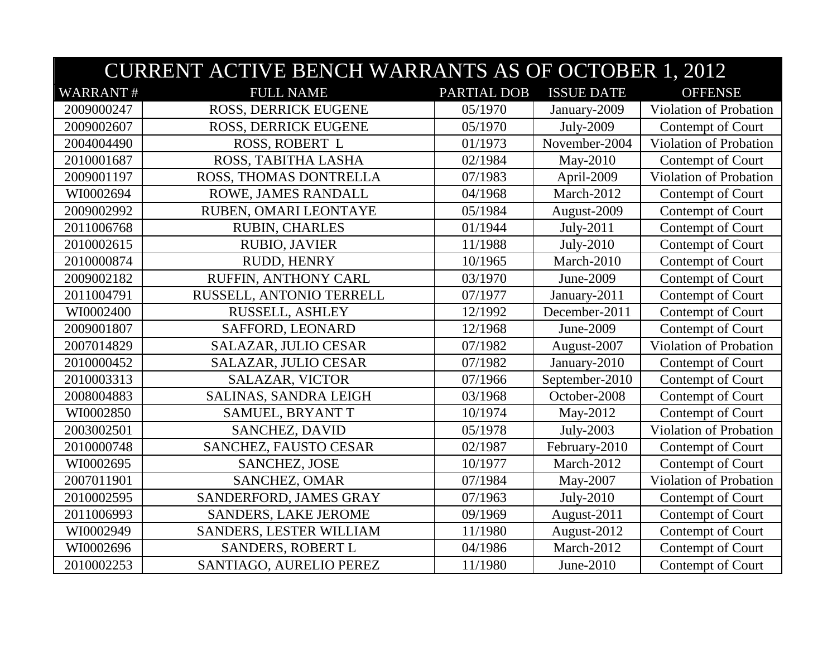|                 | <b>CURRENT ACTIVE BENCH WARRANTS AS OF OCTOBER 1, 2012</b> |             |                   |                               |  |  |
|-----------------|------------------------------------------------------------|-------------|-------------------|-------------------------------|--|--|
| <b>WARRANT#</b> | <b>FULL NAME</b>                                           | PARTIAL DOB | <b>ISSUE DATE</b> | <b>OFFENSE</b>                |  |  |
| 2009000247      | ROSS, DERRICK EUGENE                                       | 05/1970     | January-2009      | Violation of Probation        |  |  |
| 2009002607      | <b>ROSS, DERRICK EUGENE</b>                                | 05/1970     | July-2009         | Contempt of Court             |  |  |
| 2004004490      | ROSS, ROBERT L                                             | 01/1973     | November-2004     | Violation of Probation        |  |  |
| 2010001687      | ROSS, TABITHA LASHA                                        | 02/1984     | May-2010          | Contempt of Court             |  |  |
| 2009001197      | ROSS, THOMAS DONTRELLA                                     | 07/1983     | April-2009        | Violation of Probation        |  |  |
| WI0002694       | ROWE, JAMES RANDALL                                        | 04/1968     | March-2012        | Contempt of Court             |  |  |
| 2009002992      | RUBEN, OMARI LEONTAYE                                      | 05/1984     | August-2009       | Contempt of Court             |  |  |
| 2011006768      | <b>RUBIN, CHARLES</b>                                      | 01/1944     | July-2011         | Contempt of Court             |  |  |
| 2010002615      | <b>RUBIO, JAVIER</b>                                       | 11/1988     | July-2010         | Contempt of Court             |  |  |
| 2010000874      | RUDD, HENRY                                                | 10/1965     | March-2010        | Contempt of Court             |  |  |
| 2009002182      | RUFFIN, ANTHONY CARL                                       | 03/1970     | June-2009         | Contempt of Court             |  |  |
| 2011004791      | RUSSELL, ANTONIO TERRELL                                   | 07/1977     | January-2011      | Contempt of Court             |  |  |
| WI0002400       | RUSSELL, ASHLEY                                            | 12/1992     | December-2011     | Contempt of Court             |  |  |
| 2009001807      | SAFFORD, LEONARD                                           | 12/1968     | June-2009         | Contempt of Court             |  |  |
| 2007014829      | SALAZAR, JULIO CESAR                                       | 07/1982     | August-2007       | Violation of Probation        |  |  |
| 2010000452      | SALAZAR, JULIO CESAR                                       | 07/1982     | January-2010      | Contempt of Court             |  |  |
| 2010003313      | SALAZAR, VICTOR                                            | 07/1966     | September-2010    | Contempt of Court             |  |  |
| 2008004883      | <b>SALINAS, SANDRA LEIGH</b>                               | 03/1968     | October-2008      | Contempt of Court             |  |  |
| WI0002850       | SAMUEL, BRYANT T                                           | 10/1974     | May-2012          | Contempt of Court             |  |  |
| 2003002501      | SANCHEZ, DAVID                                             | 05/1978     | July-2003         | Violation of Probation        |  |  |
| 2010000748      | SANCHEZ, FAUSTO CESAR                                      | 02/1987     | February-2010     | Contempt of Court             |  |  |
| WI0002695       | <b>SANCHEZ, JOSE</b>                                       | 10/1977     | March-2012        | Contempt of Court             |  |  |
| 2007011901      | <b>SANCHEZ, OMAR</b>                                       | 07/1984     | May-2007          | <b>Violation of Probation</b> |  |  |
| 2010002595      | SANDERFORD, JAMES GRAY                                     | 07/1963     | July-2010         | Contempt of Court             |  |  |
| 2011006993      | <b>SANDERS, LAKE JEROME</b>                                | 09/1969     | August-2011       | Contempt of Court             |  |  |
| WI0002949       | SANDERS, LESTER WILLIAM                                    | 11/1980     | August-2012       | Contempt of Court             |  |  |
| WI0002696       | SANDERS, ROBERT L                                          | 04/1986     | March-2012        | Contempt of Court             |  |  |
| 2010002253      | SANTIAGO, AURELIO PEREZ                                    | 11/1980     | June-2010         | Contempt of Court             |  |  |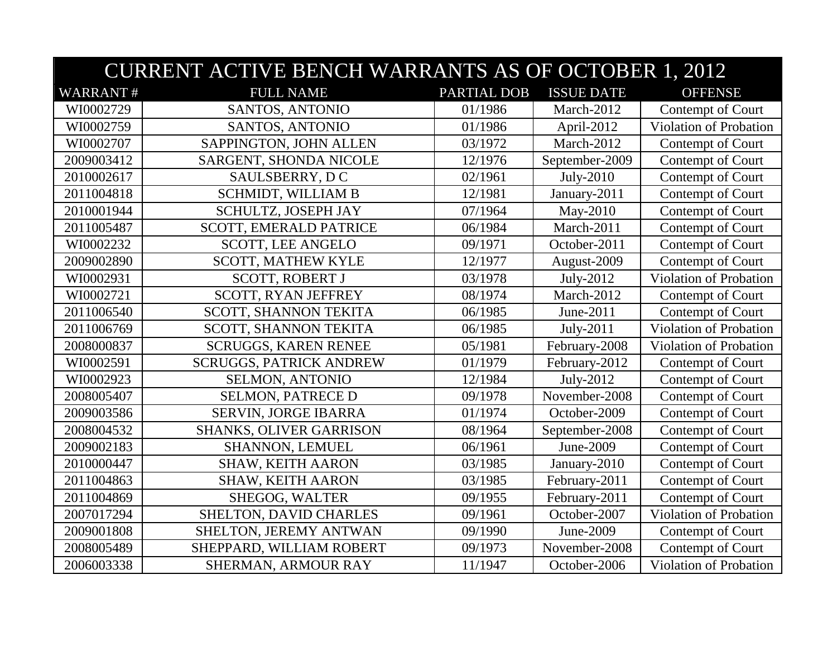|                 | <b>CURRENT ACTIVE BENCH WARRANTS AS OF OCTOBER 1, 2012</b> |             |                   |                               |  |
|-----------------|------------------------------------------------------------|-------------|-------------------|-------------------------------|--|
| <b>WARRANT#</b> | <b>FULL NAME</b>                                           | PARTIAL DOB | <b>ISSUE DATE</b> | <b>OFFENSE</b>                |  |
| WI0002729       | SANTOS, ANTONIO                                            | 01/1986     | March-2012        | Contempt of Court             |  |
| WI0002759       | SANTOS, ANTONIO                                            | 01/1986     | April-2012        | Violation of Probation        |  |
| WI0002707       | SAPPINGTON, JOHN ALLEN                                     | 03/1972     | March-2012        | Contempt of Court             |  |
| 2009003412      | SARGENT, SHONDA NICOLE                                     | 12/1976     | September-2009    | Contempt of Court             |  |
| 2010002617      | SAULSBERRY, DC                                             | 02/1961     | July-2010         | Contempt of Court             |  |
| 2011004818      | SCHMIDT, WILLIAM B                                         | 12/1981     | January-2011      | Contempt of Court             |  |
| 2010001944      | SCHULTZ, JOSEPH JAY                                        | 07/1964     | May-2010          | Contempt of Court             |  |
| 2011005487      | SCOTT, EMERALD PATRICE                                     | 06/1984     | March-2011        | Contempt of Court             |  |
| WI0002232       | <b>SCOTT, LEE ANGELO</b>                                   | 09/1971     | October-2011      | Contempt of Court             |  |
| 2009002890      | <b>SCOTT, MATHEW KYLE</b>                                  | 12/1977     | August-2009       | Contempt of Court             |  |
| WI0002931       | <b>SCOTT, ROBERT J</b>                                     | 03/1978     | July-2012         | <b>Violation of Probation</b> |  |
| WI0002721       | <b>SCOTT, RYAN JEFFREY</b>                                 | 08/1974     | March-2012        | Contempt of Court             |  |
| 2011006540      | SCOTT, SHANNON TEKITA                                      | 06/1985     | June-2011         | Contempt of Court             |  |
| 2011006769      | SCOTT, SHANNON TEKITA                                      | 06/1985     | July-2011         | Violation of Probation        |  |
| 2008000837      | <b>SCRUGGS, KAREN RENEE</b>                                | 05/1981     | February-2008     | Violation of Probation        |  |
| WI0002591       | <b>SCRUGGS, PATRICK ANDREW</b>                             | 01/1979     | February-2012     | Contempt of Court             |  |
| WI0002923       | SELMON, ANTONIO                                            | 12/1984     | July-2012         | Contempt of Court             |  |
| 2008005407      | <b>SELMON, PATRECE D</b>                                   | 09/1978     | November-2008     | Contempt of Court             |  |
| 2009003586      | SERVIN, JORGE IBARRA                                       | 01/1974     | October-2009      | Contempt of Court             |  |
| 2008004532      | <b>SHANKS, OLIVER GARRISON</b>                             | 08/1964     | September-2008    | Contempt of Court             |  |
| 2009002183      | SHANNON, LEMUEL                                            | 06/1961     | June-2009         | Contempt of Court             |  |
| 2010000447      | SHAW, KEITH AARON                                          | 03/1985     | January-2010      | Contempt of Court             |  |
| 2011004863      | <b>SHAW, KEITH AARON</b>                                   | 03/1985     | February-2011     | Contempt of Court             |  |
| 2011004869      | SHEGOG, WALTER                                             | 09/1955     | February-2011     | Contempt of Court             |  |
| 2007017294      | SHELTON, DAVID CHARLES                                     | 09/1961     | October-2007      | Violation of Probation        |  |
| 2009001808      | SHELTON, JEREMY ANTWAN                                     | 09/1990     | June-2009         | Contempt of Court             |  |
| 2008005489      | SHEPPARD, WILLIAM ROBERT                                   | 09/1973     | November-2008     | Contempt of Court             |  |
| 2006003338      | SHERMAN, ARMOUR RAY                                        | 11/1947     | October-2006      | Violation of Probation        |  |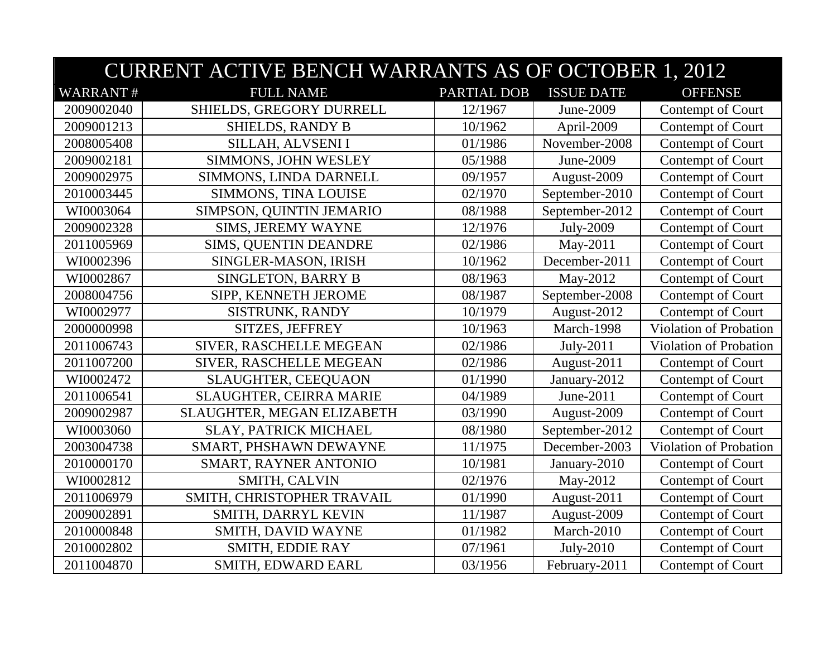|                 | <b>CURRENT ACTIVE BENCH WARRANTS AS OF OCTOBER 1, 2012</b> |             |                   |                        |  |
|-----------------|------------------------------------------------------------|-------------|-------------------|------------------------|--|
| <b>WARRANT#</b> | <b>FULL NAME</b>                                           | PARTIAL DOB | <b>ISSUE DATE</b> | <b>OFFENSE</b>         |  |
| 2009002040      | SHIELDS, GREGORY DURRELL                                   | 12/1967     | June-2009         | Contempt of Court      |  |
| 2009001213      | <b>SHIELDS, RANDY B</b>                                    | 10/1962     | April-2009        | Contempt of Court      |  |
| 2008005408      | SILLAH, ALVSENI I                                          | 01/1986     | November-2008     | Contempt of Court      |  |
| 2009002181      | SIMMONS, JOHN WESLEY                                       | 05/1988     | June-2009         | Contempt of Court      |  |
| 2009002975      | SIMMONS, LINDA DARNELL                                     | 09/1957     | August-2009       | Contempt of Court      |  |
| 2010003445      | SIMMONS, TINA LOUISE                                       | 02/1970     | September-2010    | Contempt of Court      |  |
| WI0003064       | SIMPSON, QUINTIN JEMARIO                                   | 08/1988     | September-2012    | Contempt of Court      |  |
| 2009002328      | SIMS, JEREMY WAYNE                                         | 12/1976     | July-2009         | Contempt of Court      |  |
| 2011005969      | SIMS, QUENTIN DEANDRE                                      | 02/1986     | May-2011          | Contempt of Court      |  |
| WI0002396       | SINGLER-MASON, IRISH                                       | 10/1962     | December-2011     | Contempt of Court      |  |
| WI0002867       | SINGLETON, BARRY B                                         | 08/1963     | May-2012          | Contempt of Court      |  |
| 2008004756      | SIPP, KENNETH JEROME                                       | 08/1987     | September-2008    | Contempt of Court      |  |
| WI0002977       | SISTRUNK, RANDY                                            | 10/1979     | August-2012       | Contempt of Court      |  |
| 2000000998      | SITZES, JEFFREY                                            | 10/1963     | March-1998        | Violation of Probation |  |
| 2011006743      | SIVER, RASCHELLE MEGEAN                                    | 02/1986     | July-2011         | Violation of Probation |  |
| 2011007200      | SIVER, RASCHELLE MEGEAN                                    | 02/1986     | August-2011       | Contempt of Court      |  |
| WI0002472       | SLAUGHTER, CEEQUAON                                        | 01/1990     | January-2012      | Contempt of Court      |  |
| 2011006541      | <b>SLAUGHTER, CEIRRA MARIE</b>                             | 04/1989     | June-2011         | Contempt of Court      |  |
| 2009002987      | SLAUGHTER, MEGAN ELIZABETH                                 | 03/1990     | August-2009       | Contempt of Court      |  |
| WI0003060       | SLAY, PATRICK MICHAEL                                      | 08/1980     | September-2012    | Contempt of Court      |  |
| 2003004738      | SMART, PHSHAWN DEWAYNE                                     | 11/1975     | December-2003     | Violation of Probation |  |
| 2010000170      | SMART, RAYNER ANTONIO                                      | 10/1981     | January-2010      | Contempt of Court      |  |
| WI0002812       | SMITH, CALVIN                                              | 02/1976     | May-2012          | Contempt of Court      |  |
| 2011006979      | SMITH, CHRISTOPHER TRAVAIL                                 | 01/1990     | August-2011       | Contempt of Court      |  |
| 2009002891      | SMITH, DARRYL KEVIN                                        | 11/1987     | August-2009       | Contempt of Court      |  |
| 2010000848      | SMITH, DAVID WAYNE                                         | 01/1982     | March-2010        | Contempt of Court      |  |
| 2010002802      | SMITH, EDDIE RAY                                           | 07/1961     | July-2010         | Contempt of Court      |  |
| 2011004870      | SMITH, EDWARD EARL                                         | 03/1956     | February-2011     | Contempt of Court      |  |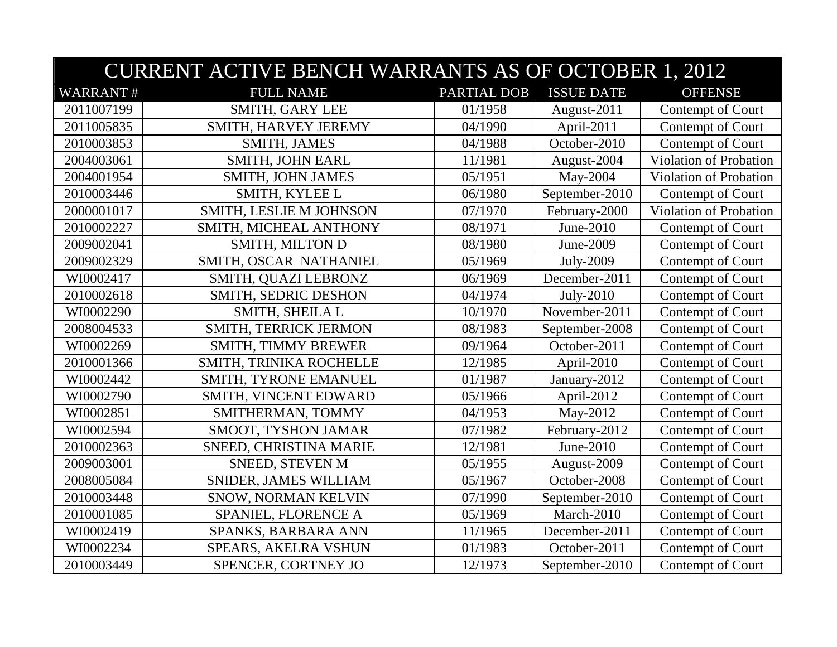|                 | <b>CURRENT ACTIVE BENCH WARRANTS AS OF OCTOBER 1, 2012</b> |             |                   |                        |  |
|-----------------|------------------------------------------------------------|-------------|-------------------|------------------------|--|
| <b>WARRANT#</b> | <b>FULL NAME</b>                                           | PARTIAL DOB | <b>ISSUE DATE</b> | <b>OFFENSE</b>         |  |
| 2011007199      | SMITH, GARY LEE                                            | 01/1958     | August-2011       | Contempt of Court      |  |
| 2011005835      | SMITH, HARVEY JEREMY                                       | 04/1990     | April-2011        | Contempt of Court      |  |
| 2010003853      | SMITH, JAMES                                               | 04/1988     | October-2010      | Contempt of Court      |  |
| 2004003061      | <b>SMITH, JOHN EARL</b>                                    | 11/1981     | August-2004       | Violation of Probation |  |
| 2004001954      | SMITH, JOHN JAMES                                          | 05/1951     | May-2004          | Violation of Probation |  |
| 2010003446      | SMITH, KYLEE L                                             | 06/1980     | September-2010    | Contempt of Court      |  |
| 2000001017      | SMITH, LESLIE M JOHNSON                                    | 07/1970     | February-2000     | Violation of Probation |  |
| 2010002227      | SMITH, MICHEAL ANTHONY                                     | 08/1971     | June-2010         | Contempt of Court      |  |
| 2009002041      | <b>SMITH, MILTON D</b>                                     | 08/1980     | June-2009         | Contempt of Court      |  |
| 2009002329      | SMITH, OSCAR NATHANIEL                                     | 05/1969     | July-2009         | Contempt of Court      |  |
| WI0002417       | SMITH, QUAZI LEBRONZ                                       | 06/1969     | December-2011     | Contempt of Court      |  |
| 2010002618      | SMITH, SEDRIC DESHON                                       | 04/1974     | July-2010         | Contempt of Court      |  |
| WI0002290       | SMITH, SHEILA L                                            | 10/1970     | November-2011     | Contempt of Court      |  |
| 2008004533      | SMITH, TERRICK JERMON                                      | 08/1983     | September-2008    | Contempt of Court      |  |
| WI0002269       | SMITH, TIMMY BREWER                                        | 09/1964     | October-2011      | Contempt of Court      |  |
| 2010001366      | SMITH, TRINIKA ROCHELLE                                    | 12/1985     | April-2010        | Contempt of Court      |  |
| WI0002442       | SMITH, TYRONE EMANUEL                                      | 01/1987     | January-2012      | Contempt of Court      |  |
| WI0002790       | SMITH, VINCENT EDWARD                                      | 05/1966     | April-2012        | Contempt of Court      |  |
| WI0002851       | SMITHERMAN, TOMMY                                          | 04/1953     | May-2012          | Contempt of Court      |  |
| WI0002594       | SMOOT, TYSHON JAMAR                                        | 07/1982     | February-2012     | Contempt of Court      |  |
| 2010002363      | SNEED, CHRISTINA MARIE                                     | 12/1981     | June-2010         | Contempt of Court      |  |
| 2009003001      | <b>SNEED, STEVEN M</b>                                     | 05/1955     | August-2009       | Contempt of Court      |  |
| 2008005084      | SNIDER, JAMES WILLIAM                                      | 05/1967     | October-2008      | Contempt of Court      |  |
| 2010003448      | SNOW, NORMAN KELVIN                                        | 07/1990     | September-2010    | Contempt of Court      |  |
| 2010001085      | SPANIEL, FLORENCE A                                        | 05/1969     | March-2010        | Contempt of Court      |  |
| WI0002419       | SPANKS, BARBARA ANN                                        | 11/1965     | December-2011     | Contempt of Court      |  |
| WI0002234       | SPEARS, AKELRA VSHUN                                       | 01/1983     | October-2011      | Contempt of Court      |  |
| 2010003449      | SPENCER, CORTNEY JO                                        | 12/1973     | September-2010    | Contempt of Court      |  |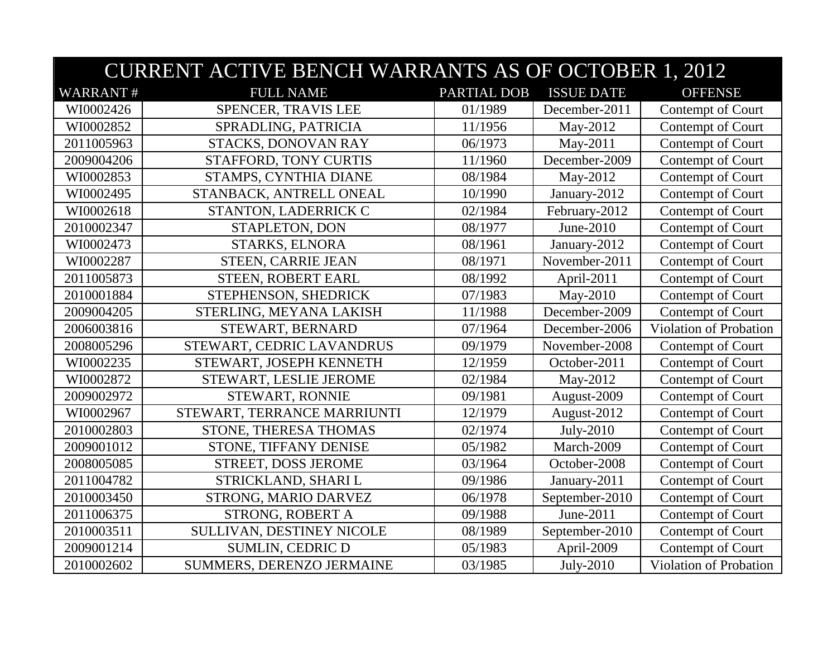|                 | <b>CURRENT ACTIVE BENCH WARRANTS AS OF OCTOBER 1, 2012</b> |             |                   |                               |  |
|-----------------|------------------------------------------------------------|-------------|-------------------|-------------------------------|--|
| <b>WARRANT#</b> | <b>FULL NAME</b>                                           | PARTIAL DOB | <b>ISSUE DATE</b> | <b>OFFENSE</b>                |  |
| WI0002426       | SPENCER, TRAVIS LEE                                        | 01/1989     | December-2011     | Contempt of Court             |  |
| WI0002852       | SPRADLING, PATRICIA                                        | 11/1956     | May-2012          | Contempt of Court             |  |
| 2011005963      | STACKS, DONOVAN RAY                                        | 06/1973     | May-2011          | Contempt of Court             |  |
| 2009004206      | STAFFORD, TONY CURTIS                                      | 11/1960     | December-2009     | Contempt of Court             |  |
| WI0002853       | STAMPS, CYNTHIA DIANE                                      | 08/1984     | May-2012          | Contempt of Court             |  |
| WI0002495       | STANBACK, ANTRELL ONEAL                                    | 10/1990     | January-2012      | Contempt of Court             |  |
| WI0002618       | STANTON, LADERRICK C                                       | 02/1984     | February-2012     | Contempt of Court             |  |
| 2010002347      | STAPLETON, DON                                             | 08/1977     | June-2010         | Contempt of Court             |  |
| WI0002473       | STARKS, ELNORA                                             | 08/1961     | January-2012      | Contempt of Court             |  |
| WI0002287       | <b>STEEN, CARRIE JEAN</b>                                  | 08/1971     | November-2011     | Contempt of Court             |  |
| 2011005873      | <b>STEEN, ROBERT EARL</b>                                  | 08/1992     | April-2011        | Contempt of Court             |  |
| 2010001884      | STEPHENSON, SHEDRICK                                       | 07/1983     | May-2010          | Contempt of Court             |  |
| 2009004205      | STERLING, MEYANA LAKISH                                    | 11/1988     | December-2009     | Contempt of Court             |  |
| 2006003816      | STEWART, BERNARD                                           | 07/1964     | December-2006     | <b>Violation of Probation</b> |  |
| 2008005296      | STEWART, CEDRIC LAVANDRUS                                  | 09/1979     | November-2008     | Contempt of Court             |  |
| WI0002235       | STEWART, JOSEPH KENNETH                                    | 12/1959     | October-2011      | Contempt of Court             |  |
| WI0002872       | STEWART, LESLIE JEROME                                     | 02/1984     | May-2012          | Contempt of Court             |  |
| 2009002972      | STEWART, RONNIE                                            | 09/1981     | August-2009       | Contempt of Court             |  |
| WI0002967       | STEWART, TERRANCE MARRIUNTI                                | 12/1979     | August-2012       | Contempt of Court             |  |
| 2010002803      | STONE, THERESA THOMAS                                      | 02/1974     | July-2010         | Contempt of Court             |  |
| 2009001012      | STONE, TIFFANY DENISE                                      | 05/1982     | March-2009        | Contempt of Court             |  |
| 2008005085      | STREET, DOSS JEROME                                        | 03/1964     | October-2008      | Contempt of Court             |  |
| 2011004782      | STRICKLAND, SHARI L                                        | 09/1986     | January-2011      | Contempt of Court             |  |
| 2010003450      | STRONG, MARIO DARVEZ                                       | 06/1978     | September-2010    | Contempt of Court             |  |
| 2011006375      | STRONG, ROBERT A                                           | 09/1988     | June-2011         | Contempt of Court             |  |
| 2010003511      | SULLIVAN, DESTINEY NICOLE                                  | 08/1989     | September-2010    | Contempt of Court             |  |
| 2009001214      | <b>SUMLIN, CEDRIC D</b>                                    | 05/1983     | April-2009        | Contempt of Court             |  |
| 2010002602      | SUMMERS, DERENZO JERMAINE                                  | 03/1985     | July-2010         | Violation of Probation        |  |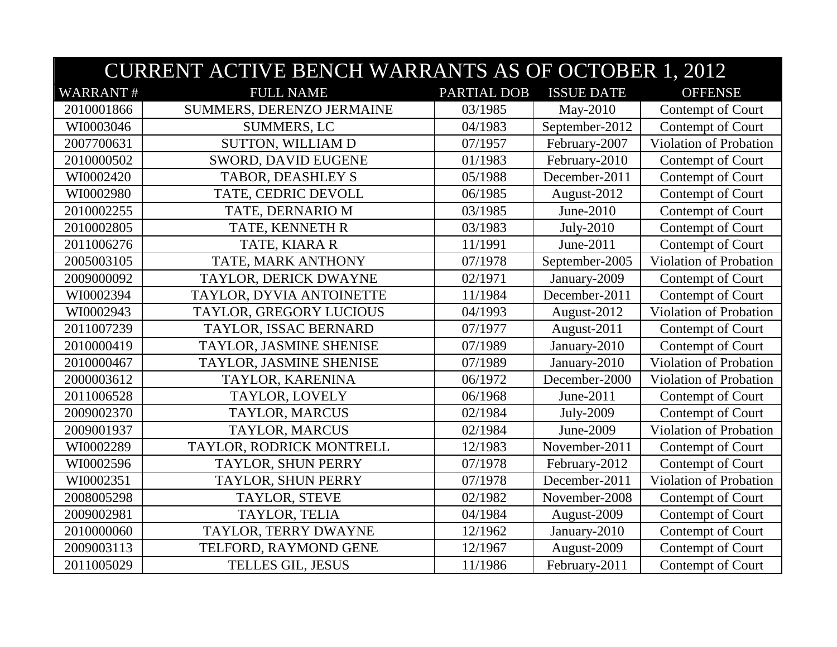|                 | <b>CURRENT ACTIVE BENCH WARRANTS AS OF OCTOBER 1, 2012</b> |             |                   |                               |  |
|-----------------|------------------------------------------------------------|-------------|-------------------|-------------------------------|--|
| <b>WARRANT#</b> | <b>FULL NAME</b>                                           | PARTIAL DOB | <b>ISSUE DATE</b> | <b>OFFENSE</b>                |  |
| 2010001866      | SUMMERS, DERENZO JERMAINE                                  | 03/1985     | May-2010          | Contempt of Court             |  |
| WI0003046       | <b>SUMMERS, LC</b>                                         | 04/1983     | September-2012    | Contempt of Court             |  |
| 2007700631      | <b>SUTTON, WILLIAM D</b>                                   | 07/1957     | February-2007     | Violation of Probation        |  |
| 2010000502      | SWORD, DAVID EUGENE                                        | 01/1983     | February-2010     | Contempt of Court             |  |
| WI0002420       | <b>TABOR, DEASHLEY S</b>                                   | 05/1988     | December-2011     | Contempt of Court             |  |
| WI0002980       | TATE, CEDRIC DEVOLL                                        | 06/1985     | August-2012       | Contempt of Court             |  |
| 2010002255      | TATE, DERNARIO M                                           | 03/1985     | June-2010         | Contempt of Court             |  |
| 2010002805      | TATE, KENNETH R                                            | 03/1983     | July-2010         | Contempt of Court             |  |
| 2011006276      | TATE, KIARA R                                              | 11/1991     | June-2011         | Contempt of Court             |  |
| 2005003105      | TATE, MARK ANTHONY                                         | 07/1978     | September-2005    | Violation of Probation        |  |
| 2009000092      | TAYLOR, DERICK DWAYNE                                      | 02/1971     | January-2009      | Contempt of Court             |  |
| WI0002394       | TAYLOR, DYVIA ANTOINETTE                                   | 11/1984     | December-2011     | Contempt of Court             |  |
| WI0002943       | TAYLOR, GREGORY LUCIOUS                                    | 04/1993     | August-2012       | Violation of Probation        |  |
| 2011007239      | TAYLOR, ISSAC BERNARD                                      | 07/1977     | August-2011       | Contempt of Court             |  |
| 2010000419      | TAYLOR, JASMINE SHENISE                                    | 07/1989     | January-2010      | Contempt of Court             |  |
| 2010000467      | TAYLOR, JASMINE SHENISE                                    | 07/1989     | January-2010      | Violation of Probation        |  |
| 2000003612      | TAYLOR, KARENINA                                           | 06/1972     | December-2000     | Violation of Probation        |  |
| 2011006528      | TAYLOR, LOVELY                                             | 06/1968     | June-2011         | Contempt of Court             |  |
| 2009002370      | <b>TAYLOR, MARCUS</b>                                      | 02/1984     | July-2009         | Contempt of Court             |  |
| 2009001937      | TAYLOR, MARCUS                                             | 02/1984     | June-2009         | Violation of Probation        |  |
| WI0002289       | TAYLOR, RODRICK MONTRELL                                   | 12/1983     | November-2011     | Contempt of Court             |  |
| WI0002596       | TAYLOR, SHUN PERRY                                         | 07/1978     | February-2012     | Contempt of Court             |  |
| WI0002351       | TAYLOR, SHUN PERRY                                         | 07/1978     | December-2011     | <b>Violation of Probation</b> |  |
| 2008005298      | TAYLOR, STEVE                                              | 02/1982     | November-2008     | Contempt of Court             |  |
| 2009002981      | TAYLOR, TELIA                                              | 04/1984     | August-2009       | Contempt of Court             |  |
| 2010000060      | TAYLOR, TERRY DWAYNE                                       | 12/1962     | January-2010      | Contempt of Court             |  |
| 2009003113      | TELFORD, RAYMOND GENE                                      | 12/1967     | August-2009       | Contempt of Court             |  |
| 2011005029      | <b>TELLES GIL, JESUS</b>                                   | 11/1986     | February-2011     | Contempt of Court             |  |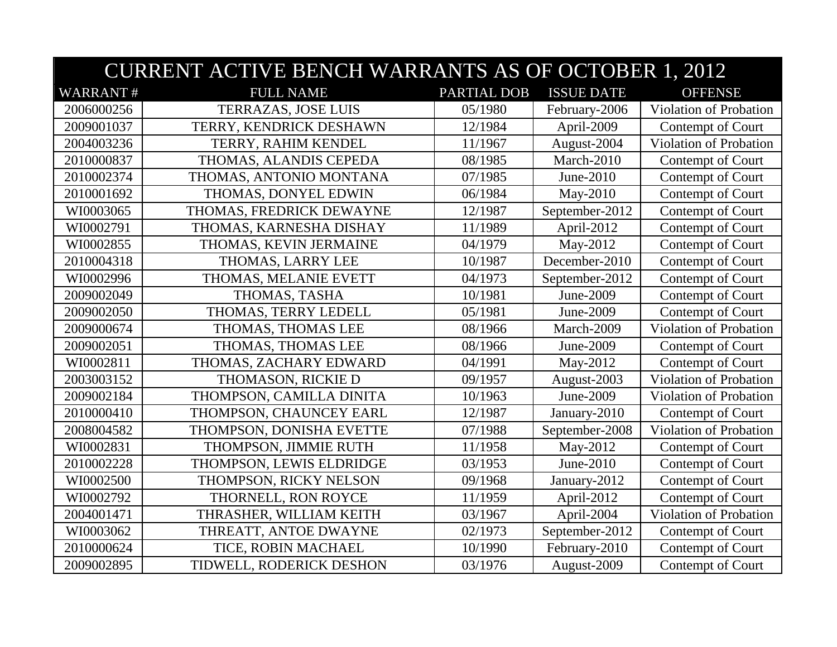|                 | <b>CURRENT ACTIVE BENCH WARRANTS AS OF OCTOBER 1, 2012</b> |             |                   |                               |  |
|-----------------|------------------------------------------------------------|-------------|-------------------|-------------------------------|--|
| <b>WARRANT#</b> | <b>FULL NAME</b>                                           | PARTIAL DOB | <b>ISSUE DATE</b> | <b>OFFENSE</b>                |  |
| 2006000256      | <b>TERRAZAS, JOSE LUIS</b>                                 | 05/1980     | February-2006     | Violation of Probation        |  |
| 2009001037      | TERRY, KENDRICK DESHAWN                                    | 12/1984     | April-2009        | Contempt of Court             |  |
| 2004003236      | TERRY, RAHIM KENDEL                                        | 11/1967     | August-2004       | Violation of Probation        |  |
| 2010000837      | THOMAS, ALANDIS CEPEDA                                     | 08/1985     | March-2010        | Contempt of Court             |  |
| 2010002374      | THOMAS, ANTONIO MONTANA                                    | 07/1985     | June-2010         | Contempt of Court             |  |
| 2010001692      | THOMAS, DONYEL EDWIN                                       | 06/1984     | May-2010          | Contempt of Court             |  |
| WI0003065       | THOMAS, FREDRICK DEWAYNE                                   | 12/1987     | September-2012    | Contempt of Court             |  |
| WI0002791       | THOMAS, KARNESHA DISHAY                                    | 11/1989     | April-2012        | Contempt of Court             |  |
| WI0002855       | THOMAS, KEVIN JERMAINE                                     | 04/1979     | May-2012          | Contempt of Court             |  |
| 2010004318      | THOMAS, LARRY LEE                                          | 10/1987     | December-2010     | Contempt of Court             |  |
| WI0002996       | THOMAS, MELANIE EVETT                                      | 04/1973     | September-2012    | Contempt of Court             |  |
| 2009002049      | THOMAS, TASHA                                              | 10/1981     | June-2009         | Contempt of Court             |  |
| 2009002050      | THOMAS, TERRY LEDELL                                       | 05/1981     | June-2009         | Contempt of Court             |  |
| 2009000674      | THOMAS, THOMAS LEE                                         | 08/1966     | March-2009        | Violation of Probation        |  |
| 2009002051      | THOMAS, THOMAS LEE                                         | 08/1966     | June-2009         | Contempt of Court             |  |
| WI0002811       | THOMAS, ZACHARY EDWARD                                     | 04/1991     | May-2012          | Contempt of Court             |  |
| 2003003152      | THOMASON, RICKIE D                                         | 09/1957     | August-2003       | Violation of Probation        |  |
| 2009002184      | THOMPSON, CAMILLA DINITA                                   | 10/1963     | June-2009         | <b>Violation of Probation</b> |  |
| 2010000410      | THOMPSON, CHAUNCEY EARL                                    | 12/1987     | January-2010      | Contempt of Court             |  |
| 2008004582      | THOMPSON, DONISHA EVETTE                                   | 07/1988     | September-2008    | Violation of Probation        |  |
| WI0002831       | THOMPSON, JIMMIE RUTH                                      | 11/1958     | May-2012          | Contempt of Court             |  |
| 2010002228      | THOMPSON, LEWIS ELDRIDGE                                   | 03/1953     | June-2010         | Contempt of Court             |  |
| WI0002500       | THOMPSON, RICKY NELSON                                     | 09/1968     | January-2012      | Contempt of Court             |  |
| WI0002792       | THORNELL, RON ROYCE                                        | 11/1959     | April-2012        | Contempt of Court             |  |
| 2004001471      | THRASHER, WILLIAM KEITH                                    | 03/1967     | April-2004        | Violation of Probation        |  |
| WI0003062       | THREATT, ANTOE DWAYNE                                      | 02/1973     | September-2012    | Contempt of Court             |  |
| 2010000624      | TICE, ROBIN MACHAEL                                        | 10/1990     | February-2010     | Contempt of Court             |  |
| 2009002895      | TIDWELL, RODERICK DESHON                                   | 03/1976     | August-2009       | Contempt of Court             |  |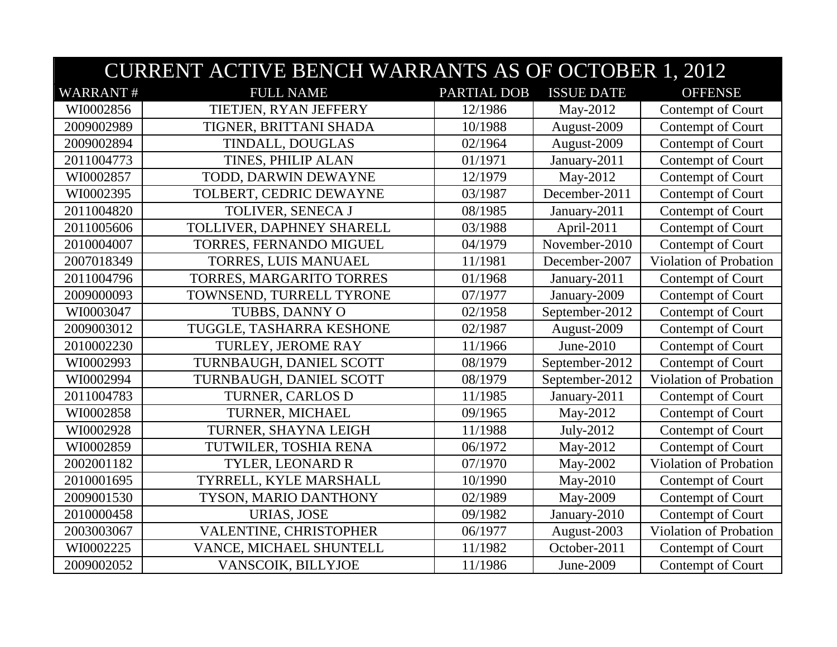|                 | <b>CURRENT ACTIVE BENCH WARRANTS AS OF OCTOBER 1, 2012</b> |             |                   |                               |  |
|-----------------|------------------------------------------------------------|-------------|-------------------|-------------------------------|--|
| <b>WARRANT#</b> | <b>FULL NAME</b>                                           | PARTIAL DOB | <b>ISSUE DATE</b> | <b>OFFENSE</b>                |  |
| WI0002856       | TIETJEN, RYAN JEFFERY                                      | 12/1986     | May-2012          | Contempt of Court             |  |
| 2009002989      | TIGNER, BRITTANI SHADA                                     | 10/1988     | August-2009       | Contempt of Court             |  |
| 2009002894      | TINDALL, DOUGLAS                                           | 02/1964     | August-2009       | Contempt of Court             |  |
| 2011004773      | TINES, PHILIP ALAN                                         | 01/1971     | January-2011      | Contempt of Court             |  |
| WI0002857       | TODD, DARWIN DEWAYNE                                       | 12/1979     | May-2012          | Contempt of Court             |  |
| WI0002395       | TOLBERT, CEDRIC DEWAYNE                                    | 03/1987     | December-2011     | Contempt of Court             |  |
| 2011004820      | TOLIVER, SENECA J                                          | 08/1985     | January-2011      | Contempt of Court             |  |
| 2011005606      | TOLLIVER, DAPHNEY SHARELL                                  | 03/1988     | April-2011        | Contempt of Court             |  |
| 2010004007      | TORRES, FERNANDO MIGUEL                                    | 04/1979     | November-2010     | Contempt of Court             |  |
| 2007018349      | TORRES, LUIS MANUAEL                                       | 11/1981     | December-2007     | <b>Violation of Probation</b> |  |
| 2011004796      | TORRES, MARGARITO TORRES                                   | 01/1968     | January-2011      | Contempt of Court             |  |
| 2009000093      | TOWNSEND, TURRELL TYRONE                                   | 07/1977     | January-2009      | Contempt of Court             |  |
| WI0003047       | TUBBS, DANNY O                                             | 02/1958     | September-2012    | Contempt of Court             |  |
| 2009003012      | TUGGLE, TASHARRA KESHONE                                   | 02/1987     | August-2009       | Contempt of Court             |  |
| 2010002230      | TURLEY, JEROME RAY                                         | 11/1966     | June-2010         | Contempt of Court             |  |
| WI0002993       | TURNBAUGH, DANIEL SCOTT                                    | 08/1979     | September-2012    | Contempt of Court             |  |
| WI0002994       | TURNBAUGH, DANIEL SCOTT                                    | 08/1979     | September-2012    | Violation of Probation        |  |
| 2011004783      | TURNER, CARLOS D                                           | 11/1985     | January-2011      | Contempt of Court             |  |
| WI0002858       | TURNER, MICHAEL                                            | 09/1965     | May-2012          | Contempt of Court             |  |
| WI0002928       | TURNER, SHAYNA LEIGH                                       | 11/1988     | July-2012         | Contempt of Court             |  |
| WI0002859       | TUTWILER, TOSHIA RENA                                      | 06/1972     | May-2012          | Contempt of Court             |  |
| 2002001182      | TYLER, LEONARD R                                           | 07/1970     | May-2002          | Violation of Probation        |  |
| 2010001695      | TYRRELL, KYLE MARSHALL                                     | 10/1990     | May-2010          | Contempt of Court             |  |
| 2009001530      | TYSON, MARIO DANTHONY                                      | 02/1989     | May-2009          | Contempt of Court             |  |
| 2010000458      | <b>URIAS, JOSE</b>                                         | 09/1982     | January-2010      | Contempt of Court             |  |
| 2003003067      | VALENTINE, CHRISTOPHER                                     | 06/1977     | August-2003       | Violation of Probation        |  |
| WI0002225       | VANCE, MICHAEL SHUNTELL                                    | 11/1982     | October-2011      | Contempt of Court             |  |
| 2009002052      | VANSCOIK, BILLYJOE                                         | 11/1986     | June-2009         | Contempt of Court             |  |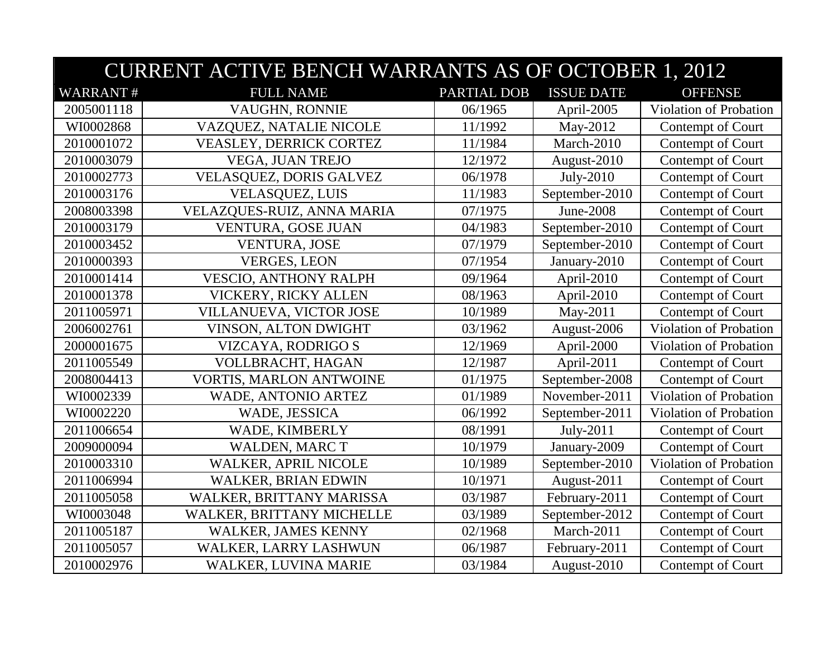|                 | <b>CURRENT ACTIVE BENCH WARRANTS AS OF OCTOBER 1, 2012</b> |             |                   |                               |  |
|-----------------|------------------------------------------------------------|-------------|-------------------|-------------------------------|--|
| <b>WARRANT#</b> | <b>FULL NAME</b>                                           | PARTIAL DOB | <b>ISSUE DATE</b> | <b>OFFENSE</b>                |  |
| 2005001118      | VAUGHN, RONNIE                                             | 06/1965     | April-2005        | Violation of Probation        |  |
| WI0002868       | VAZQUEZ, NATALIE NICOLE                                    | 11/1992     | May-2012          | Contempt of Court             |  |
| 2010001072      | <b>VEASLEY, DERRICK CORTEZ</b>                             | 11/1984     | March-2010        | Contempt of Court             |  |
| 2010003079      | VEGA, JUAN TREJO                                           | 12/1972     | August-2010       | Contempt of Court             |  |
| 2010002773      | VELASQUEZ, DORIS GALVEZ                                    | 06/1978     | July-2010         | Contempt of Court             |  |
| 2010003176      | <b>VELASQUEZ, LUIS</b>                                     | 11/1983     | September-2010    | Contempt of Court             |  |
| 2008003398      | VELAZQUES-RUIZ, ANNA MARIA                                 | 07/1975     | June-2008         | Contempt of Court             |  |
| 2010003179      | VENTURA, GOSE JUAN                                         | 04/1983     | September-2010    | Contempt of Court             |  |
| 2010003452      | <b>VENTURA, JOSE</b>                                       | 07/1979     | September-2010    | Contempt of Court             |  |
| 2010000393      | <b>VERGES, LEON</b>                                        | 07/1954     | January-2010      | Contempt of Court             |  |
| 2010001414      | <b>VESCIO, ANTHONY RALPH</b>                               | 09/1964     | April-2010        | Contempt of Court             |  |
| 2010001378      | VICKERY, RICKY ALLEN                                       | 08/1963     | April-2010        | Contempt of Court             |  |
| 2011005971      | VILLANUEVA, VICTOR JOSE                                    | 10/1989     | May-2011          | Contempt of Court             |  |
| 2006002761      | VINSON, ALTON DWIGHT                                       | 03/1962     | August-2006       | Violation of Probation        |  |
| 2000001675      | VIZCAYA, RODRIGO S                                         | 12/1969     | April-2000        | Violation of Probation        |  |
| 2011005549      | VOLLBRACHT, HAGAN                                          | 12/1987     | April-2011        | Contempt of Court             |  |
| 2008004413      | VORTIS, MARLON ANTWOINE                                    | 01/1975     | September-2008    | Contempt of Court             |  |
| WI0002339       | <b>WADE, ANTONIO ARTEZ</b>                                 | 01/1989     | November-2011     | <b>Violation of Probation</b> |  |
| WI0002220       | WADE, JESSICA                                              | 06/1992     | September-2011    | Violation of Probation        |  |
| 2011006654      | WADE, KIMBERLY                                             | 08/1991     | July-2011         | Contempt of Court             |  |
| 2009000094      | <b>WALDEN, MARC T</b>                                      | 10/1979     | January-2009      | Contempt of Court             |  |
| 2010003310      | <b>WALKER, APRIL NICOLE</b>                                | 10/1989     | September-2010    | Violation of Probation        |  |
| 2011006994      | <b>WALKER, BRIAN EDWIN</b>                                 | 10/1971     | August-2011       | Contempt of Court             |  |
| 2011005058      | WALKER, BRITTANY MARISSA                                   | 03/1987     | February-2011     | Contempt of Court             |  |
| WI0003048       | WALKER, BRITTANY MICHELLE                                  | 03/1989     | September-2012    | Contempt of Court             |  |
| 2011005187      | <b>WALKER, JAMES KENNY</b>                                 | 02/1968     | March-2011        | Contempt of Court             |  |
| 2011005057      | WALKER, LARRY LASHWUN                                      | 06/1987     | February-2011     | Contempt of Court             |  |
| 2010002976      | WALKER, LUVINA MARIE                                       | 03/1984     | August-2010       | Contempt of Court             |  |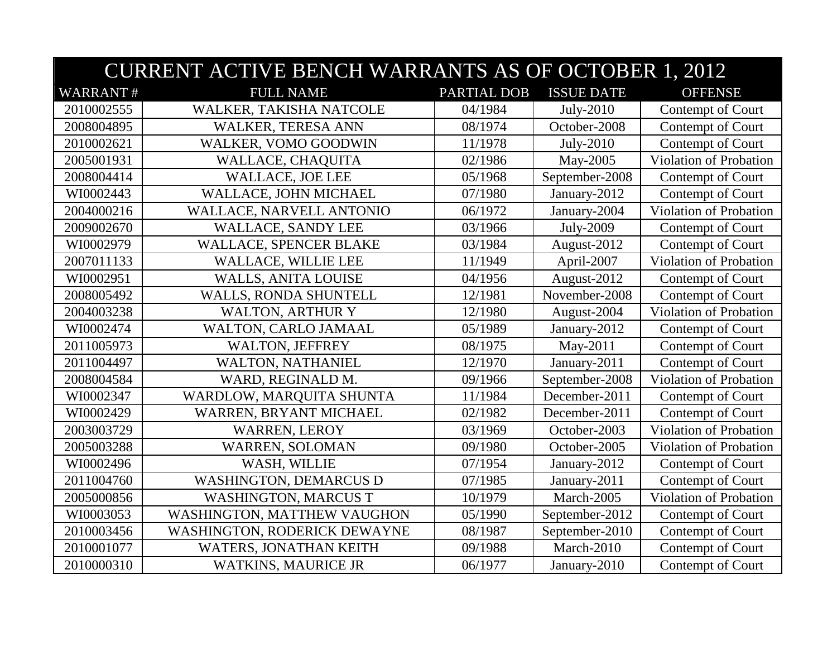|                 | <b>CURRENT ACTIVE BENCH WARRANTS AS OF OCTOBER 1, 2012</b> |             |                   |                        |  |
|-----------------|------------------------------------------------------------|-------------|-------------------|------------------------|--|
| <b>WARRANT#</b> | <b>FULL NAME</b>                                           | PARTIAL DOB | <b>ISSUE DATE</b> | <b>OFFENSE</b>         |  |
| 2010002555      | WALKER, TAKISHA NATCOLE                                    | 04/1984     | July-2010         | Contempt of Court      |  |
| 2008004895      | WALKER, TERESA ANN                                         | 08/1974     | October-2008      | Contempt of Court      |  |
| 2010002621      | WALKER, VOMO GOODWIN                                       | 11/1978     | July-2010         | Contempt of Court      |  |
| 2005001931      | WALLACE, CHAQUITA                                          | 02/1986     | May-2005          | Violation of Probation |  |
| 2008004414      | <b>WALLACE, JOE LEE</b>                                    | 05/1968     | September-2008    | Contempt of Court      |  |
| WI0002443       | WALLACE, JOHN MICHAEL                                      | 07/1980     | January-2012      | Contempt of Court      |  |
| 2004000216      | WALLACE, NARVELL ANTONIO                                   | 06/1972     | January-2004      | Violation of Probation |  |
| 2009002670      | <b>WALLACE, SANDY LEE</b>                                  | 03/1966     | July-2009         | Contempt of Court      |  |
| WI0002979       | WALLACE, SPENCER BLAKE                                     | 03/1984     | August-2012       | Contempt of Court      |  |
| 2007011133      | <b>WALLACE, WILLIE LEE</b>                                 | 11/1949     | April-2007        | Violation of Probation |  |
| WI0002951       | WALLS, ANITA LOUISE                                        | 04/1956     | August-2012       | Contempt of Court      |  |
| 2008005492      | WALLS, RONDA SHUNTELL                                      | 12/1981     | November-2008     | Contempt of Court      |  |
| 2004003238      | <b>WALTON, ARTHUR Y</b>                                    | 12/1980     | August-2004       | Violation of Probation |  |
| WI0002474       | WALTON, CARLO JAMAAL                                       | 05/1989     | January-2012      | Contempt of Court      |  |
| 2011005973      | <b>WALTON, JEFFREY</b>                                     | 08/1975     | May-2011          | Contempt of Court      |  |
| 2011004497      | WALTON, NATHANIEL                                          | 12/1970     | January-2011      | Contempt of Court      |  |
| 2008004584      | WARD, REGINALD M.                                          | 09/1966     | September-2008    | Violation of Probation |  |
| WI0002347       | WARDLOW, MARQUITA SHUNTA                                   | 11/1984     | December-2011     | Contempt of Court      |  |
| WI0002429       | WARREN, BRYANT MICHAEL                                     | 02/1982     | December-2011     | Contempt of Court      |  |
| 2003003729      | <b>WARREN, LEROY</b>                                       | 03/1969     | October-2003      | Violation of Probation |  |
| 2005003288      | <b>WARREN, SOLOMAN</b>                                     | 09/1980     | October-2005      | Violation of Probation |  |
| WI0002496       | WASH, WILLIE                                               | 07/1954     | January-2012      | Contempt of Court      |  |
| 2011004760      | <b>WASHINGTON, DEMARCUS D</b>                              | 07/1985     | January-2011      | Contempt of Court      |  |
| 2005000856      | <b>WASHINGTON, MARCUS T</b>                                | 10/1979     | March-2005        | Violation of Probation |  |
| WI0003053       | WASHINGTON, MATTHEW VAUGHON                                | 05/1990     | September-2012    | Contempt of Court      |  |
| 2010003456      | WASHINGTON, RODERICK DEWAYNE                               | 08/1987     | September-2010    | Contempt of Court      |  |
| 2010001077      | WATERS, JONATHAN KEITH                                     | 09/1988     | March-2010        | Contempt of Court      |  |
| 2010000310      | <b>WATKINS, MAURICE JR</b>                                 | 06/1977     | January-2010      | Contempt of Court      |  |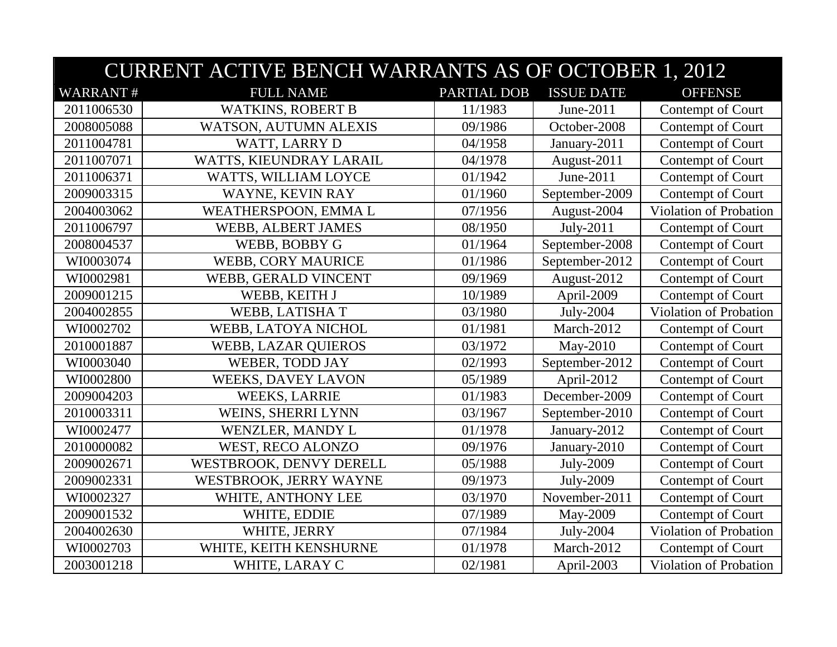|                 | <b>CURRENT ACTIVE BENCH WARRANTS AS OF OCTOBER 1, 2012</b> |             |                   |                               |  |
|-----------------|------------------------------------------------------------|-------------|-------------------|-------------------------------|--|
| <b>WARRANT#</b> | <b>FULL NAME</b>                                           | PARTIAL DOB | <b>ISSUE DATE</b> | <b>OFFENSE</b>                |  |
| 2011006530      | <b>WATKINS, ROBERT B</b>                                   | 11/1983     | June-2011         | Contempt of Court             |  |
| 2008005088      | WATSON, AUTUMN ALEXIS                                      | 09/1986     | October-2008      | Contempt of Court             |  |
| 2011004781      | WATT, LARRY D                                              | 04/1958     | January-2011      | Contempt of Court             |  |
| 2011007071      | WATTS, KIEUNDRAY LARAIL                                    | 04/1978     | August-2011       | Contempt of Court             |  |
| 2011006371      | WATTS, WILLIAM LOYCE                                       | 01/1942     | June-2011         | Contempt of Court             |  |
| 2009003315      | WAYNE, KEVIN RAY                                           | 01/1960     | September-2009    | Contempt of Court             |  |
| 2004003062      | WEATHERSPOON, EMMA L                                       | 07/1956     | August-2004       | <b>Violation of Probation</b> |  |
| 2011006797      | WEBB, ALBERT JAMES                                         | 08/1950     | July-2011         | Contempt of Court             |  |
| 2008004537      | WEBB, BOBBY G                                              | 01/1964     | September-2008    | Contempt of Court             |  |
| WI0003074       | <b>WEBB, CORY MAURICE</b>                                  | 01/1986     | September-2012    | Contempt of Court             |  |
| WI0002981       | WEBB, GERALD VINCENT                                       | 09/1969     | August-2012       | Contempt of Court             |  |
| 2009001215      | WEBB, KEITH J                                              | 10/1989     | April-2009        | Contempt of Court             |  |
| 2004002855      | WEBB, LATISHAT                                             | 03/1980     | July-2004         | Violation of Probation        |  |
| WI0002702       | WEBB, LATOYA NICHOL                                        | 01/1981     | March-2012        | Contempt of Court             |  |
| 2010001887      | <b>WEBB, LAZAR QUIEROS</b>                                 | 03/1972     | May-2010          | Contempt of Court             |  |
| WI0003040       | WEBER, TODD JAY                                            | 02/1993     | September-2012    | Contempt of Court             |  |
| WI0002800       | WEEKS, DAVEY LAVON                                         | 05/1989     | April-2012        | Contempt of Court             |  |
| 2009004203      | <b>WEEKS, LARRIE</b>                                       | 01/1983     | December-2009     | Contempt of Court             |  |
| 2010003311      | WEINS, SHERRI LYNN                                         | 03/1967     | September-2010    | Contempt of Court             |  |
| WI0002477       | WENZLER, MANDY L                                           | 01/1978     | January-2012      | Contempt of Court             |  |
| 2010000082      | WEST, RECO ALONZO                                          | 09/1976     | January-2010      | Contempt of Court             |  |
| 2009002671      | WESTBROOK, DENVY DERELL                                    | 05/1988     | July-2009         | Contempt of Court             |  |
| 2009002331      | WESTBROOK, JERRY WAYNE                                     | 09/1973     | July-2009         | Contempt of Court             |  |
| WI0002327       | WHITE, ANTHONY LEE                                         | 03/1970     | November-2011     | Contempt of Court             |  |
| 2009001532      | WHITE, EDDIE                                               | 07/1989     | May-2009          | Contempt of Court             |  |
| 2004002630      | WHITE, JERRY                                               | 07/1984     | July-2004         | <b>Violation of Probation</b> |  |
| WI0002703       | WHITE, KEITH KENSHURNE                                     | 01/1978     | March-2012        | Contempt of Court             |  |
| 2003001218      | WHITE, LARAY C                                             | 02/1981     | April-2003        | Violation of Probation        |  |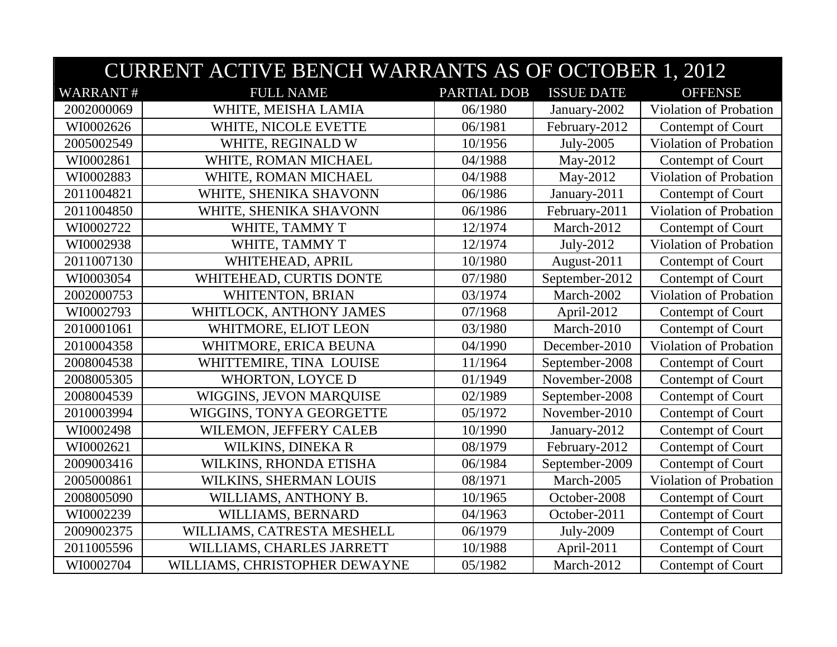|                 | <b>CURRENT ACTIVE BENCH WARRANTS AS OF OCTOBER 1, 2012</b> |             |                   |                               |  |  |
|-----------------|------------------------------------------------------------|-------------|-------------------|-------------------------------|--|--|
| <b>WARRANT#</b> | <b>FULL NAME</b>                                           | PARTIAL DOB | <b>ISSUE DATE</b> | <b>OFFENSE</b>                |  |  |
| 2002000069      | WHITE, MEISHA LAMIA                                        | 06/1980     | January-2002      | Violation of Probation        |  |  |
| WI0002626       | WHITE, NICOLE EVETTE                                       | 06/1981     | February-2012     | Contempt of Court             |  |  |
| 2005002549      | WHITE, REGINALD W                                          | 10/1956     | July-2005         | Violation of Probation        |  |  |
| WI0002861       | WHITE, ROMAN MICHAEL                                       | 04/1988     | May-2012          | Contempt of Court             |  |  |
| WI0002883       | WHITE, ROMAN MICHAEL                                       | 04/1988     | May-2012          | Violation of Probation        |  |  |
| 2011004821      | WHITE, SHENIKA SHAVONN                                     | 06/1986     | January-2011      | Contempt of Court             |  |  |
| 2011004850      | WHITE, SHENIKA SHAVONN                                     | 06/1986     | February-2011     | Violation of Probation        |  |  |
| WI0002722       | WHITE, TAMMY T                                             | 12/1974     | March-2012        | Contempt of Court             |  |  |
| WI0002938       | WHITE, TAMMY T                                             | 12/1974     | July-2012         | Violation of Probation        |  |  |
| 2011007130      | WHITEHEAD, APRIL                                           | 10/1980     | August-2011       | Contempt of Court             |  |  |
| WI0003054       | WHITEHEAD, CURTIS DONTE                                    | 07/1980     | September-2012    | Contempt of Court             |  |  |
| 2002000753      | WHITENTON, BRIAN                                           | 03/1974     | March-2002        | Violation of Probation        |  |  |
| WI0002793       | WHITLOCK, ANTHONY JAMES                                    | 07/1968     | April-2012        | Contempt of Court             |  |  |
| 2010001061      | WHITMORE, ELIOT LEON                                       | 03/1980     | March-2010        | Contempt of Court             |  |  |
| 2010004358      | WHITMORE, ERICA BEUNA                                      | 04/1990     | December-2010     | Violation of Probation        |  |  |
| 2008004538      | WHITTEMIRE, TINA LOUISE                                    | 11/1964     | September-2008    | Contempt of Court             |  |  |
| 2008005305      | WHORTON, LOYCE D                                           | 01/1949     | November-2008     | Contempt of Court             |  |  |
| 2008004539      | WIGGINS, JEVON MARQUISE                                    | 02/1989     | September-2008    | Contempt of Court             |  |  |
| 2010003994      | WIGGINS, TONYA GEORGETTE                                   | 05/1972     | November-2010     | Contempt of Court             |  |  |
| WI0002498       | WILEMON, JEFFERY CALEB                                     | 10/1990     | January-2012      | Contempt of Court             |  |  |
| WI0002621       | WILKINS, DINEKA R                                          | 08/1979     | February-2012     | Contempt of Court             |  |  |
| 2009003416      | WILKINS, RHONDA ETISHA                                     | 06/1984     | September-2009    | Contempt of Court             |  |  |
| 2005000861      | WILKINS, SHERMAN LOUIS                                     | 08/1971     | March-2005        | <b>Violation of Probation</b> |  |  |
| 2008005090      | WILLIAMS, ANTHONY B.                                       | 10/1965     | October-2008      | Contempt of Court             |  |  |
| WI0002239       | WILLIAMS, BERNARD                                          | 04/1963     | October-2011      | Contempt of Court             |  |  |
| 2009002375      | WILLIAMS, CATRESTA MESHELL                                 | 06/1979     | July-2009         | Contempt of Court             |  |  |
| 2011005596      | WILLIAMS, CHARLES JARRETT                                  | 10/1988     | April-2011        | Contempt of Court             |  |  |
| WI0002704       | WILLIAMS, CHRISTOPHER DEWAYNE                              | 05/1982     | March-2012        | Contempt of Court             |  |  |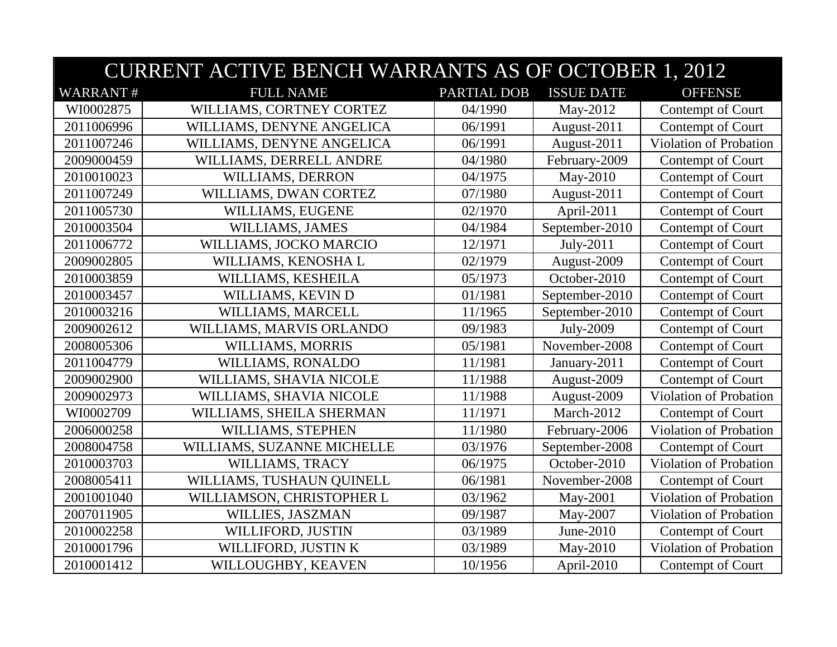| <b>CURRENT ACTIVE BENCH WARRANTS AS OF OCTOBER 1, 2012</b> |                            |             |                   |                               |  |  |  |
|------------------------------------------------------------|----------------------------|-------------|-------------------|-------------------------------|--|--|--|
| <b>WARRANT#</b>                                            | <b>FULL NAME</b>           | PARTIAL DOB | <b>ISSUE DATE</b> | <b>OFFENSE</b>                |  |  |  |
| WI0002875                                                  | WILLIAMS, CORTNEY CORTEZ   | 04/1990     | May-2012          | Contempt of Court             |  |  |  |
| 2011006996                                                 | WILLIAMS, DENYNE ANGELICA  | 06/1991     | August-2011       | Contempt of Court             |  |  |  |
| 2011007246                                                 | WILLIAMS, DENYNE ANGELICA  | 06/1991     | August-2011       | Violation of Probation        |  |  |  |
| 2009000459                                                 | WILLIAMS, DERRELL ANDRE    | 04/1980     | February-2009     | Contempt of Court             |  |  |  |
| 2010010023                                                 | WILLIAMS, DERRON           | 04/1975     | May-2010          | Contempt of Court             |  |  |  |
| 2011007249                                                 | WILLIAMS, DWAN CORTEZ      | 07/1980     | August-2011       | Contempt of Court             |  |  |  |
| 2011005730                                                 | WILLIAMS, EUGENE           | 02/1970     | April-2011        | Contempt of Court             |  |  |  |
| 2010003504                                                 | WILLIAMS, JAMES            | 04/1984     | September-2010    | Contempt of Court             |  |  |  |
| 2011006772                                                 | WILLIAMS, JOCKO MARCIO     | 12/1971     | July-2011         | Contempt of Court             |  |  |  |
| 2009002805                                                 | WILLIAMS, KENOSHA L        | 02/1979     | August-2009       | Contempt of Court             |  |  |  |
| 2010003859                                                 | WILLIAMS, KESHEILA         | 05/1973     | October-2010      | Contempt of Court             |  |  |  |
| 2010003457                                                 | WILLIAMS, KEVIN D          | 01/1981     | September-2010    | Contempt of Court             |  |  |  |
| 2010003216                                                 | WILLIAMS, MARCELL          | 11/1965     | September-2010    | Contempt of Court             |  |  |  |
| 2009002612                                                 | WILLIAMS, MARVIS ORLANDO   | 09/1983     | July-2009         | Contempt of Court             |  |  |  |
| 2008005306                                                 | WILLIAMS, MORRIS           | 05/1981     | November-2008     | Contempt of Court             |  |  |  |
| 2011004779                                                 | WILLIAMS, RONALDO          | 11/1981     | January-2011      | Contempt of Court             |  |  |  |
| 2009002900                                                 | WILLIAMS, SHAVIA NICOLE    | 11/1988     | August-2009       | Contempt of Court             |  |  |  |
| 2009002973                                                 | WILLIAMS, SHAVIA NICOLE    | 11/1988     | August-2009       | <b>Violation of Probation</b> |  |  |  |
| WI0002709                                                  | WILLIAMS, SHEILA SHERMAN   | 11/1971     | March-2012        | Contempt of Court             |  |  |  |
| 2006000258                                                 | WILLIAMS, STEPHEN          | 11/1980     | February-2006     | Violation of Probation        |  |  |  |
| 2008004758                                                 | WILLIAMS, SUZANNE MICHELLE | 03/1976     | September-2008    | Contempt of Court             |  |  |  |
| 2010003703                                                 | WILLIAMS, TRACY            | 06/1975     | October-2010      | Violation of Probation        |  |  |  |
| 2008005411                                                 | WILLIAMS, TUSHAUN QUINELL  | 06/1981     | November-2008     | Contempt of Court             |  |  |  |
| 2001001040                                                 | WILLIAMSON, CHRISTOPHER L  | 03/1962     | May-2001          | Violation of Probation        |  |  |  |
| 2007011905                                                 | WILLIES, JASZMAN           | 09/1987     | May-2007          | Violation of Probation        |  |  |  |
| 2010002258                                                 | WILLIFORD, JUSTIN          | 03/1989     | June-2010         | Contempt of Court             |  |  |  |
| 2010001796                                                 | WILLIFORD, JUSTIN K        | 03/1989     | May-2010          | Violation of Probation        |  |  |  |
| 2010001412                                                 | WILLOUGHBY, KEAVEN         | 10/1956     | April-2010        | Contempt of Court             |  |  |  |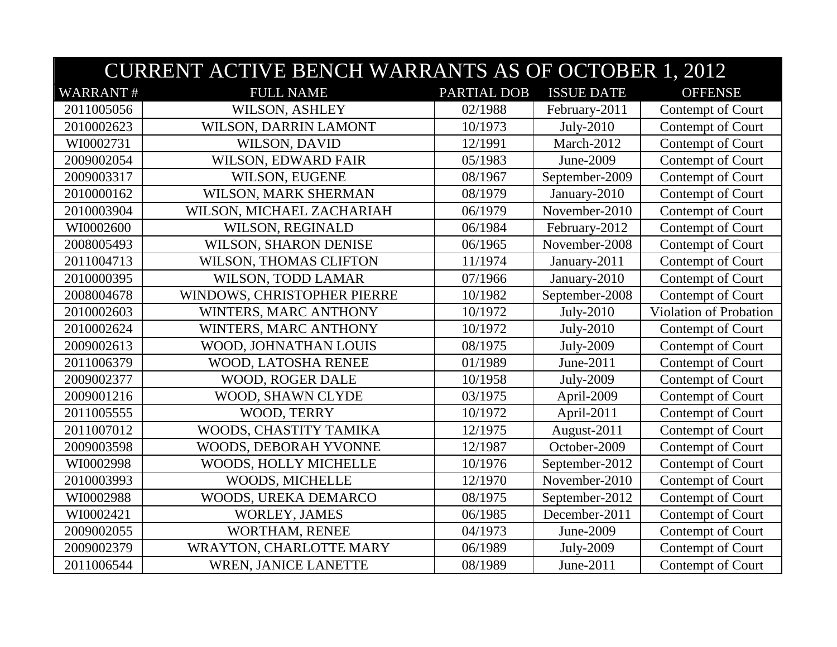| <b>CURRENT ACTIVE BENCH WARRANTS AS OF OCTOBER 1, 2012</b> |                             |             |                   |                        |  |  |  |
|------------------------------------------------------------|-----------------------------|-------------|-------------------|------------------------|--|--|--|
| <b>WARRANT#</b>                                            | <b>FULL NAME</b>            | PARTIAL DOB | <b>ISSUE DATE</b> | <b>OFFENSE</b>         |  |  |  |
| 2011005056                                                 | <b>WILSON, ASHLEY</b>       | 02/1988     | February-2011     | Contempt of Court      |  |  |  |
| 2010002623                                                 | WILSON, DARRIN LAMONT       | 10/1973     | July-2010         | Contempt of Court      |  |  |  |
| WI0002731                                                  | WILSON, DAVID               | 12/1991     | March-2012        | Contempt of Court      |  |  |  |
| 2009002054                                                 | WILSON, EDWARD FAIR         | 05/1983     | June-2009         | Contempt of Court      |  |  |  |
| 2009003317                                                 | WILSON, EUGENE              | 08/1967     | September-2009    | Contempt of Court      |  |  |  |
| 2010000162                                                 | WILSON, MARK SHERMAN        | 08/1979     | January-2010      | Contempt of Court      |  |  |  |
| 2010003904                                                 | WILSON, MICHAEL ZACHARIAH   | 06/1979     | November-2010     | Contempt of Court      |  |  |  |
| WI0002600                                                  | WILSON, REGINALD            | 06/1984     | February-2012     | Contempt of Court      |  |  |  |
| 2008005493                                                 | WILSON, SHARON DENISE       | 06/1965     | November-2008     | Contempt of Court      |  |  |  |
| 2011004713                                                 | WILSON, THOMAS CLIFTON      | 11/1974     | January-2011      | Contempt of Court      |  |  |  |
| 2010000395                                                 | WILSON, TODD LAMAR          | 07/1966     | January-2010      | Contempt of Court      |  |  |  |
| 2008004678                                                 | WINDOWS, CHRISTOPHER PIERRE | 10/1982     | September-2008    | Contempt of Court      |  |  |  |
| 2010002603                                                 | WINTERS, MARC ANTHONY       | 10/1972     | July-2010         | Violation of Probation |  |  |  |
| 2010002624                                                 | WINTERS, MARC ANTHONY       | 10/1972     | July-2010         | Contempt of Court      |  |  |  |
| 2009002613                                                 | WOOD, JOHNATHAN LOUIS       | 08/1975     | July-2009         | Contempt of Court      |  |  |  |
| 2011006379                                                 | WOOD, LATOSHA RENEE         | 01/1989     | June-2011         | Contempt of Court      |  |  |  |
| 2009002377                                                 | WOOD, ROGER DALE            | 10/1958     | July-2009         | Contempt of Court      |  |  |  |
| 2009001216                                                 | WOOD, SHAWN CLYDE           | 03/1975     | April-2009        | Contempt of Court      |  |  |  |
| 2011005555                                                 | WOOD, TERRY                 | 10/1972     | April-2011        | Contempt of Court      |  |  |  |
| 2011007012                                                 | WOODS, CHASTITY TAMIKA      | 12/1975     | August-2011       | Contempt of Court      |  |  |  |
| 2009003598                                                 | WOODS, DEBORAH YVONNE       | 12/1987     | October-2009      | Contempt of Court      |  |  |  |
| WI0002998                                                  | WOODS, HOLLY MICHELLE       | 10/1976     | September-2012    | Contempt of Court      |  |  |  |
| 2010003993                                                 | WOODS, MICHELLE             | 12/1970     | November-2010     | Contempt of Court      |  |  |  |
| WI0002988                                                  | WOODS, UREKA DEMARCO        | 08/1975     | September-2012    | Contempt of Court      |  |  |  |
| WI0002421                                                  | <b>WORLEY, JAMES</b>        | 06/1985     | December-2011     | Contempt of Court      |  |  |  |
| 2009002055                                                 | WORTHAM, RENEE              | 04/1973     | June-2009         | Contempt of Court      |  |  |  |
| 2009002379                                                 | WRAYTON, CHARLOTTE MARY     | 06/1989     | July-2009         | Contempt of Court      |  |  |  |
| 2011006544                                                 | <b>WREN, JANICE LANETTE</b> | 08/1989     | June-2011         | Contempt of Court      |  |  |  |